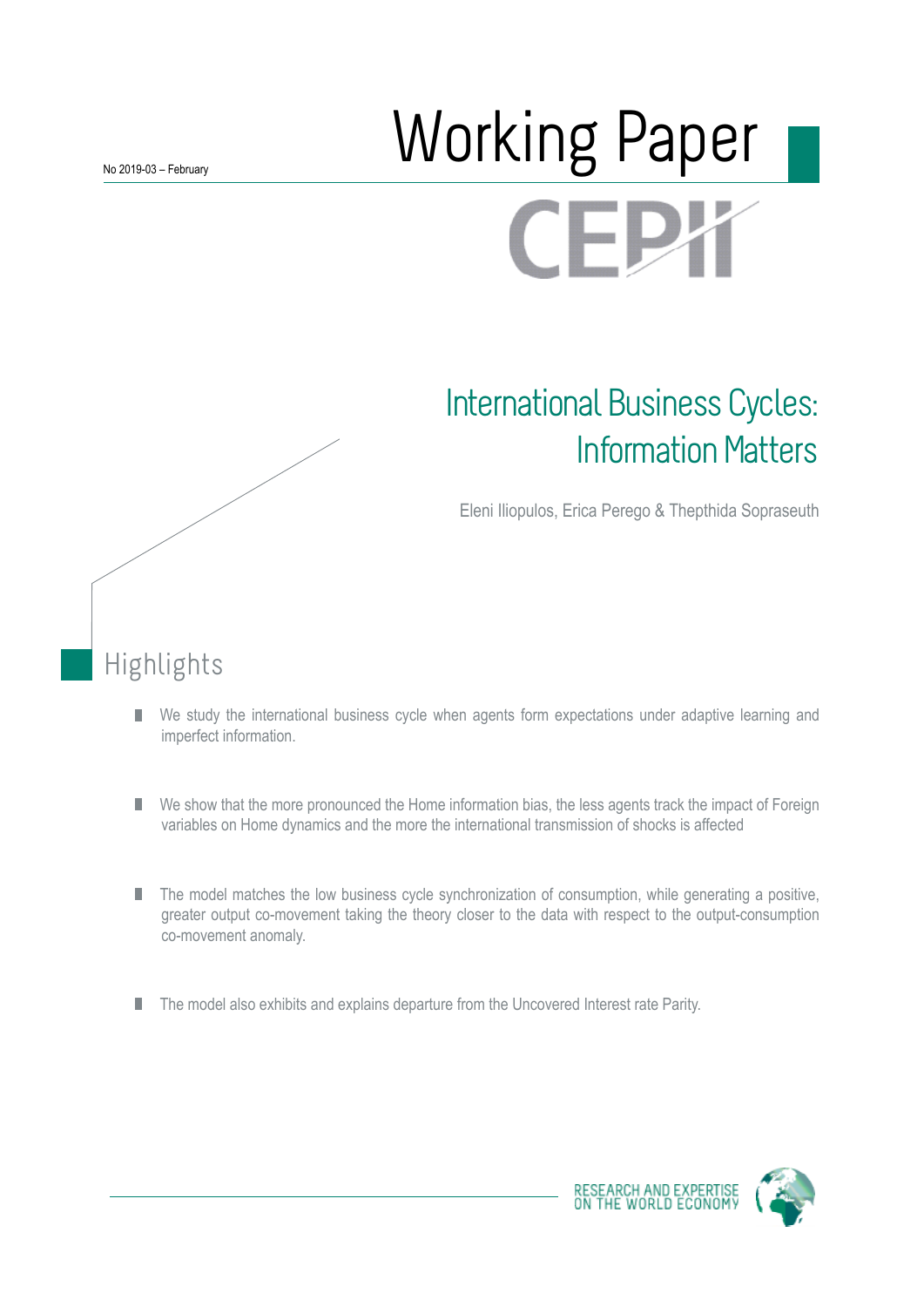# **Norking Paper** FI

# International Business Cycles: Information Matters

Eleni Iliopulos, Erica Perego & Thepthida Sopraseuth

# Highlights

- We study the international business cycle when agents form expectations under adaptive learning and П imperfect information.
- We show that the more pronounced the Home information bias, the less agents track the impact of Foreign П variables on Home dynamics and the more the international transmission of shocks is affected
- The model matches the low business cycle synchronization of consumption, while generating a positive, П greater output co-movement taking the theory closer to the data with respect to the output-consumption co-movement anomaly.
- The model also exhibits and explains departure from the Uncovered Interest rate Parity. П

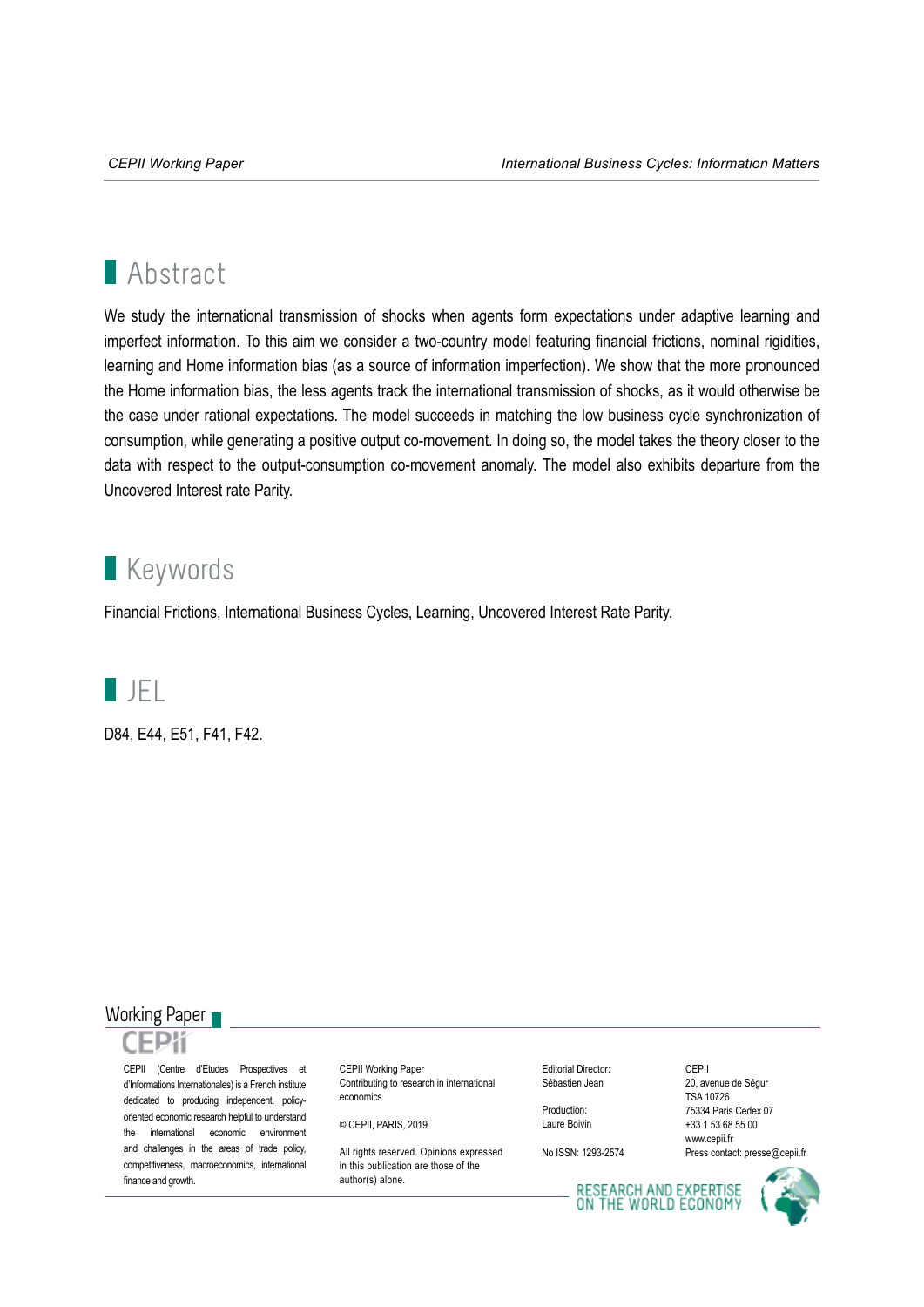# **Abstract**

We study the international transmission of shocks when agents form expectations under adaptive learning and imperfect information. To this aim we consider a two-country model featuring financial frictions, nominal rigidities, learning and Home information bias (as a source of information imperfection). We show that the more pronounced the Home information bias, the less agents track the international transmission of shocks, as it would otherwise be the case under rational expectations. The model succeeds in matching the low business cycle synchronization of consumption, while generating a positive output co-movement. In doing so, the model takes the theory closer to the data with respect to the output-consumption co-movement anomaly. The model also exhibits departure from the Uncovered Interest rate Parity.

# **Keywords**

Financial Frictions, International Business Cycles, Learning, Uncovered Interest Rate Parity.



D84, E44, E51, F41, F42.

# Working Paper

CEPII (Centre d'Etudes Prospectives et d'Informations Internationales) is a French institute dedicated to producing independent, policyoriented economic research helpful to understand the international economic environment and challenges in the areas of trade policy, competitiveness, macroeconomics, international finance and growth.

CEPII Working Paper Contributing to research in international economics

© CEPII, PARIS, 2019

All rights reserved. Opinions expressed in this publication are those of the author(s) alone.

Editorial Director: Sébastien Jean

Production: Laure Boivin

No ISSN: 1293-2574

CEPII 20, avenue de Ségur TSA 10726 75334 Paris Cedex 07 +33 1 53 68 55 00 www.cepii.fr Press contact: presse@cepii.fr

RESEARCH AND EXPERTISE<br>ON THE WORLD ECONOMY

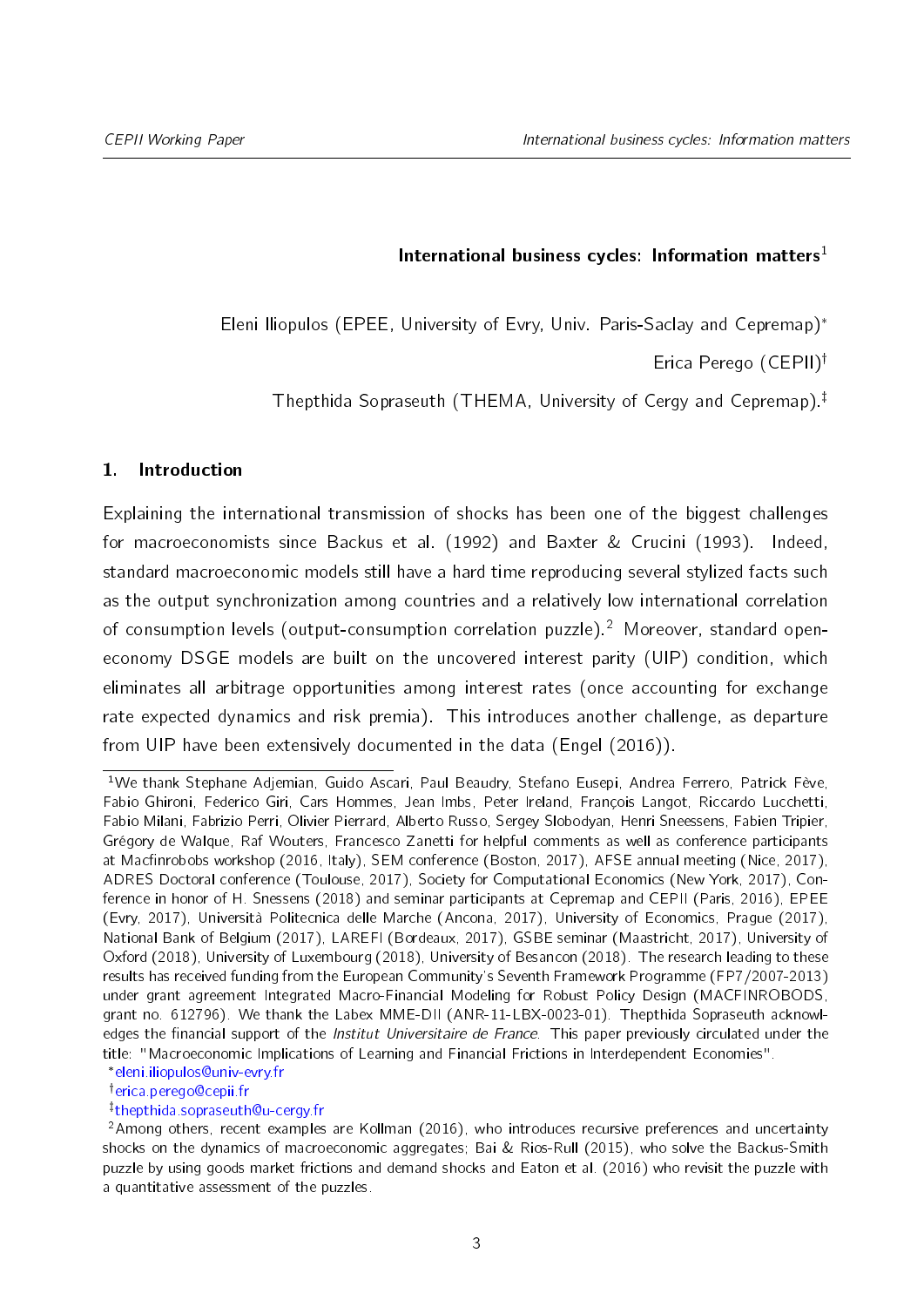## International business cycles: Information matters<sup>1</sup>

<span id="page-2-0"></span>Eleni Iliopulos (EPEE, University of Evry, Univ. Paris-Saclay and Cepremap)

Erica Perego  $(CEPII)^{\dagger}$ 

Thepthida Sopraseuth (THEMA, University of Cergy and Cepremap).<sup> $\ddagger$ </sup>

## 1. Introduction

Explaining the international transmission of shocks has been one of the biggest challenges for macroeconomists since [Backus et al.](#page-34-0) [\(1992\)](#page-34-0) and [Baxter & Crucini](#page-35-0) [\(1993\)](#page-35-0). Indeed, standard macroeconomic models still have a hard time reproducing several stylized facts such as the output synchronization among countries and a relatively low international correlation of consumption levels (output-consumption correlation puzzle).<sup>2</sup> Moreover, standard openeconomy DSGE models are built on the uncovered interest parity (UIP) condition, which eliminates all arbitrage opportunities among interest rates (once accounting for exchange rate expected dynamics and risk premia). This introduces another challenge, as departure from UIP have been extensively documented in the data [\(Engel](#page-35-1) [\(2016\)](#page-35-1)).

[eleni.iliopulos@univ-evry.fr](mailto:eleni.iliopulos@univ-evry.fr)

<sup>†</sup>[erica.perego@cepii.fr](mailto:erica.perego@cepii.fr)

z [thepthida.sopraseuth@u-cergy.fr](mailto:thepthida.sopraseuth@u-cergy.fr)

<sup>1</sup>We thank Stephane Adjemian, Guido Ascari, Paul Beaudry, Stefano Eusepi, Andrea Ferrero, Patrick Fève, Fabio Ghironi, Federico Giri, Cars Hommes, Jean Imbs, Peter Ireland, François Langot, Riccardo Lucchetti, Fabio Milani, Fabrizio Perri, Olivier Pierrard, Alberto Russo, Sergey Slobodyan, Henri Sneessens, Fabien Tripier, Grégory de Walque, Raf Wouters, Francesco Zanetti for helpful comments as well as conference participants at Macfinrobobs workshop (2016, Italy), SEM conference (Boston, 2017), AFSE annual meeting (Nice, 2017), ADRES Doctoral conference (Toulouse, 2017), Society for Computational Economics (New York, 2017), Conference in honor of H. Snessens (2018) and seminar participants at Cepremap and CEPII (Paris, 2016), EPEE (Evry, 2017), Università Politecnica delle Marche (Ancona, 2017), University of Economics, Prague (2017), National Bank of Belgium (2017), LAREFI (Bordeaux, 2017), GSBE seminar (Maastricht, 2017), University of Oxford (2018), University of Luxembourg (2018), University of Besancon (2018). The research leading to these results has received funding from the European Community's Seventh Framework Programme (FP7/2007-2013) under grant agreement Integrated Macro-Financial Modeling for Robust Policy Design (MACFINROBODS, grant no. 612796). We thank the Labex MME-DII (ANR-11-LBX-0023-01). Thepthida Sopraseuth acknowledges the financial support of the *Institut Universitaire de France*. This paper previously circulated under the title: "Macroeconomic Implications of Learning and Financial Frictions in Interdependent Economies".

<sup>2</sup>Among others, recent examples are [Kollman](#page-36-0) [\(2016\)](#page-36-0), who introduces recursive preferences and uncertainty shocks on the dynamics of macroeconomic aggregates; [Bai & Rios-Rull](#page-34-1) [\(2015\)](#page-34-1), who solve the Backus-Smith puzzle by using goods market frictions and demand shocks and [Eaton et al.](#page-35-2) [\(2016\)](#page-35-2) who revisit the puzzle with a quantitative assessment of the puzzles.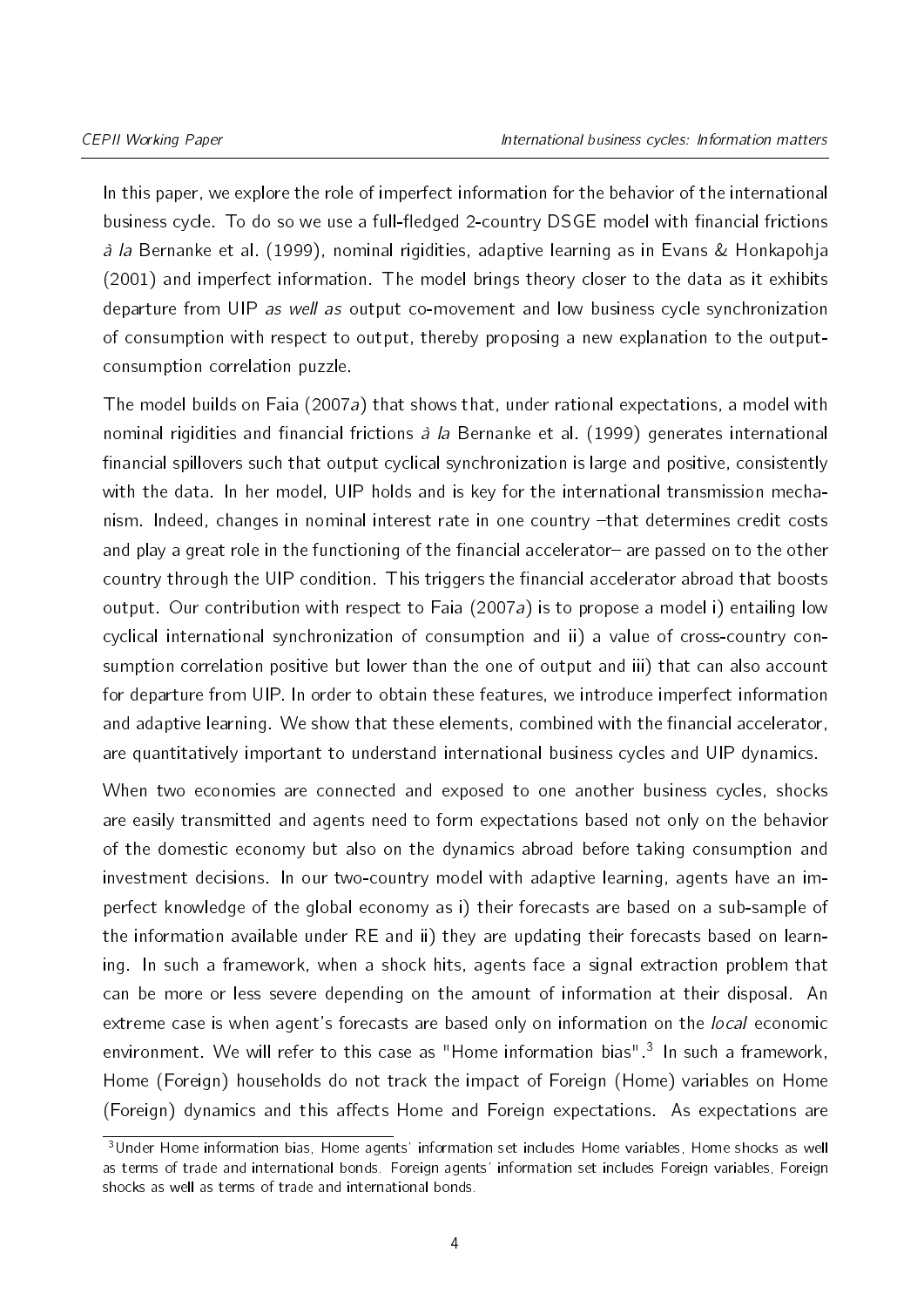In this paper, we explore the role of imperfect information for the behavior of the international business cycle. To do so we use a full-fledged 2-country DSGE model with financial frictions à la [Bernanke et al.](#page-35-3) [\(1999\)](#page-35-3), nominal rigidities, adaptive learning as in [Evans & Honkapohja](#page-35-4) [\(2001\)](#page-35-4) and imperfect information. The model brings theory closer to the data as it exhibits departure from UIP as well as output co-movement and low business cycle synchronization of consumption with respect to output, thereby proposing a new explanation to the outputconsumption correlation puzzle.

The model builds on [Faia](#page-35-5) [\(2007a\)](#page-35-5) that shows that, under rational expectations, a model with nominal rigidities and financial frictions  $\hat{a}$  la [Bernanke et al.](#page-35-3) [\(1999\)](#page-35-3) generates international financial spillovers such that output cyclical synchronization is large and positive, consistently with the data. In her model, UIP holds and is key for the international transmission mechanism. Indeed, changes in nominal interest rate in one country -that determines credit costs and play a great role in the functioning of the financial accelerator- are passed on to the other country through the UIP condition. This triggers the financial accelerator abroad that boosts output. Our contribution with respect to [Faia](#page-35-5) [\(2007a\)](#page-35-5) is to propose a model i) entailing low cyclical international synchronization of consumption and ii) a value of cross-country consumption correlation positive but lower than the one of output and iii) that can also account for departure from UIP. In order to obtain these features, we introduce imperfect information and adaptive learning. We show that these elements, combined with the financial accelerator, are quantitatively important to understand international business cycles and UIP dynamics.

When two economies are connected and exposed to one another business cycles, shocks are easily transmitted and agents need to form expectations based not only on the behavior of the domestic economy but also on the dynamics abroad before taking consumption and investment decisions. In our two-country model with adaptive learning, agents have an imperfect knowledge of the global economy as i) their forecasts are based on a sub-sample of the information available under RE and ii) they are updating their forecasts based on learning. In such a framework, when a shock hits, agents face a signal extraction problem that can be more or less severe depending on the amount of information at their disposal. An extreme case is when agent's forecasts are based only on information on the *local* economic environment. We will refer to this case as "Home information bias".<sup>[3](#page-2-0)</sup> In such a framework, Home (Foreign) households do not track the impact of Foreign (Home) variables on Home (Foreign) dynamics and this affects Home and Foreign expectations. As expectations are

<sup>3</sup>Under Home information bias, Home agents' information set includes Home variables, Home shocks as well as terms of trade and international bonds. Foreign agents' information set includes Foreign variables, Foreign shocks as well as terms of trade and international bonds.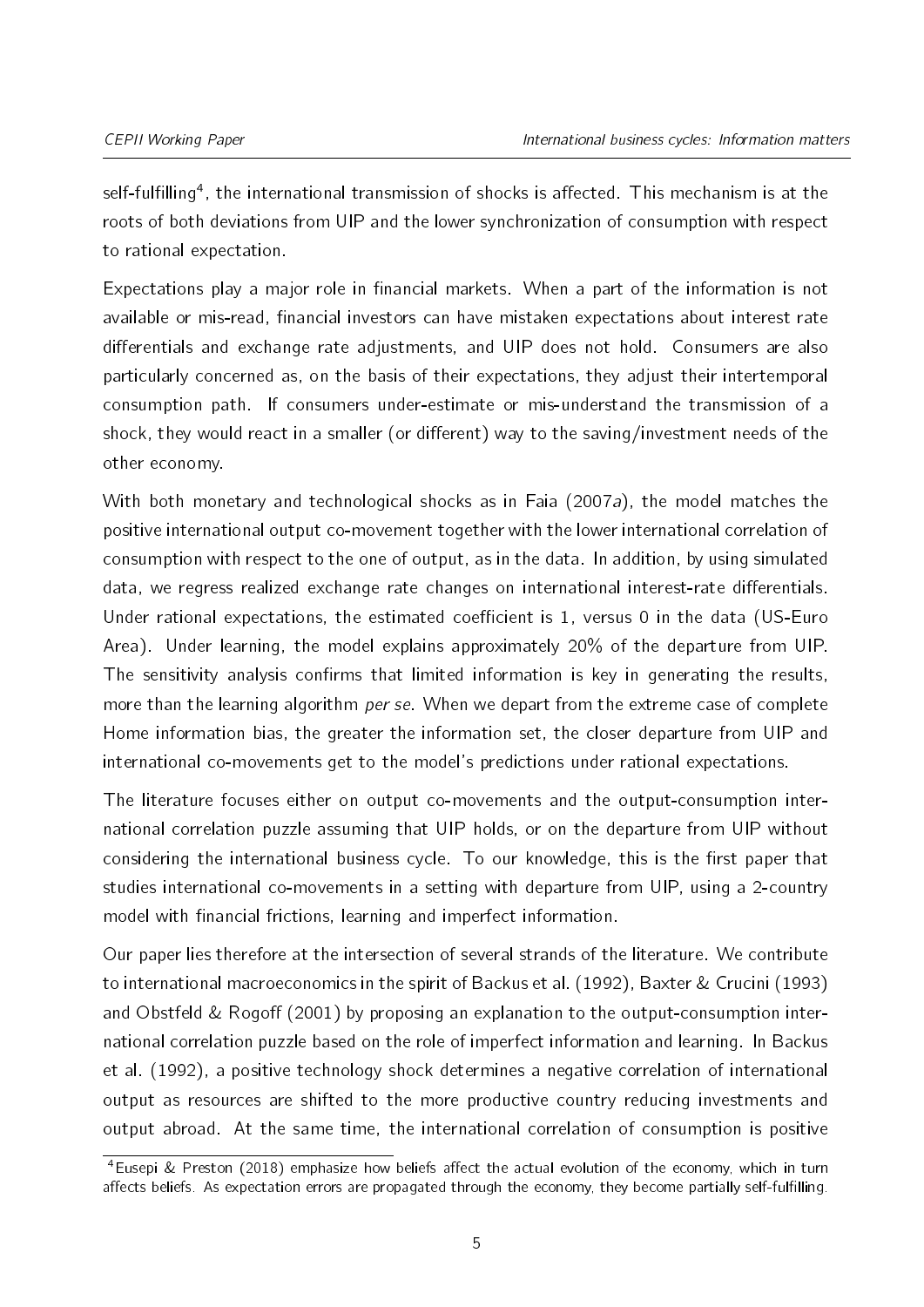self-fulfilling<sup>[4](#page-2-0)</sup>, the international transmission of shocks is affected. This mechanism is at the roots of both deviations from UIP and the lower synchronization of consumption with respect to rational expectation.

Expectations play a major role in financial markets. When a part of the information is not available or mis-read, financial investors can have mistaken expectations about interest rate differentials and exchange rate adjustments, and UIP does not hold. Consumers are also particularly concerned as, on the basis of their expectations, they adjust their intertemporal consumption path. If consumers under-estimate or mis-understand the transmission of a shock, they would react in a smaller (or different) way to the saving/investment needs of the other economy.

With both monetary and technological shocks as in [Faia](#page-35-5) [\(2007a\)](#page-35-5), the model matches the positive international output co-movement together with the lower international correlation of consumption with respect to the one of output, as in the data. In addition, by using simulated data, we regress realized exchange rate changes on international interest-rate differentials. Under rational expectations, the estimated coefficient is 1, versus  $0$  in the data (US-Euro Area). Under learning, the model explains approximately 20% of the departure from UIP. The sensitivity analysis confirms that limited information is key in generating the results, more than the learning algorithm per se. When we depart from the extreme case of complete Home information bias, the greater the information set, the closer departure from UIP and international co-movements get to the model's predictions under rational expectations.

The literature focuses either on output co-movements and the output-consumption international correlation puzzle assuming that UIP holds, or on the departure from UIP without considering the international business cycle. To our knowledge, this is the first paper that studies international co-movements in a setting with departure from UIP, using a 2-country model with financial frictions, learning and imperfect information.

Our paper lies therefore at the intersection of several strands of the literature. We contribute to international macroeconomics in the spirit of [Backus et al.](#page-34-0) [\(1992\)](#page-34-0), [Baxter & Crucini](#page-35-0) [\(1993\)](#page-35-0) and Obstfeld  $&$  Rogoff [\(2001\)](#page-36-1) by proposing an explanation to the output-consumption international correlation puzzle based on the role of imperfect information and learning. In [Backus](#page-34-0) [et al.](#page-34-0) [\(1992\)](#page-34-0), a positive technology shock determines a negative correlation of international output as resources are shifted to the more productive country reducing investments and output abroad. At the same time, the international correlation of consumption is positive

<sup>&</sup>lt;sup>4</sup>[Eusepi & Preston](#page-35-6) [\(2018\)](#page-35-6) emphasize how beliefs affect the actual evolution of the economy, which in turn affects beliefs. As expectation errors are propagated through the economy, they become partially self-fulfilling.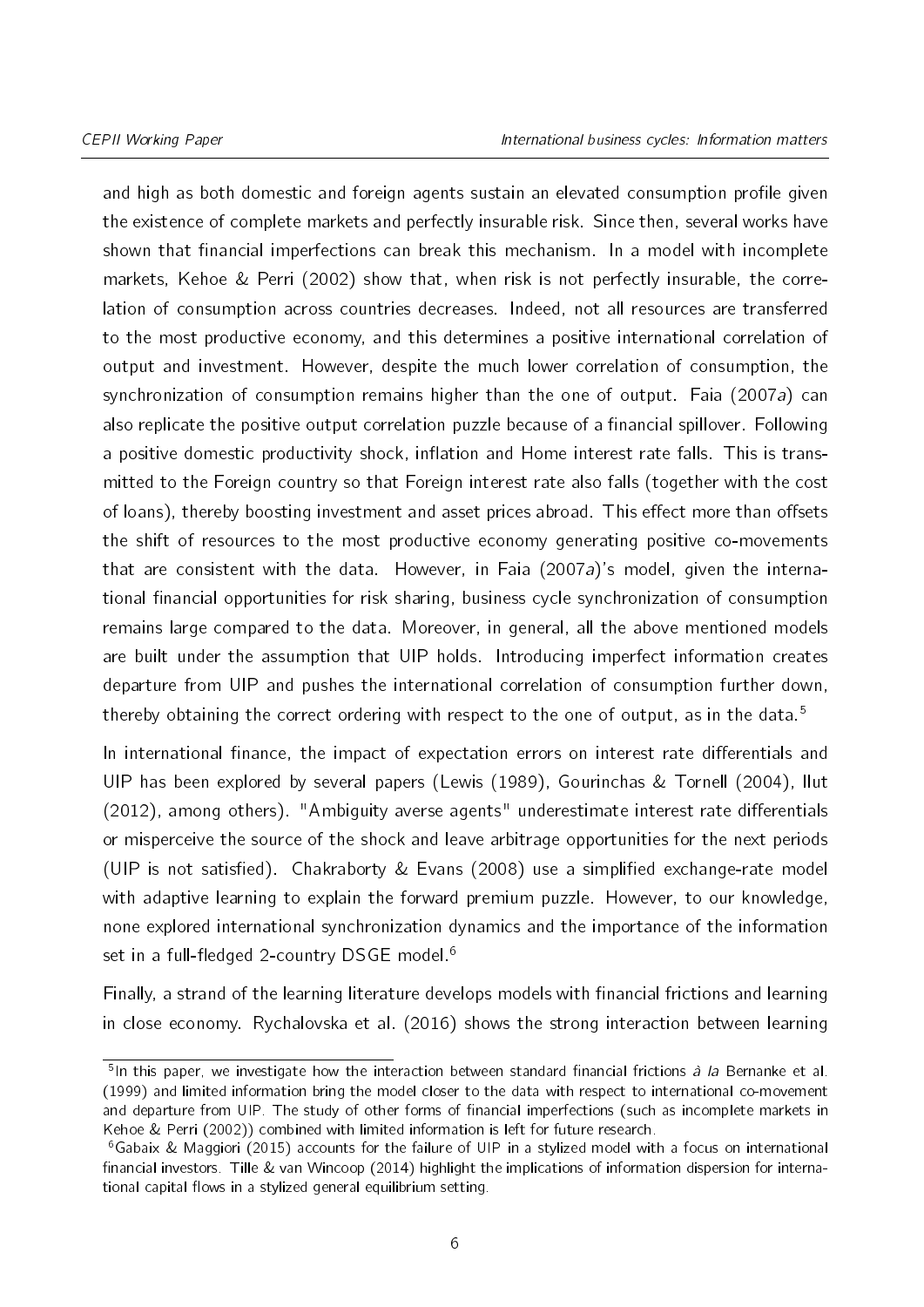and high as both domestic and foreign agents sustain an elevated consumption profile given the existence of complete markets and perfectly insurable risk. Since then, several works have shown that financial imperfections can break this mechanism. In a model with incomplete markets, [Kehoe & Perri](#page-36-2) [\(2002\)](#page-36-2) show that, when risk is not perfectly insurable, the correlation of consumption across countries decreases. Indeed, not all resources are transferred to the most productive economy, and this determines a positive international correlation of output and investment. However, despite the much lower correlation of consumption, the synchronization of consumption remains higher than the one of output. [Faia](#page-35-5) [\(2007a\)](#page-35-5) can also replicate the positive output correlation puzzle because of a financial spillover. Following a positive domestic productivity shock, inflation and Home interest rate falls. This is transmitted to the Foreign country so that Foreign interest rate also falls (together with the cost of loans), thereby boosting investment and asset prices abroad. This effect more than offsets the shift of resources to the most productive economy generating positive co-movements that are consistent with the data. However, in [Faia](#page-35-5) [\(2007a\)](#page-35-5)'s model, given the international financial opportunities for risk sharing, business cycle synchronization of consumption remains large compared to the data. Moreover, in general, all the above mentioned models are built under the assumption that UIP holds. Introducing imperfect information creates departure from UIP and pushes the international correlation of consumption further down, thereby obtaining the correct ordering with respect to the one of output, as in the data.<sup>[5](#page-2-0)</sup>

In international finance, the impact of expectation errors on interest rate differentials and UIP has been explored by several papers [\(Lewis](#page-36-3) [\(1989\)](#page-36-3), [Gourinchas & Tornell](#page-36-4) [\(2004\)](#page-36-4), [Ilut](#page-36-5)  $(2012)$ , among others). "Ambiguity averse agents" underestimate interest rate differentials or misperceive the source of the shock and leave arbitrage opportunities for the next periods (UIP is not satisfied). Chakraborty  $& Evans$  [\(2008\)](#page-35-7) use a simplified exchange-rate model with adaptive learning to explain the forward premium puzzle. However, to our knowledge, none explored international synchronization dynamics and the importance of the information set in a full-fledged 2-country DSGE model.<sup>[6](#page-2-0)</sup>

Finally, a strand of the learning literature develops models with financial frictions and learning in close economy. [Rychalovska et al.](#page-37-0) [\(2016\)](#page-37-0) shows the strong interaction between learning

<sup>&</sup>lt;sup>5</sup>In this paper, we investigate how the interaction between standard financial frictions *à la* [Bernanke et al.](#page-35-3) [\(1999\)](#page-35-3) and limited information bring the model closer to the data with respect to international co-movement and departure from UIP. The study of other forms of financial imperfections (such as incomplete markets in [Kehoe & Perri](#page-36-2) [\(2002\)](#page-36-2)) combined with limited information is left for future research.

<sup>6</sup>[Gabaix & Maggiori](#page-36-6) [\(2015\)](#page-36-6) accounts for the failure of UIP in a stylized model with a focus on international financial investors. [Tille & van Wincoop](#page-37-1) [\(2014\)](#page-37-1) highlight the implications of information dispersion for international capital flows in a stylized general equilibrium setting.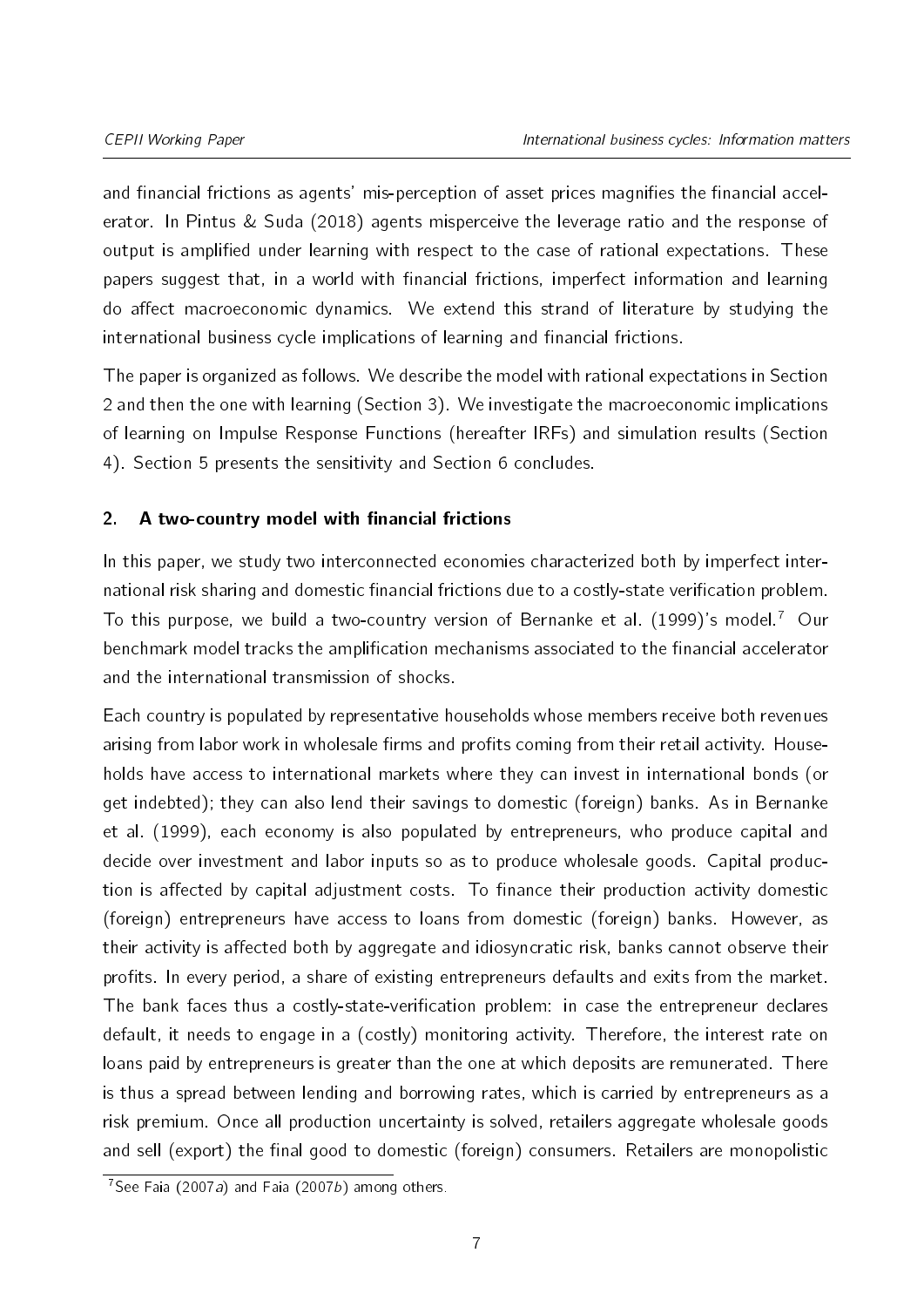and financial frictions as agents' mis-perception of asset prices magnifies the financial accelerator. In [Pintus & Suda](#page-37-2) [\(2018\)](#page-37-2) agents misperceive the leverage ratio and the response of output is amplified under learning with respect to the case of rational expectations. These papers suggest that, in a world with financial frictions, imperfect information and learning do affect macroeconomic dynamics. We extend this strand of literature by studying the international business cycle implications of learning and financial frictions.

The paper is organized as follows. We describe the model with rational expectations in Section [2](#page-6-0) and then the one with learning (Section [3\)](#page-14-0). We investigate the macroeconomic implications of learning on Impulse Response Functions (hereafter IRFs) and simulation results (Section [4\)](#page-18-0). Section [5](#page-29-0) presents the sensitivity and Section [6](#page-33-0) concludes.

# <span id="page-6-0"></span>2. A two-country model with financial frictions

In this paper, we study two interconnected economies characterized both by imperfect international risk sharing and domestic financial frictions due to a costly-state verification problem. To this purpose, we build a two-country version of [Bernanke et al.](#page-35-3)  $(1999)'$  $(1999)'$ s model.<sup>[7](#page-2-0)</sup> Our benchmark model tracks the amplification mechanisms associated to the financial accelerator and the international transmission of shocks.

Each country is populated by representative households whose members receive both revenues arising from labor work in wholesale firms and profits coming from their retail activity. Households have access to international markets where they can invest in international bonds (or get indebted); they can also lend their savings to domestic (foreign) banks. As in [Bernanke](#page-35-3) [et al.](#page-35-3) [\(1999\)](#page-35-3), each economy is also populated by entrepreneurs, who produce capital and decide over investment and labor inputs so as to produce wholesale goods. Capital production is affected by capital adjustment costs. To finance their production activity domestic (foreign) entrepreneurs have access to loans from domestic (foreign) banks. However, as their activity is affected both by aggregate and idiosyncratic risk, banks cannot observe their profits. In every period, a share of existing entrepreneurs defaults and exits from the market. The bank faces thus a costly-state-verification problem: in case the entrepreneur declares default, it needs to engage in a (costly) monitoring activity. Therefore, the interest rate on loans paid by entrepreneurs is greater than the one at which deposits are remunerated. There is thus a spread between lending and borrowing rates, which is carried by entrepreneurs as a risk premium. Once all production uncertainty is solved, retailers aggregate wholesale goods and sell (export) the final good to domestic (foreign) consumers. Retailers are monopolistic

 $\sqrt[7]{\text{See F}}$ aia (2007a) and [Faia](#page-35-8) [\(2007b\)](#page-35-8) among others.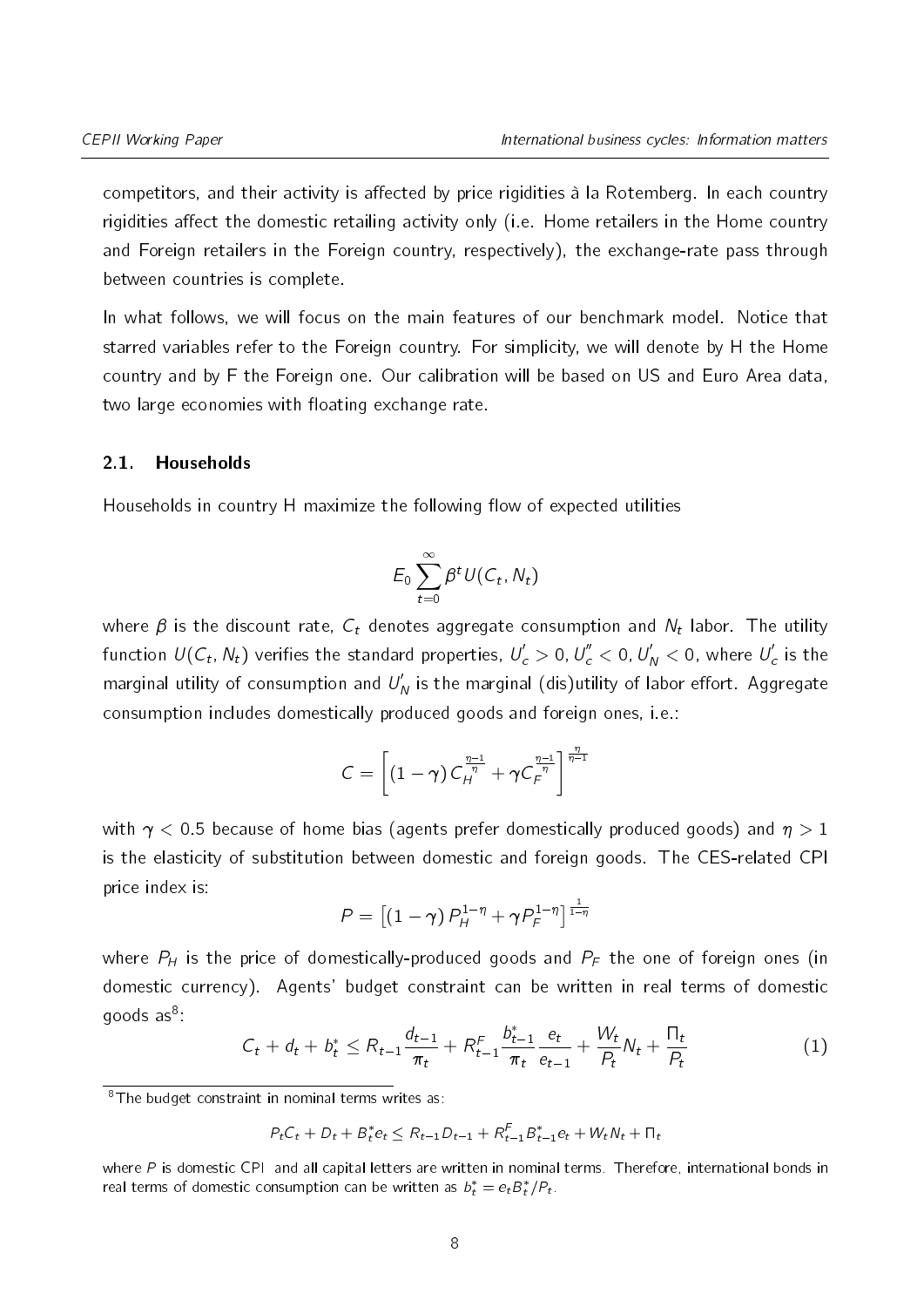competitors, and their activity is affected by price rigidities à la Rotemberg. In each country rigidities affect the domestic retailing activity only (i.e. Home retailers in the Home country and Foreign retailers in the Foreign country, respectively), the exchange-rate pass through between countries is complete.

In what follows, we will focus on the main features of our benchmark model. Notice that starred variables refer to the Foreign country. For simplicity, we will denote by H the Home country and by F the Foreign one. Our calibration will be based on US and Euro Area data, two large economies with floating exchange rate.

#### 2.1. Households

Households in country H maximize the following flow of expected utilities

$$
E_0\sum_{t=0}^{\infty}\beta^tU(C_t,N_t)
$$

where  $\beta$  is the discount rate,  ${\mathcal C}_t$  denotes aggregate consumption and  ${\mathcal N}_t$  labor. The utility function  $\mathcal{U}(\mathcal{C}_t,\,N_t)$  verifies the standard properties,  $U_c^{'}>$  0,  $U_c^{''}<$  0,  $U_N^{'}<$  0, where  $U_c^{'}$  is the marginal utility of consumption and  $U_{\mathsf{N}}'$  is the marginal (dis)utility of labor effort. Aggregate consumption includes domestically produced goods and foreign ones, i.e.:

$$
C = \left[ \left(1-\gamma\right)C_H^{\frac{\eta-1}{\eta}} + \gamma C_F^{\frac{\eta-1}{\eta}} \right]^{\frac{\eta}{\eta-1}}
$$

with  $\gamma$  < 0.5 because of home bias (agents prefer domestically produced goods) and  $\eta$  > 1 is the elasticity of substitution between domestic and foreign goods. The CES-related CPI price index is:

$$
P = \left[ \left( 1 - \gamma \right) P_H^{1-\eta} + \gamma P_F^{1-\eta} \right]^\frac{1}{1-\eta}
$$

where  $P_H$  is the price of domestically-produced goods and  $P_F$  the one of foreign ones (in domestic currency). Agents' budget constraint can be written in real terms of domestic goods as $^{8}$  $^{8}$  $^{8}$ :

$$
C_t + d_t + b_t^* \leq R_{t-1} \frac{d_{t-1}}{\pi_t} + R_{t-1}^F \frac{b_{t-1}^*}{\pi_t} \frac{e_t}{e_{t-1}} + \frac{W_t}{P_t} N_t + \frac{\Pi_t}{P_t}
$$
(1)

$$
P_t C_t + D_t + B_t^* e_t \leq R_{t-1} D_{t-1} + R_{t-1}^F B_{t-1}^* e_t + W_t N_t + \Pi_t
$$

where  $P$  is domestic CPI and all capital letters are written in nominal terms. Therefore, international bonds in real terms of domestic consumption can be written as  $b_t^* = e_t B_t^* / P_t$ .

 $\sqrt{\frac{8T}{T}}$  8The budget constraint in nominal terms writes as: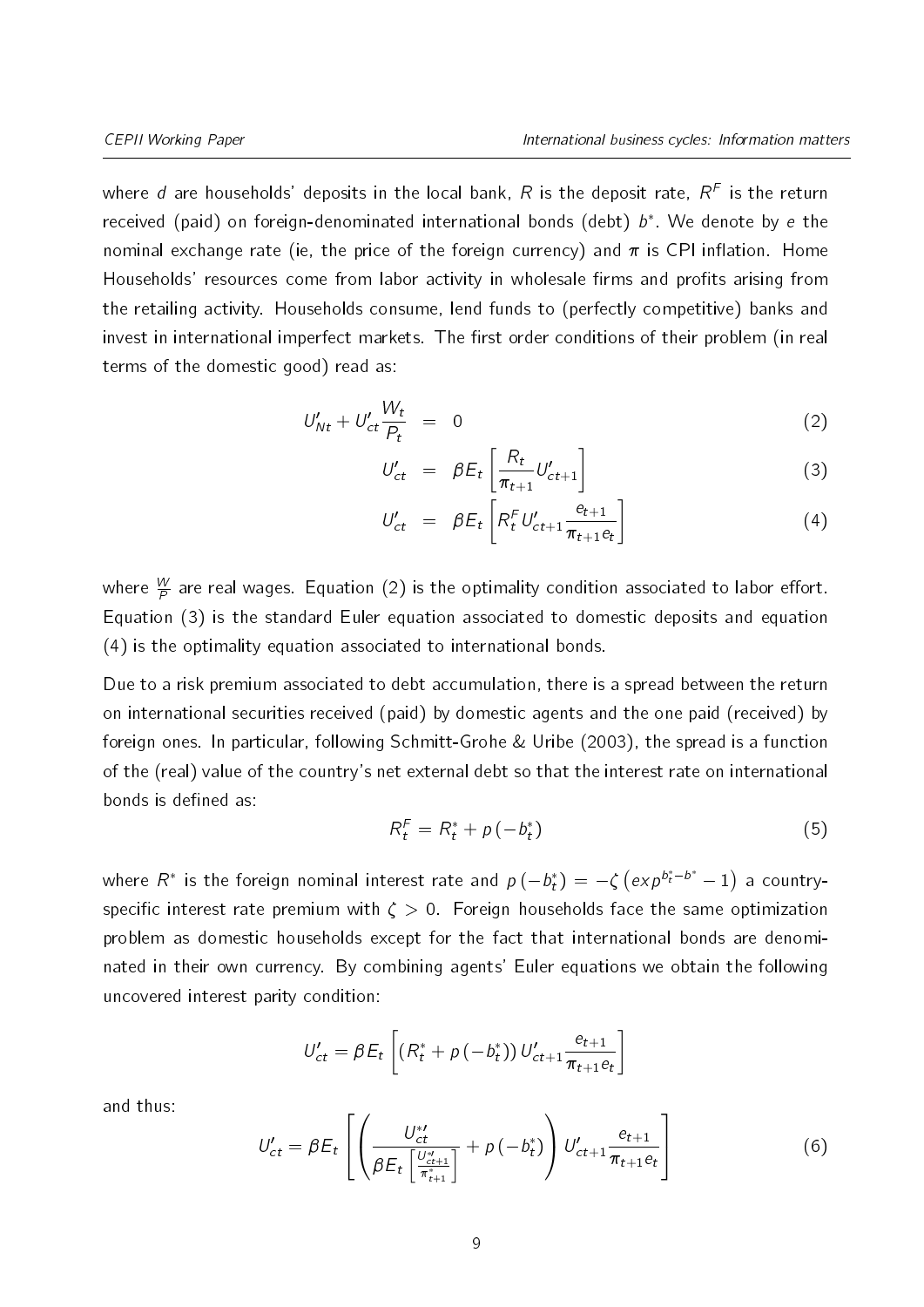where d are households' deposits in the local bank,  $R$  is the deposit rate,  $R^F$  is the return received (paid) on foreign-denominated international bonds (debt)  $b^*$ . We denote by e the nominal exchange rate (ie, the price of the foreign currency) and  $\pi$  is CPI inflation. Home Households' resources come from labor activity in wholesale firms and profits arising from the retailing activity. Households consume, lend funds to (perfectly competitive) banks and invest in international imperfect markets. The first order conditions of their problem (in real terms of the domestic good) read as:

<span id="page-8-0"></span>
$$
U'_{Nt} + U'_{ct} \frac{W_t}{P_t} = 0 \tag{2}
$$

$$
U'_{ct} = \beta E_t \left[ \frac{R_t}{\pi_{t+1}} U'_{ct+1} \right]
$$
 (3)

$$
U'_{ct} = \beta E_t \left[ R_t^F U'_{ct+1} \frac{e_{t+1}}{\pi_{t+1} e_t} \right]
$$
 (4)

where  $\frac{W}{\digamma}$  are real wages. Equation [\(2\)](#page-8-0) is the optimality condition associated to labor effort. Equation [\(3\)](#page-8-0) is the standard Euler equation associated to domestic deposits and equation [\(4\)](#page-8-0) is the optimality equation associated to international bonds.

Due to a risk premium associated to debt accumulation, there is a spread between the return on international securities received (paid) by domestic agents and the one paid (received) by foreign ones. In particular, following [Schmitt-Grohe & Uribe](#page-37-3) [\(2003\)](#page-37-3), the spread is a function of the (real) value of the country's net external debt so that the interest rate on international bonds is defined as:

$$
R_t^F = R_t^* + p(-b_t^*)
$$
\n<sup>(5)</sup>

where  $R^*$  is the foreign nominal interest rate and  $p\left(-b_t^*\right) = -\zeta\left(exp^{b_t^*-b^*}-1\right)$  a countryspecific interest rate premium with  $\zeta > 0$ . Foreign households face the same optimization problem as domestic households except for the fact that international bonds are denominated in their own currency. By combining agents' Euler equations we obtain the following uncovered interest parity condition:

$$
U'_{ct} = \beta E_t \left[ (R_t^* + p(-b_t^*)) U'_{ct+1} \frac{e_{t+1}}{\pi_{t+1} e_t} \right]
$$

and thus:

$$
U'_{ct} = \beta E_t \left[ \left( \frac{U_{ct}^{*l}}{\beta E_t \left[ \frac{U_{ct+1}^{*l}}{\pi_{t+1}^{*l}} \right]} + \rho \left( -b_t^{*} \right) \right) U'_{ct+1} \frac{e_{t+1}}{\pi_{t+1} e_t} \right]
$$
(6)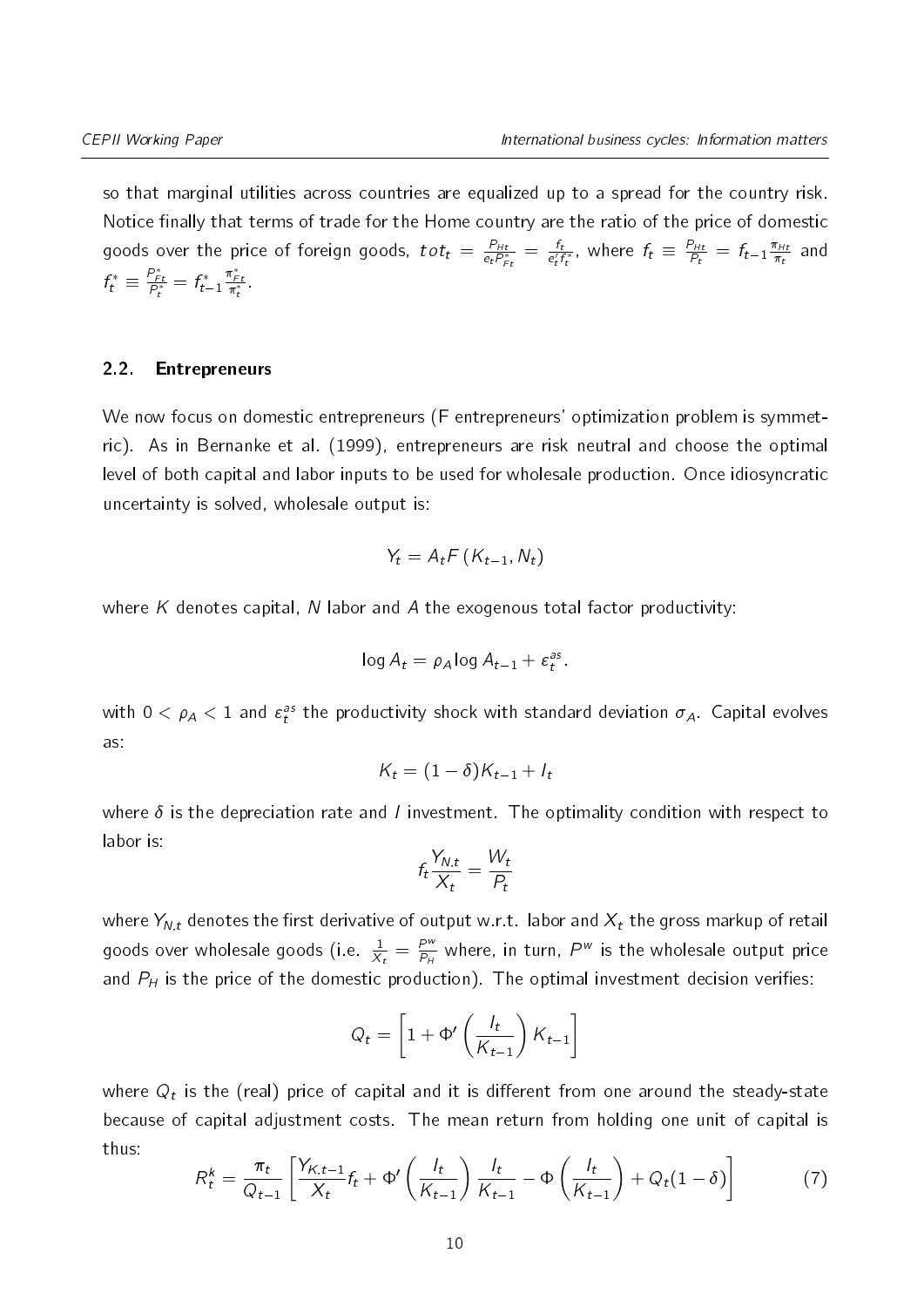so that marginal utilities across countries are equalized up to a spread for the country risk. Notice finally that terms of trade for the Home country are the ratio of the price of domestic goods over the price of foreign goods,  $tot_t = \frac{P_{HI}}{e_t P_t^2}$  $\frac{P_{Ht}}{e_t P_{Ft}^*} = \frac{f_t}{e_t^r}$  $\frac{f_t}{e_t^r f_t^*}$ , where  $f_t \equiv \frac{P_{Ht}}{P_t}$  $\frac{P_{Ht}}{P_t} = f_{t-1} \frac{\pi_{Ht}}{\pi_t}$  $\frac{\pi_{Ht}}{\pi_t}$  and  $f_t^* \equiv \frac{P_{Ft}^*}{P_t^*} = f_{t-1}^*$  $\frac{\pi_{Ft}^*}{\pi_t^*}$ .

#### 2.2. Entrepreneurs

We now focus on domestic entrepreneurs (F entrepreneurs' optimization problem is symmetric). As in [Bernanke et al.](#page-35-3) [\(1999\)](#page-35-3), entrepreneurs are risk neutral and choose the optimal level of both capital and labor inputs to be used for wholesale production. Once idiosyncratic uncertainty is solved, wholesale output is:

$$
Y_t = A_t F\left(K_{t-1}, N_t\right)
$$

where K denotes capital, N labor and A the exogenous total factor productivity:

$$
\log A_t = \rho_A \log A_{t-1} + \varepsilon_t^{as}.
$$

with  $0<\rho_A < 1$  and  $\varepsilon_t^{as}$  the productivity shock with standard deviation  $\sigma_A$ . Capital evolves as:

$$
K_t = (1 - \delta)K_{t-1} + I_t
$$

where  $\delta$  is the depreciation rate and *I* investment. The optimality condition with respect to labor is:

$$
f_t \frac{Y_{N,t}}{X_t} = \frac{W_t}{P_t}
$$

where  $Y_{N,t}$  denotes the first derivative of output w.r.t. labor and  $X_t$  the gross markup of retail goods over wholesale goods (i.e.  $\frac{1}{X_t} = \frac{P^u}{P_H}$  $\frac{P^w}{P_H}$  where, in turn,  $P^w$  is the wholesale output price and  $P_H$  is the price of the domestic production). The optimal investment decision verifies:

$$
Q_t = \left[1 + \Phi'\left(\frac{l_t}{K_{t-1}}\right)K_{t-1}\right]
$$

where  $Q_t$  is the (real) price of capital and it is different from one around the steady-state because of capital adjustment costs. The mean return from holding one unit of capital is thus:

$$
R_t^k = \frac{\pi_t}{Q_{t-1}} \left[ \frac{Y_{K,t-1}}{X_t} f_t + \Phi' \left( \frac{I_t}{K_{t-1}} \right) \frac{I_t}{K_{t-1}} - \Phi \left( \frac{I_t}{K_{t-1}} \right) + Q_t (1 - \delta) \right]
$$
(7)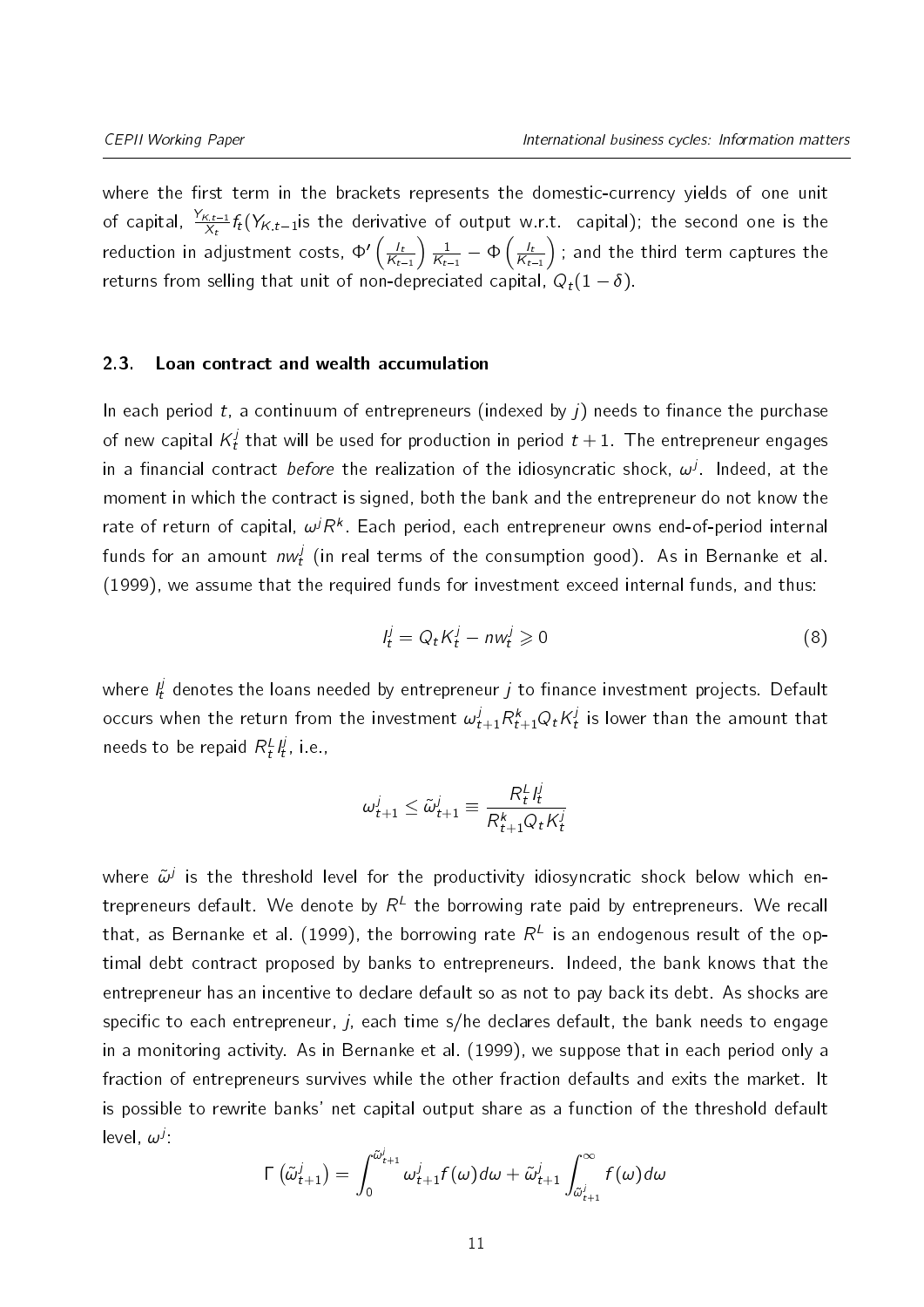where the first term in the brackets represents the domestic-currency yields of one unit of capital,  $\frac{Y_{K,t-1}}{X_t}f_t(Y_{K,t-1}$ is the derivative of output w.r.t. capital); the second one is the reduction in adjustment costs,  $\Phi' \left( \frac{l_t}{K_t} \right)$  $K_{t-1}$  $\frac{1}{2}$  $\frac{1}{K_{t-1}} - \Phi\left(\frac{l_t}{K_t}\right)$  $K_{t-1}$ ); and the third term captures the returns from selling that unit of non-depreciated capital,  $Q_t(1 - \delta)$ .

#### 2.3. Loan contract and wealth accumulation

In each period t, a continuum of entrepreneurs (indexed by  $j$ ) needs to finance the purchase of new capital  $K_t^j$  $\frac{J}{t}$  that will be used for production in period  $t+1$  . The entrepreneur engages in a financial contract *before* the realization of the idiosyncratic shock,  $\omega^j$ . Indeed, at the moment in which the contract is signed, both the bank and the entrepreneur do not know the rate of return of capital,  $\omega^j R^k$ . Each period, each entrepreneur owns end-of-period internal funds for an amount  $\mathit{nw}_t^j$  (in real terms of the consumption good). As in [Bernanke et al.](#page-35-3) [\(1999\)](#page-35-3), we assume that the required funds for investment exceed internal funds, and thus:

$$
I_t^j = Q_t K_t^j - n w_t^j \geq 0 \tag{8}
$$

where  $l_t^j$  denotes the loans needed by entrepreneur  $j$  to finance investment projects. Default occurs when the return from the investment  $\omega_{t+1}^j R_{t+1}^k Q_t K_t^j$  $\frac{J}{t}$  is lower than the amount that needs to be repaid  $R_t^L l_t^j$  $t'$ , i.e.,

$$
\omega_{t+1}^j \le \tilde{\omega}_{t+1}^j \equiv \frac{R_t^L I_t^j}{R_{t+1}^k Q_t K_t^j}
$$

where  $\tilde{\omega}^j$  is the threshold level for the productivity idiosyncratic shock below which entrepreneurs default. We denote by  $R^L$  the borrowing rate paid by entrepreneurs. We recall that, as [Bernanke et al.](#page-35-3) [\(1999\)](#page-35-3), the borrowing rate  $R^L$  is an endogenous result of the optimal debt contract proposed by banks to entrepreneurs. Indeed, the bank knows that the entrepreneur has an incentive to declare default so as not to pay back its debt. As shocks are specific to each entrepreneur,  $j$ , each time s/he declares default, the bank needs to engage in a monitoring activity. As in [Bernanke et al.](#page-35-3) [\(1999\)](#page-35-3), we suppose that in each period only a fraction of entrepreneurs survives while the other fraction defaults and exits the market. It is possible to rewrite banks' net capital output share as a function of the threshold default level,  $\omega^j$ :

$$
\Gamma\left(\tilde{\omega}_{t+1}^{j}\right)=\int_{0}^{\tilde{\omega}_{t+1}^{j}}\omega_{t+1}^{j}f(\omega)d\omega+\tilde{\omega}_{t+1}^{j}\int_{\tilde{\omega}_{t+1}^{j}}^{\infty}f(\omega)d\omega
$$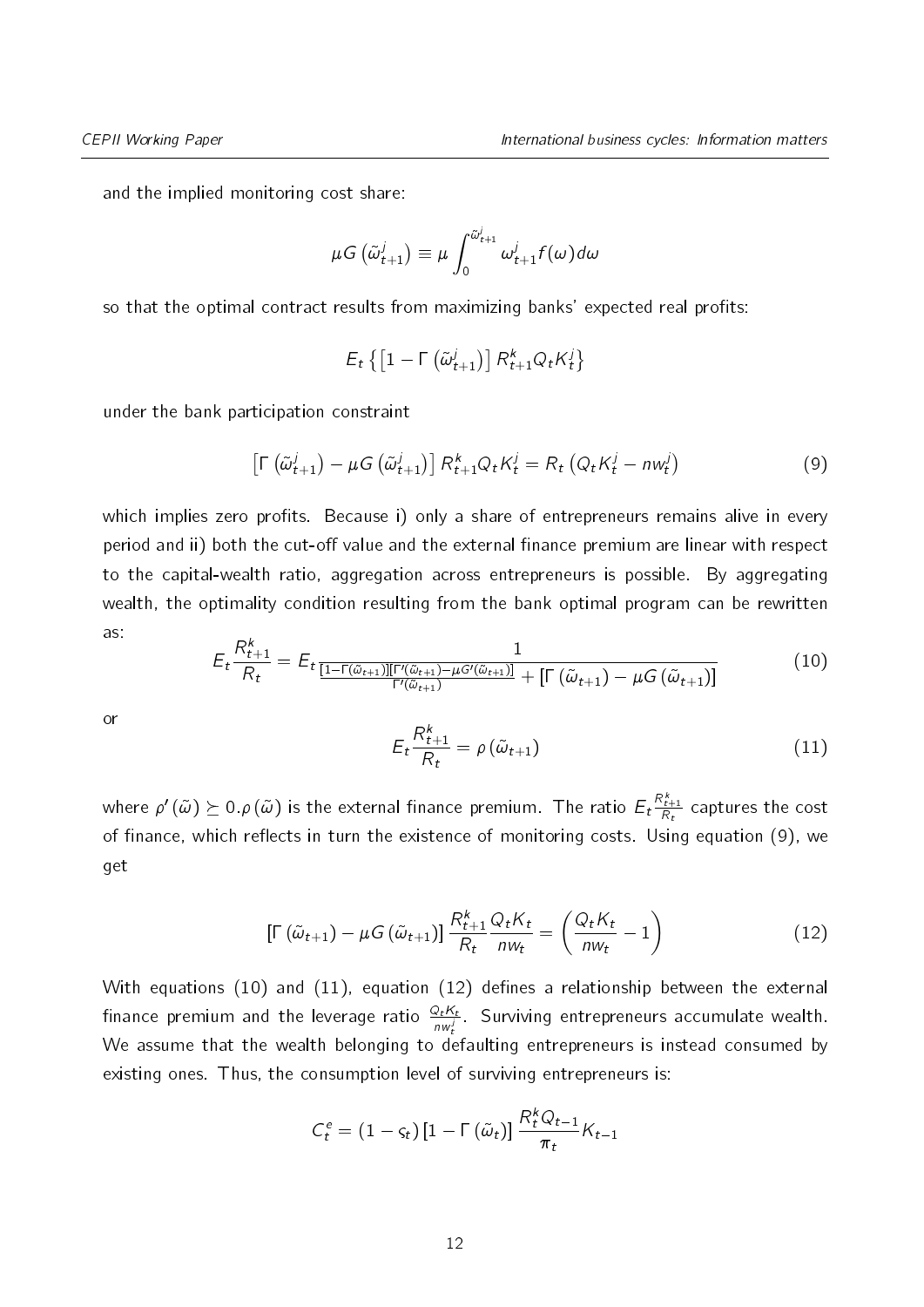and the implied monitoring cost share:

$$
\mu G\left(\tilde{\omega}_{t+1}^{j}\right) \equiv \mu \int_{0}^{\tilde{\omega}_{t+1}^{j}} \omega_{t+1}^{j} f(\omega) d\omega
$$

so that the optimal contract results from maximizing banks' expected real profits:

<span id="page-11-0"></span>
$$
E_t\left\{ \left[1-\Gamma\left(\tilde{\omega}_{t+1}^j\right)\right]R_{t+1}^k Q_t K_t^j \right\}
$$

under the bank participation constraint

$$
\left[\Gamma\left(\tilde{\omega}_{t+1}^{j}\right)-\mu G\left(\tilde{\omega}_{t+1}^{j}\right)\right]R_{t+1}^{k}Q_{t}K_{t}^{j}=R_{t}\left(Q_{t}K_{t}^{j}-n\omega_{t}^{j}\right)
$$
\n(9)

which implies zero profits. Because i) only a share of entrepreneurs remains alive in every period and ii) both the cut-off value and the external finance premium are linear with respect to the capital-wealth ratio, aggregation across entrepreneurs is possible. By aggregating wealth, the optimality condition resulting from the bank optimal program can be rewritten as:

<span id="page-11-1"></span>
$$
E_t \frac{R_{t+1}^k}{R_t} = E_t \frac{1}{\frac{[1-\Gamma(\tilde{\omega}_{t+1})][\Gamma'(\tilde{\omega}_{t+1}) - \mu G'(\tilde{\omega}_{t+1})]}{\Gamma'(\tilde{\omega}_{t+1})} + \left[\Gamma(\tilde{\omega}_{t+1}) - \mu G(\tilde{\omega}_{t+1})\right]}
$$
(10)

<span id="page-11-2"></span>or

$$
E_t \frac{R_{t+1}^k}{R_t} = \rho \left(\tilde{\omega}_{t+1}\right) \tag{11}
$$

<span id="page-11-3"></span>where  $\rho' \left(\tilde{\omega}\right) \succeq 0. \rho\left(\tilde{\omega}\right)$  is the external finance premium. The ratio  $E_t \frac{R^k_{t+1}}{R_t}$  captures the cost of finance, which reflects in turn the existence of monitoring costs. Using equation [\(9\)](#page-11-0), we get

$$
\left[\Gamma\left(\tilde{\omega}_{t+1}\right)-\mu G\left(\tilde{\omega}_{t+1}\right)\right]\frac{R_{t+1}^k}{R_t}\frac{Q_t K_t}{n w_t}=\left(\frac{Q_t K_t}{n w_t}-1\right) \tag{12}
$$

With equations [\(10\)](#page-11-1) and [\(11\)](#page-11-2), equation [\(12\)](#page-11-3) defines a relationship between the external finance premium and the leverage ratio  $\frac{Q_t K_t}{n w_t'}$ . Surviving entrepreneurs accumulate wealth. We assume that the wealth belonging to defaulting entrepreneurs is instead consumed by existing ones. Thus, the consumption level of surviving entrepreneurs is:

$$
C_t^e = (1 - \varsigma_t) [1 - \Gamma(\tilde{\omega}_t)] \frac{R_t^k Q_{t-1}}{\pi_t} K_{t-1}
$$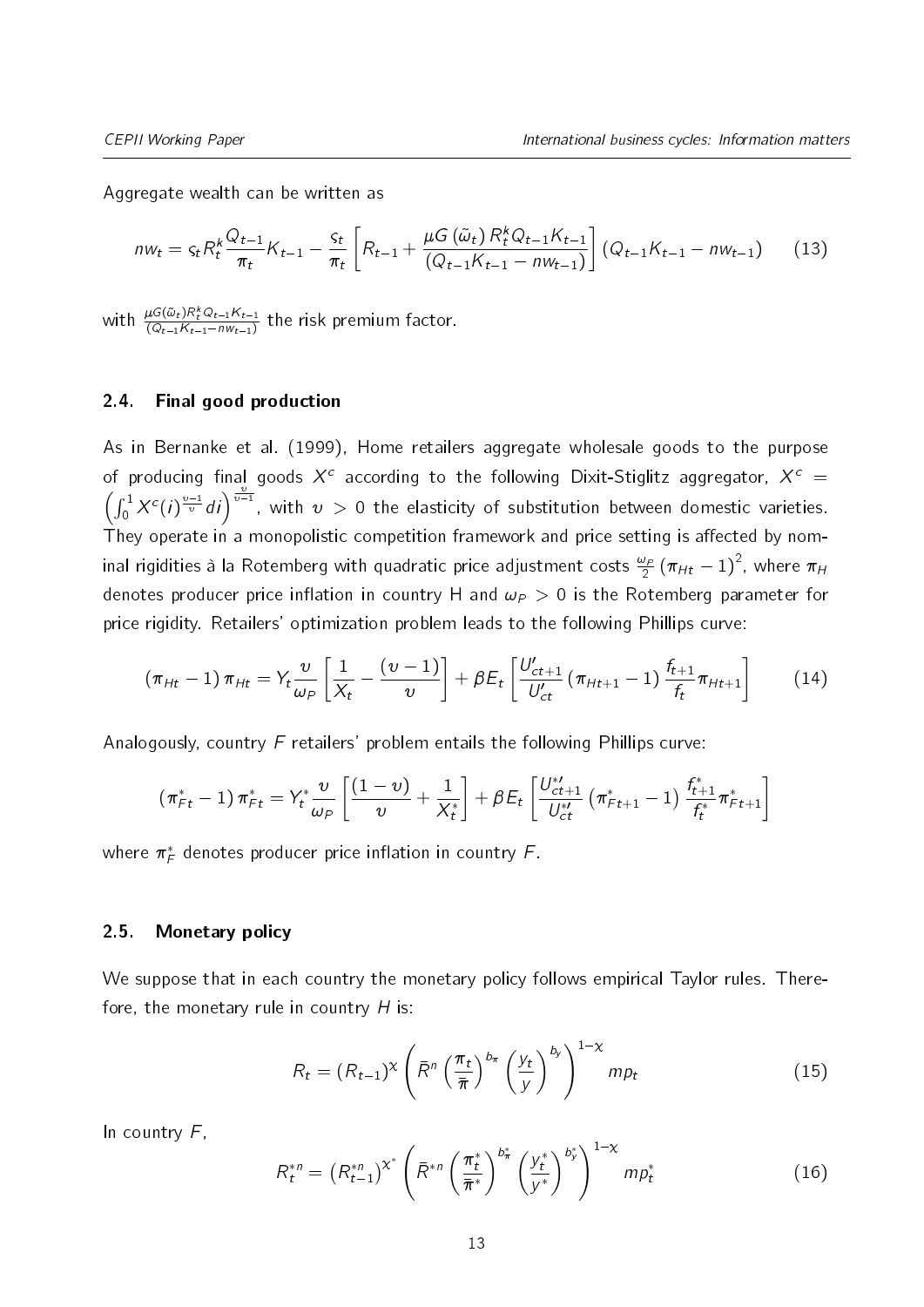Aggregate wealth can be written as

$$
n w_t = \varsigma_t R_t^k \frac{Q_{t-1}}{\pi_t} K_{t-1} - \frac{\varsigma_t}{\pi_t} \left[ R_{t-1} + \frac{\mu G\left(\tilde{\omega}_t\right) R_t^k Q_{t-1} K_{t-1}}{\left(Q_{t-1} K_{t-1} - n w_{t-1}\right)} \right] \left( Q_{t-1} K_{t-1} - n w_{t-1} \right) \tag{13}
$$

with  $\frac{\mu G(\tilde{\omega}_t) R_t^k Q_{t-1} K_{t-1}}{(Q_{t-1} K_{t-1} - nW_{t-1})}$  $\frac{\mu G(\omega_t)R_t^{\infty}Q_{t-1}R_{t-1}}{(Q_{t-1}K_{t-1}-n\omega_{t-1})}$  the risk premium factor.

#### 2.4. Final good production

As in [Bernanke et al.](#page-35-3) [\(1999\)](#page-35-3), Home retailers aggregate wholesale goods to the purpose of producing final goods  $X^c$  according to the following Dixit-Stiglitz aggregator,  $X^c$  =  $\left(\int_0^1 X^c(i)^{\frac{\nu-1}{\nu}}di\right)^{\frac{\nu}{\nu-1}}$ , with  $\nu > 0$  the elasticity of substitution between domestic varieties. They operate in a monopolistic competition framework and price setting is affected by nominal rigidities à la Rotemberg with quadratic price adjustment costs  $\frac{\omega_P}{2} \left(\pi_{Ht} - 1\right)^2$ , where  $\pi_H$ denotes producer price inflation in country H and  $\omega_P > 0$  is the Rotemberg parameter for price rigidity. Retailers' optimization problem leads to the following Phillips curve:

$$
(\pi_{Ht}-1)\,\pi_{Ht} = Y_t \frac{v}{\omega_P} \left[\frac{1}{X_t} - \frac{(v-1)}{v}\right] + \beta E_t \left[\frac{U'_{ct+1}}{U'_{ct}}\,(\pi_{Ht+1}-1)\,\frac{f_{t+1}}{f_t}\pi_{Ht+1}\right] \qquad (14)
$$

Analogously, country  $F$  retailers' problem entails the following Phillips curve:

$$
(\pi_{Ft}^* - 1) \pi_{Ft}^* = Y_t^* \frac{\nu}{\omega_P} \left[ \frac{(1-\nu)}{\nu} + \frac{1}{X_t^*} \right] + \beta E_t \left[ \frac{U_{ct+1}^{*}}{U_{ct}^{*}} \left( \pi_{Ft+1}^* - 1 \right) \frac{f_{t+1}^*}{f_t^*} \pi_{Ft+1}^* \right]
$$

where  $\pi^*_\digamma$  denotes producer price inflation in country  $\digamma$  .

#### 2.5. Monetary policy

We suppose that in each country the monetary policy follows empirical Taylor rules. Therefore, the monetary rule in country  $H$  is:

$$
R_t = (R_{t-1})^{\chi} \left( \bar{R}^n \left( \frac{\pi_t}{\bar{\pi}} \right)^{b_{\pi}} \left( \frac{y_t}{y} \right)^{b_{y}} \right)^{1-\chi} m p_t
$$
 (15)

In country  $F$ ,

$$
R_t^{*n} = \left(R_{t-1}^{*n}\right)^{\chi^*} \left(\bar{R}^{*n} \left(\frac{\pi_t^*}{\bar{\pi}^*}\right)^{b_{\pi}^*} \left(\frac{y_t^*}{y^*}\right)^{b_y^*}\right)^{1-\chi} m p_t^* \tag{16}
$$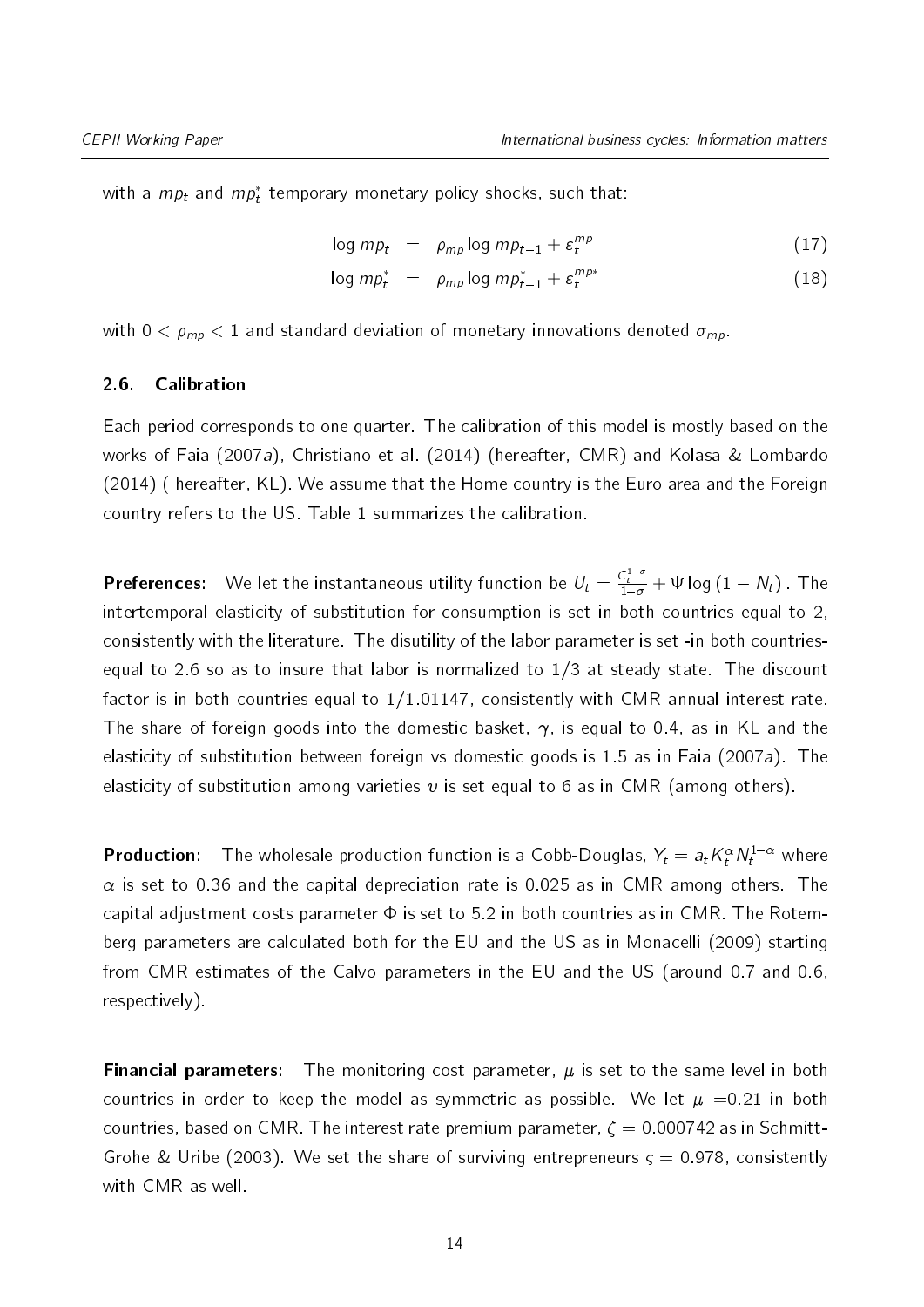with a  $mp_t$  and  $mp_t^*$  temporary monetary policy shocks, such that:

<span id="page-13-0"></span>
$$
\log mp_t = \rho_{mp} \log mp_{t-1} + \varepsilon_t^{mp} \tag{17}
$$

$$
\log mp_t^* = \rho_{mp} \log mp_{t-1}^* + \varepsilon_t^{mp*} \tag{18}
$$

with  $0 < \rho_{mp} < 1$  and standard deviation of monetary innovations denoted  $\sigma_{mp}$ .

#### 2.6. Calibration

Each period corresponds to one quarter. The calibration of this model is mostly based on the works of [Faia](#page-35-5) [\(2007a\)](#page-35-5), [Christiano et al.](#page-35-9) [\(2014\)](#page-35-9) (hereafter, CMR) and [Kolasa & Lombardo](#page-36-7) [\(2014\)](#page-36-7) ( hereafter, KL). We assume that the Home country is the Euro area and the Foreign country refers to the US. Table [1](#page-15-0) summarizes the calibration.

**Preferences:** We let the instantaneous utility function be  $U_t = \frac{C_t^{1-\sigma}}{1-\sigma} + \Psi \log (1 - N_t)$ . The intertemporal elasticity of substitution for consumption is set in both countries equal to 2, consistently with the literature. The disutility of the labor parameter is set -in both countriesequal to 2.6 so as to insure that labor is normalized to 1/3 at steady state. The discount factor is in both countries equal to  $1/1.01147$ , consistently with CMR annual interest rate. The share of foreign goods into the domestic basket,  $\gamma$ , is equal to 0.4, as in KL and the elasticity of substitution between foreign vs domestic goods is 1.5 as in [Faia](#page-35-5) [\(2007a\)](#page-35-5). The elasticity of substitution among varieties  $v$  is set equal to 6 as in CMR (among others).

**Production:** The wholesale production function is a Cobb-Douglas,  $Y_t = a_t K_t^{\alpha} N_t^{1-\alpha}$  where  $\alpha$  is set to 0.36 and the capital depreciation rate is 0.025 as in CMR among others. The capital adjustment costs parameter  $\Phi$  is set to 5.2 in both countries as in CMR. The Rotemberg parameters are calculated both for the EU and the US as in [Monacelli](#page-36-8) [\(2009\)](#page-36-8) starting from CMR estimates of the Calvo parameters in the EU and the US (around 0.7 and 0.6, respectively).

**Financial parameters:** The monitoring cost parameter,  $\mu$  is set to the same level in both countries in order to keep the model as symmetric as possible. We let  $\mu = 0.21$  in both countries, based on CMR. The interest rate premium parameter,  $\zeta = 0.000742$  as in [Schmitt-](#page-37-3)[Grohe & Uribe](#page-37-3) [\(2003\)](#page-37-3). We set the share of surviving entrepreneurs  $\varsigma = 0.978$ , consistently with CMR as well.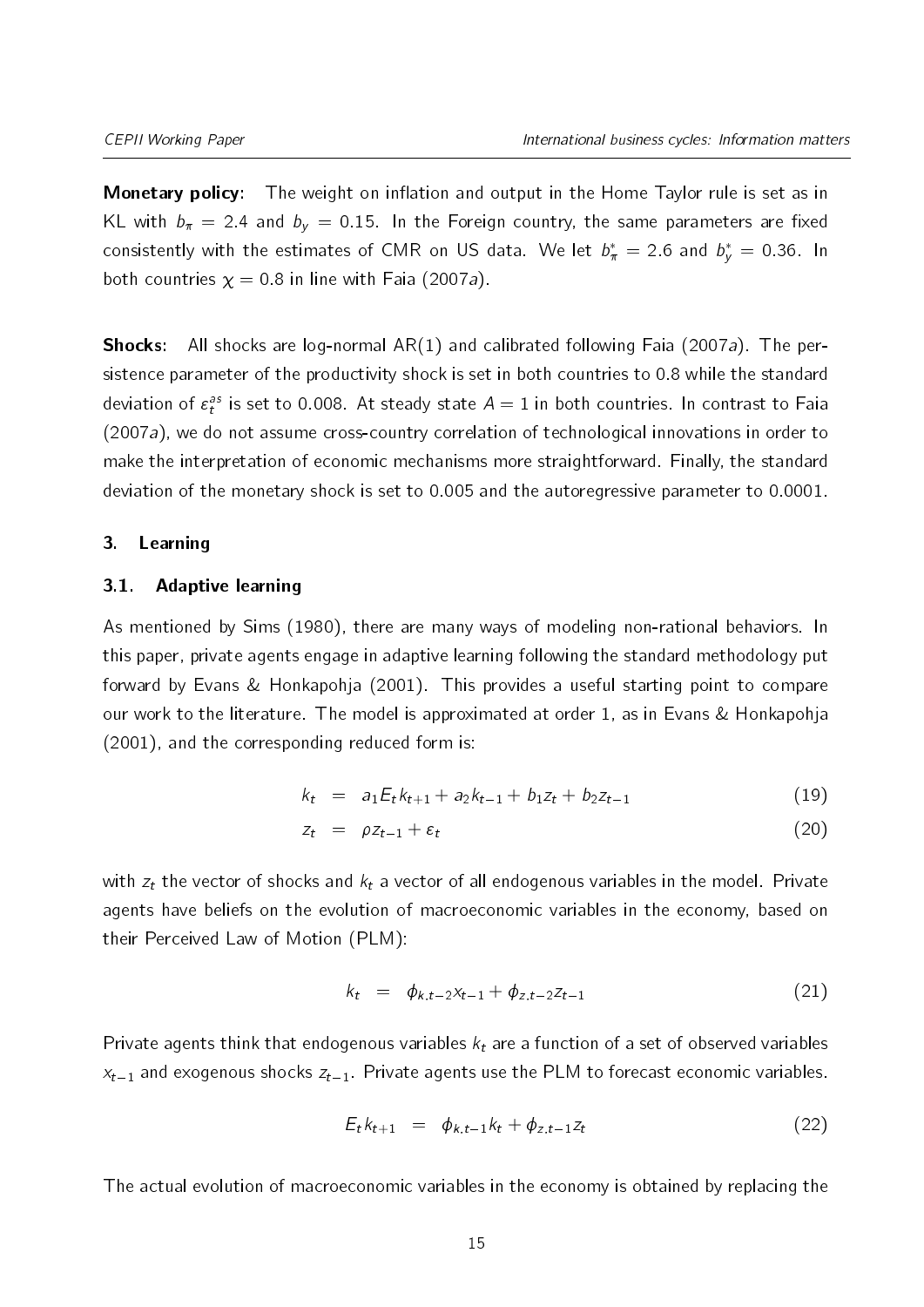**Monetary policy:** The weight on inflation and output in the Home Taylor rule is set as in KL with  $b_{\pi} = 2.4$  and  $b_{y} = 0.15$ . In the Foreign country, the same parameters are fixed consistently with the estimates of CMR on US data. We let  $b^*_\pi = 2.6$  and  $b^*_y = 0.36$ . In both countries  $x = 0.8$  in line with [Faia](#page-35-5) [\(2007a\)](#page-35-5).

**Shocks:** All shocks are log-normal  $AR(1)$  and calibrated following [Faia](#page-35-5) [\(2007a\)](#page-35-5). The persistence parameter of the productivity shock is set in both countries to 0.8 while the standard deviation of  $\varepsilon^{as}_t$  is set to 0.008. At steady state  $A=1$  in both countries. In contrast to [Faia](#page-35-5) [\(2007a\)](#page-35-5), we do not assume cross-country correlation of technological innovations in order to make the interpretation of economic mechanisms more straightforward. Finally, the standard deviation of the monetary shock is set to 0.005 and the autoregressive parameter to 0.0001.

#### <span id="page-14-0"></span>3. Learning

#### 3.1. Adaptive learning

As mentioned by [Sims](#page-37-4) [\(1980\)](#page-37-4), there are many ways of modeling non-rational behaviors. In this paper, private agents engage in adaptive learning following the standard methodology put forward by [Evans & Honkapohja](#page-35-4) [\(2001\)](#page-35-4). This provides a useful starting point to compare our work to the literature. The model is approximated at order 1, as in [Evans & Honkapohja](#page-35-4) [\(2001\)](#page-35-4), and the corresponding reduced form is:

<span id="page-14-2"></span>
$$
k_t = a_1 E_t k_{t+1} + a_2 k_{t-1} + b_1 z_t + b_2 z_{t-1}
$$
 (19)

$$
z_t = \rho z_{t-1} + \varepsilon_t \tag{20}
$$

with  $z_t$  the vector of shocks and  $k_t$  a vector of all endogenous variables in the model. Private agents have beliefs on the evolution of macroeconomic variables in the economy, based on their Perceived Law of Motion (PLM):

<span id="page-14-3"></span>
$$
k_t = \phi_{k,t-2} x_{t-1} + \phi_{z,t-2} z_{t-1} \tag{21}
$$

Private agents think that endogenous variables  $k_t$  are a function of a set of observed variables  $x_{t-1}$  and exogenous shocks  $z_{t-1}$ . Private agents use the PLM to forecast economic variables.

<span id="page-14-1"></span>
$$
E_t k_{t+1} = \phi_{k,t-1} k_t + \phi_{z,t-1} z_t \tag{22}
$$

The actual evolution of macroeconomic variables in the economy is obtained by replacing the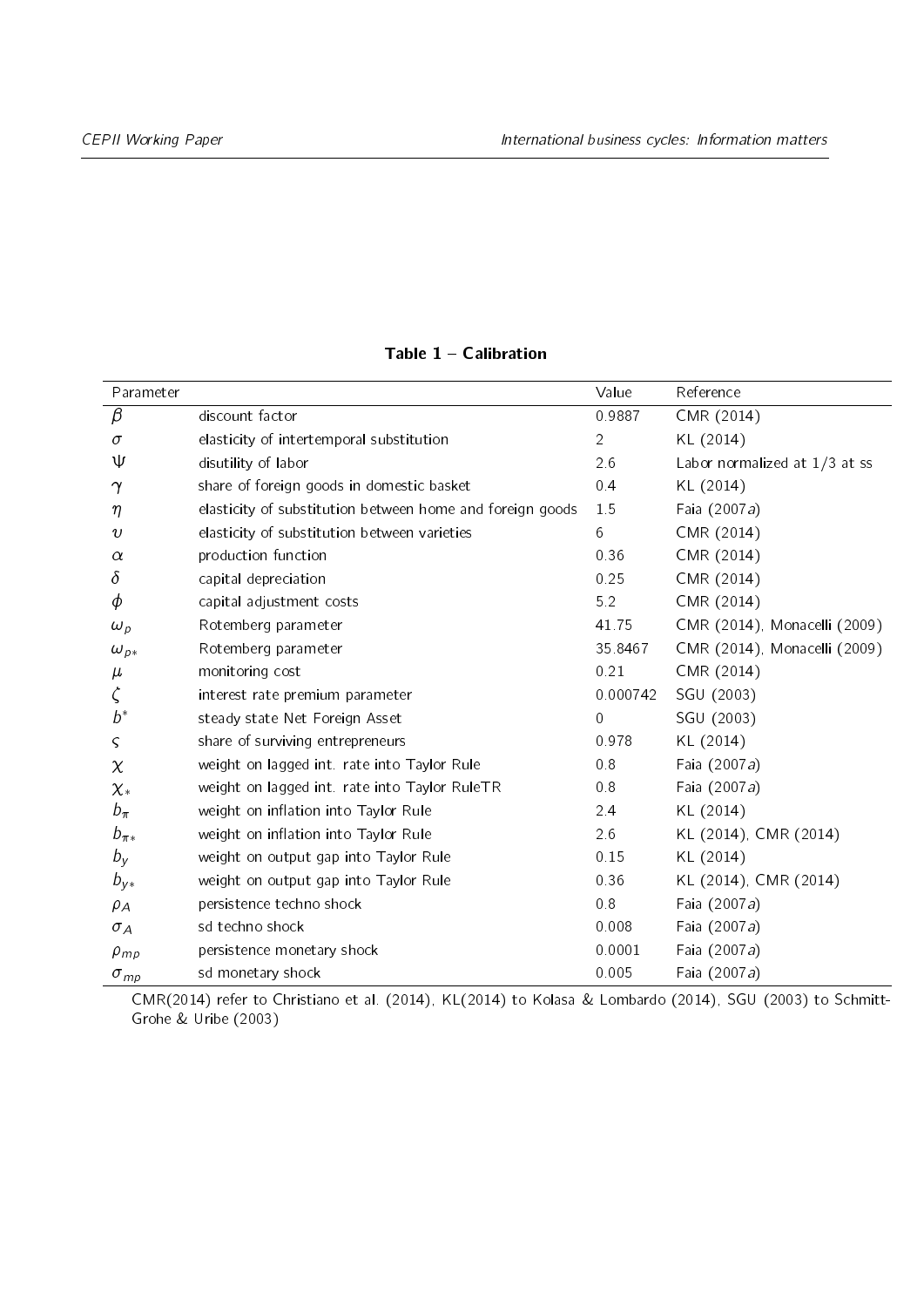<span id="page-15-0"></span>

| Parameter                         |                                                           | Value            | Reference                     |
|-----------------------------------|-----------------------------------------------------------|------------------|-------------------------------|
| $\beta$                           | discount factor                                           | 0.9887           | CMR (2014)                    |
| $\sigma$                          | elasticity of intertemporal substitution                  | $\overline{2}$   | KL (2014)                     |
| ψ                                 | disutility of labor                                       | 2.6              | Labor normalized at 1/3 at ss |
| $\gamma$                          | share of foreign goods in domestic basket                 | 0.4              | KL (2014)                     |
| $\eta$                            | elasticity of substitution between home and foreign goods | 1.5              | Faia (2007a)                  |
| $\upsilon$                        | elasticity of substitution between varieties              | 6                | CMR (2014)                    |
| $\alpha$                          | production function                                       | 0.36             | CMR (2014)                    |
| δ                                 | capital depreciation                                      | 0.25             | CMR (2014)                    |
| $\phi$                            | capital adjustment costs                                  | 5.2              | CMR (2014)                    |
| $\omega_p$                        | Rotemberg parameter                                       | 41.75            | CMR (2014), Monacelli (2009)  |
| $\omega_{\scriptscriptstyle{p*}}$ | Rotemberg parameter                                       | 35.8467          | CMR (2014), Monacelli (2009)  |
| $\mu$                             | monitoring cost                                           | 0.21             | CMR (2014)                    |
| $\zeta$                           | interest rate premium parameter                           | 0.000742         | SGU (2003)                    |
| $b^*$                             | steady state Net Foreign Asset                            | $\boldsymbol{0}$ | SGU (2003)                    |
| $\varsigma$                       | share of surviving entrepreneurs                          | 0.978            | KL (2014)                     |
| $\chi$                            | weight on lagged int. rate into Taylor Rule               | 0.8              | Faia (2007a)                  |
| $\chi_*$                          | weight on lagged int. rate into Taylor RuleTR             | 0.8              | Faia (2007a)                  |
| $b_{\pi}$                         | weight on inflation into Taylor Rule                      | 24               | KL (2014)                     |
| $b_{\pi *}$                       | weight on inflation into Taylor Rule                      | 26               | KL (2014), CMR (2014)         |
| $b_y$                             | weight on output gap into Taylor Rule                     | 0.15             | KL (2014)                     |
| $b_{y*}$                          | weight on output gap into Taylor Rule                     | 0.36             | KL (2014), CMR (2014)         |
| $\rho_A$                          | persistence techno shock                                  | $0\,$ $8\,$      | Faia (2007a)                  |
| $\sigma_A$                        | sd techno shock                                           | 0.008            | Faia (2007a)                  |
| $\rho_{mp}$                       | persistence monetary shock                                | 0.0001           | Faia (2007a)                  |
| $\sigma_{mp}$                     | sd monetary shock                                         | 0.005            | Faia (2007a)                  |

Table  $1 -$  Calibration

CMR(2014) refer to [Christiano et al.](#page-35-9) [\(2014\)](#page-35-9), KL(2014) to [Kolasa & Lombardo](#page-36-7) [\(2014\)](#page-36-7), SGU (2003) to [Schmitt-](#page-37-3)[Grohe & Uribe](#page-37-3) [\(2003\)](#page-37-3)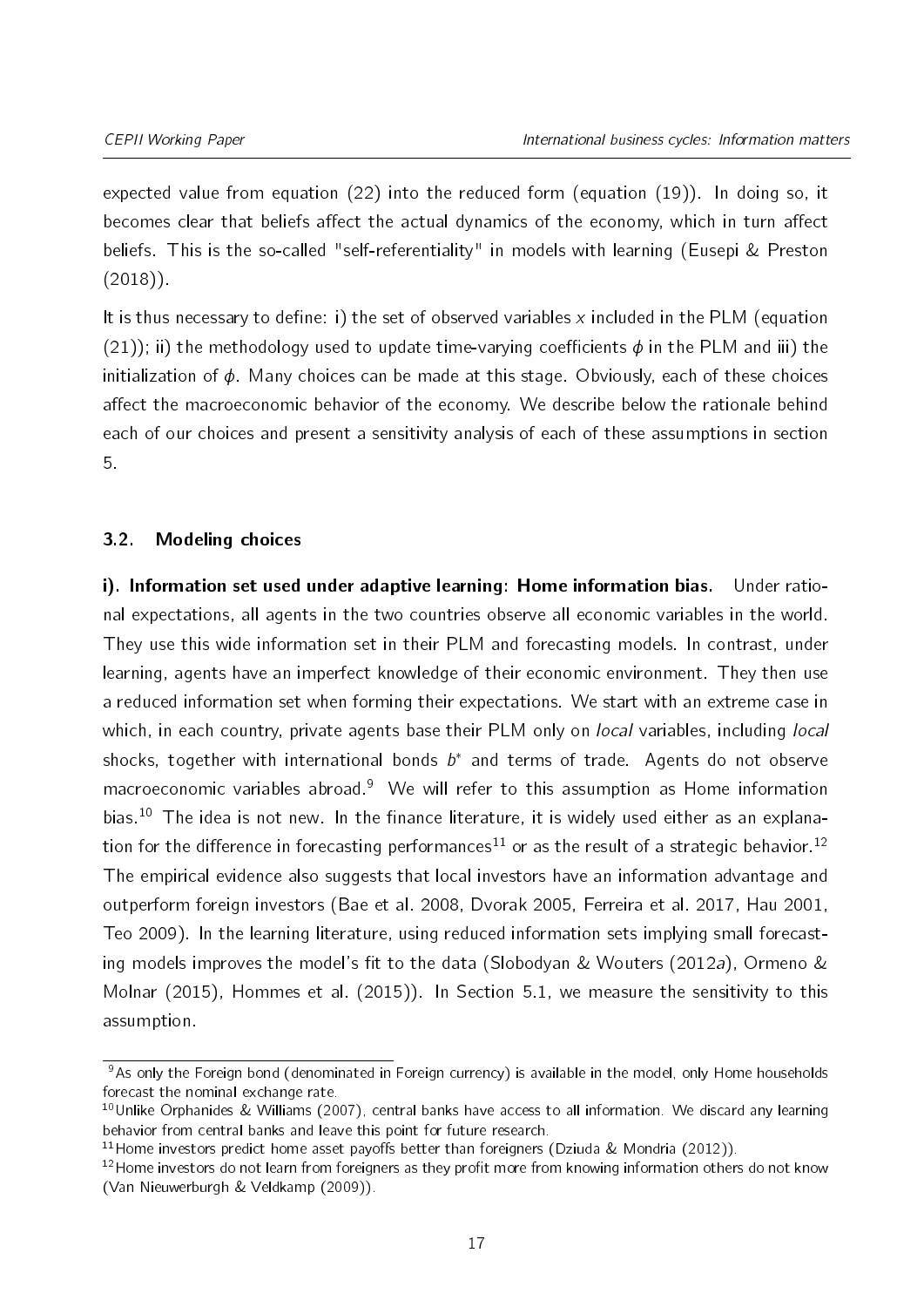expected value from equation [\(22\)](#page-14-1) into the reduced form (equation [\(19\)](#page-14-2)). In doing so, it becomes clear that beliefs affect the actual dynamics of the economy, which in turn affect beliefs. This is the so-called "self-referentiality" in models with learning [\(Eusepi & Preston](#page-35-6)  $(2018)$ .

It is thus necessary to define: i) the set of observed variables x included in the PLM (equation [\(21\)](#page-14-3)); ii) the methodology used to update time-varying coefficients  $\phi$  in the PLM and iii) the initialization of  $\phi$ . Many choices can be made at this stage. Obviously, each of these choices affect the macroeconomic behavior of the economy. We describe below the rationale behind each of our choices and present a sensitivity analysis of each of these assumptions in section [5.](#page-29-0)

# 3.2. Modeling choices

i). Information set used under adaptive learning: Home information bias. Under rational expectations, all agents in the two countries observe all economic variables in the world. They use this wide information set in their PLM and forecasting models. In contrast, under learning, agents have an imperfect knowledge of their economic environment. They then use a reduced information set when forming their expectations. We start with an extreme case in which, in each country, private agents base their PLM only on *local* variables, including *local* shocks, together with international bonds  $b^*$  and terms of trade. Agents do not observe macroeconomic variables abroad.<sup>[9](#page-2-0)</sup> We will refer to this assumption as Home information bias.<sup>[10](#page-2-0)</sup> The idea is not new. In the finance literature, it is widely used either as an explana-tion for the difference in forecasting performances<sup>[11](#page-2-0)</sup> or as the result of a strategic behavior.<sup>[12](#page-2-0)</sup> The empirical evidence also suggests that local investors have an information advantage and outperform foreign investors [\(Bae et al.](#page-34-2) [2008,](#page-34-2) [Dvorak](#page-35-10) [2005,](#page-35-10) [Ferreira et al.](#page-35-11) [2017,](#page-35-11) [Hau](#page-36-9) [2001,](#page-36-9) [Teo](#page-37-5) [2009\)](#page-37-5). In the learning literature, using reduced information sets implying small forecast-ing models improves the model's fit to the data [\(Slobodyan & Wouters](#page-37-6) [\(2012a\)](#page-37-6), [Ormeno &](#page-37-7) [Molnar](#page-37-7) [\(2015\)](#page-37-7), [Hommes et al.](#page-36-10) [\(2015\)](#page-36-10)). In Section [5.1,](#page-29-1) we measure the sensitivity to this assumption.

 $9As$  only the Foreign bond (denominated in Foreign currency) is available in the model, only Home households forecast the nominal exchange rate.

<sup>&</sup>lt;sup>10</sup>Unlike [Orphanides & Williams](#page-37-8) [\(2007\)](#page-37-8), central banks have access to all information. We discard any learning behavior from central banks and leave this point for future research.

<sup>&</sup>lt;sup>11</sup> Home investors predict home asset payoffs better than foreigners [\(Dziuda & Mondria](#page-35-12) [\(2012\)](#page-35-12)).

 $12$ Home investors do not learn from foreigners as they profit more from knowing information others do not know [\(Van Nieuwerburgh & Veldkamp](#page-37-9) [\(2009\)](#page-37-9)).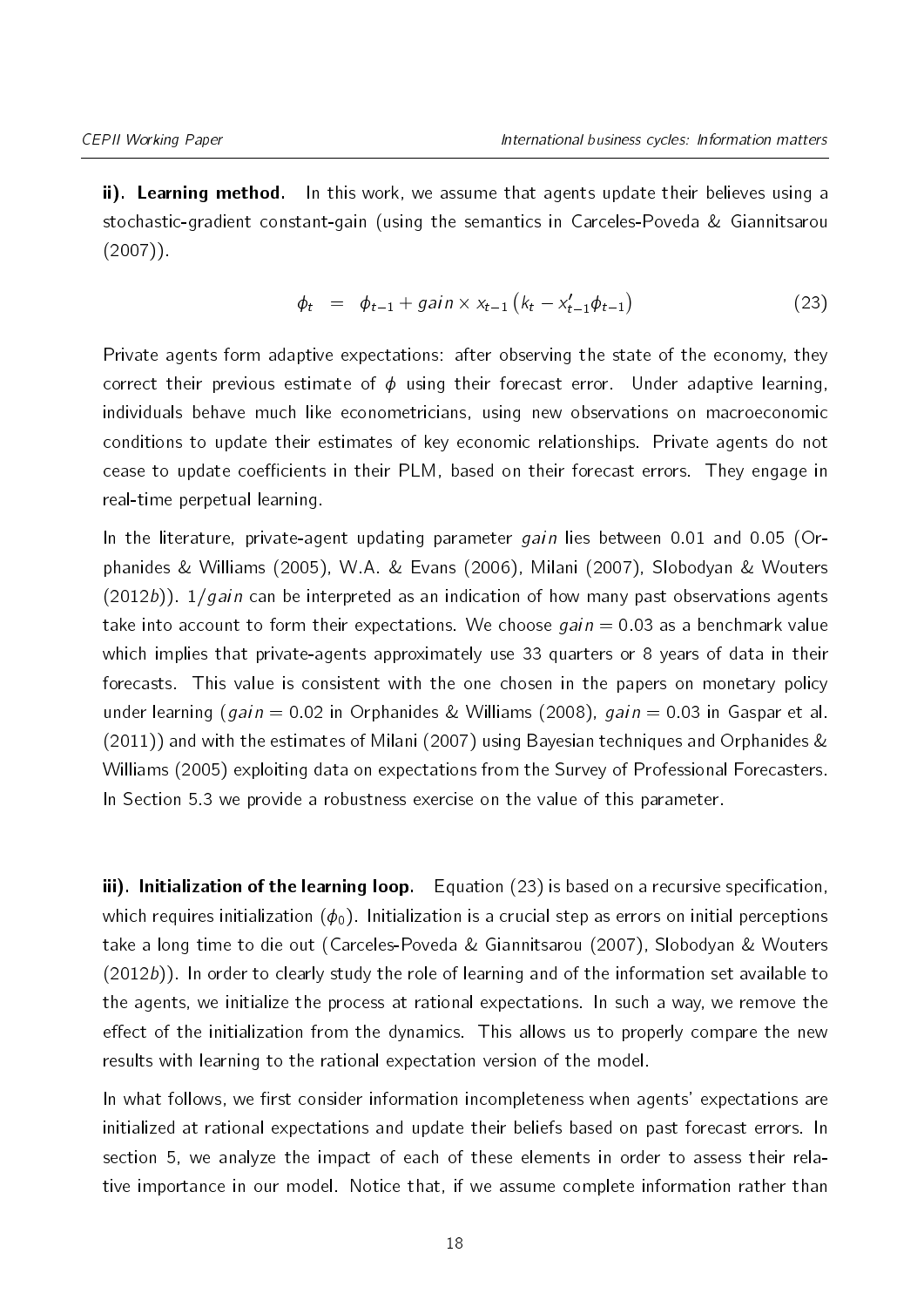ii). Learning method. In this work, we assume that agents update their believes using a stochastic-gradient constant-gain (using the semantics in [Carceles-Poveda & Giannitsarou](#page-35-13)  $(2007)$ .

<span id="page-17-0"></span>
$$
\phi_t = \phi_{t-1} + gain \times x_{t-1} (k_t - x'_{t-1} \phi_{t-1})
$$
\n(23)

Private agents form adaptive expectations: after observing the state of the economy, they correct their previous estimate of  $\phi$  using their forecast error. Under adaptive learning, individuals behave much like econometricians, using new observations on macroeconomic conditions to update their estimates of key economic relationships. Private agents do not cease to update coefficients in their PLM, based on their forecast errors. They engage in real-time perpetual learning.

In the literature, private-agent updating parameter  $gain$  lies between 0.01 and 0.05 [\(Or](#page-37-10)[phanides & Williams](#page-37-10) [\(2005\)](#page-37-10), [W.A. & Evans](#page-37-11) [\(2006\)](#page-37-11), [Milani](#page-36-11) [\(2007\)](#page-36-11), [Slobodyan & Wouters](#page-37-12)  $(2012b)$ ).  $1/qain$  can be interpreted as an indication of how many past observations agents take into account to form their expectations. We choose  $gain = 0.03$  as a benchmark value which implies that private-agents approximately use 33 quarters or 8 years of data in their forecasts. This value is consistent with the one chosen in the papers on monetary policy under learning (gain = 0.02 in [Orphanides & Williams](#page-37-13) [\(2008\)](#page-37-13), gain = 0.03 in [Gaspar et al.](#page-36-12) [\(2011\)](#page-36-12)) and with the estimates of [Milani](#page-36-11) [\(2007\)](#page-36-11) using Bayesian techniques and [Orphanides &](#page-37-10) [Williams](#page-37-10) [\(2005\)](#page-37-10) exploiting data on expectations from the Survey of Professional Forecasters. In Section [5.3](#page-33-1) we provide a robustness exercise on the value of this parameter.

iii). Initialization of the learning loop. Equation  $(23)$  is based on a recursive specification, which requires initialization  $(\phi_0)$ . Initialization is a crucial step as errors on initial perceptions take a long time to die out [\(Carceles-Poveda & Giannitsarou](#page-35-13) [\(2007\)](#page-35-13), [Slobodyan & Wouters](#page-37-12) [\(2012b\)](#page-37-12)). In order to clearly study the role of learning and of the information set available to the agents, we initialize the process at rational expectations. In such a way, we remove the effect of the initialization from the dynamics. This allows us to properly compare the new results with learning to the rational expectation version of the model.

In what follows, we first consider information incompleteness when agents' expectations are initialized at rational expectations and update their beliefs based on past forecast errors. In section [5,](#page-29-0) we analyze the impact of each of these elements in order to assess their relative importance in our model. Notice that, if we assume complete information rather than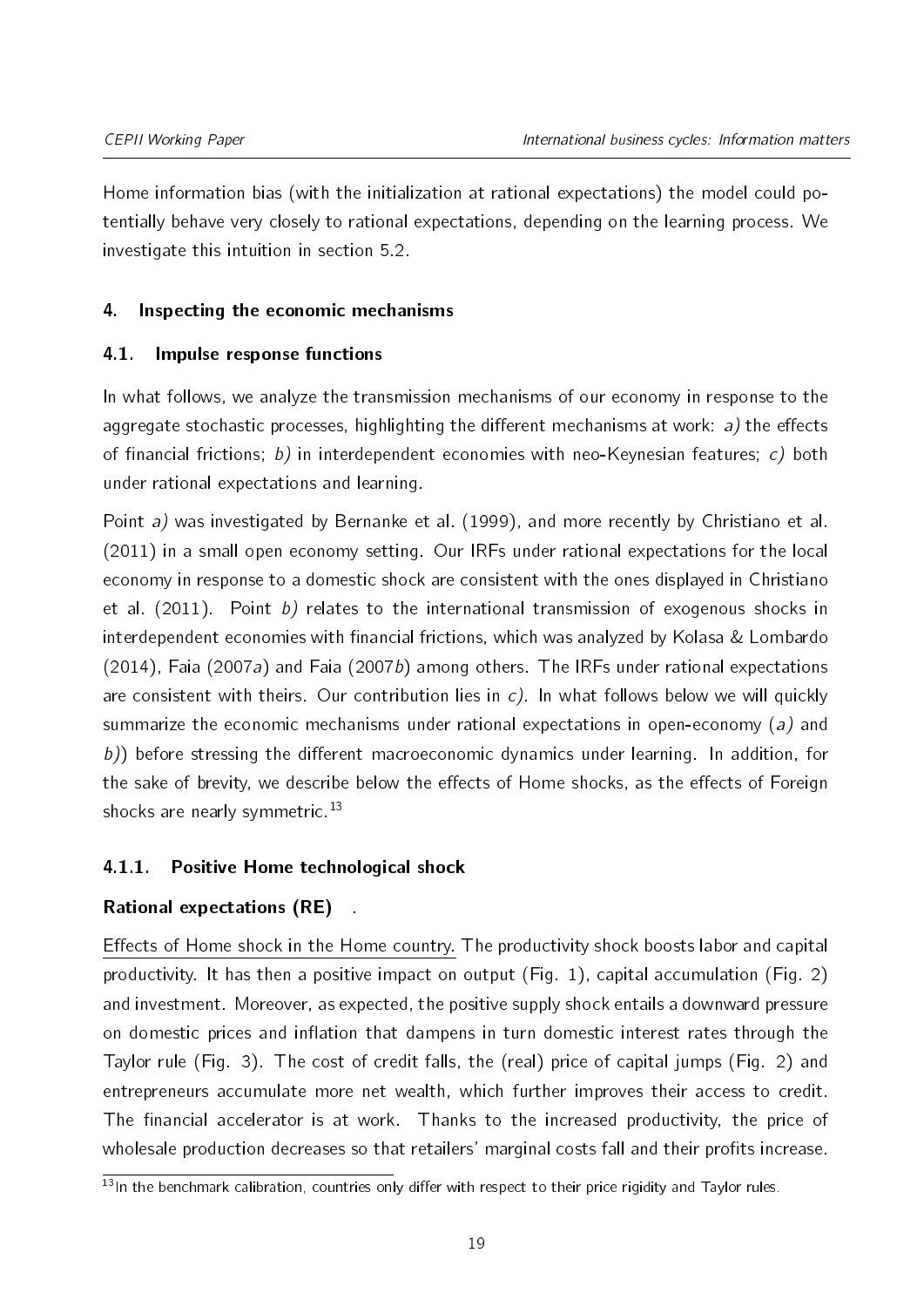Home information bias (with the initialization at rational expectations) the model could potentially behave very closely to rational expectations, depending on the learning process. We investigate this intuition in section [5.2.](#page-30-0)

# <span id="page-18-0"></span>4. Inspecting the economic mechanisms

# 4.1. Impulse response functions

In what follows, we analyze the transmission mechanisms of our economy in response to the aggregate stochastic processes, highlighting the different mechanisms at work:  $a$ ) the effects of financial frictions; b) in interdependent economies with neo-Keynesian features; c) both under rational expectations and learning.

Point a) was investigated by [Bernanke et al.](#page-35-3) [\(1999\)](#page-35-3), and more recently by [Christiano et al.](#page-35-14) [\(2011\)](#page-35-14) in a small open economy setting. Our IRFs under rational expectations for the local economy in response to a domestic shock are consistent with the ones displayed in [Christiano](#page-35-14) [et al.](#page-35-14) [\(2011\)](#page-35-14). Point  $b$ ) relates to the international transmission of exogenous shocks in interdependent economies with financial frictions, which was analyzed by [Kolasa & Lombardo](#page-36-7) [\(2014\)](#page-36-7), [Faia](#page-35-8) [\(2007a\)](#page-35-5) and Faia [\(2007b\)](#page-35-8) among others. The IRFs under rational expectations are consistent with theirs. Our contribution lies in  $c$ ). In what follows below we will quickly summarize the economic mechanisms under rational expectations in open-economy (a) and  $b$ )) before stressing the different macroeconomic dynamics under learning. In addition, for the sake of brevity, we describe below the effects of Home shocks, as the effects of Foreign shocks are nearly symmetric.<sup>[13](#page-2-0)</sup>

# <span id="page-18-1"></span>4.1.1. Positive Home technological shock

# Rational expectations (RE) .

Effects of Home shock in the Home country. The productivity shock boosts labor and capital productivity. It has then a positive impact on output (Fig. [1\)](#page-19-0), capital accumulation (Fig. [2\)](#page-20-0) and investment. Moreover, as expected, the positive supply shock entails a downward pressure on domestic prices and inflation that dampens in turn domestic interest rates through the Taylor rule (Fig. [3\)](#page-21-0). The cost of credit falls, the (real) price of capital jumps (Fig. [2\)](#page-20-0) and entrepreneurs accumulate more net wealth, which further improves their access to credit. The financial accelerator is at work. Thanks to the increased productivity, the price of wholesale production decreases so that retailers' marginal costs fall and their profits increase.

 $\frac{13}{13}$ In the benchmark calibration, countries only differ with respect to their price rigidity and Taylor rules.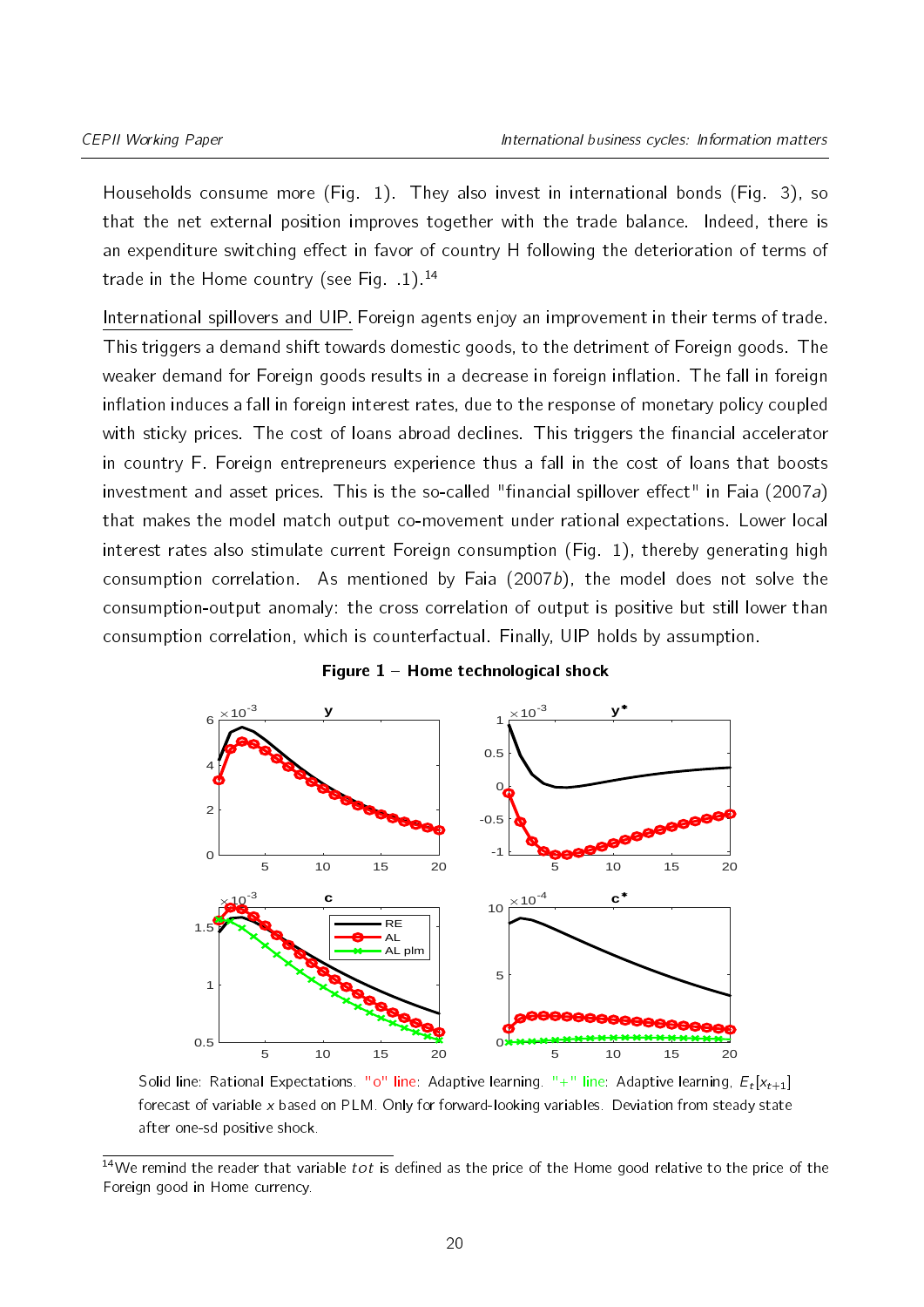Households consume more (Fig. [1\)](#page-19-0). They also invest in international bonds (Fig. [3\)](#page-21-0), so that the net external position improves together with the trade balance. Indeed, there is an expenditure switching effect in favor of country H following the deterioration of terms of trade in the Home country (see Fig.  $1$ ).<sup>[14](#page-2-0)</sup>

International spillovers and UIP. Foreign agents enjoy an improvement in their terms of trade. This triggers a demand shift towards domestic goods, to the detriment of Foreign goods. The weaker demand for Foreign goods results in a decrease in foreign inflation. The fall in foreign inflation induces a fall in foreign interest rates, due to the response of monetary policy coupled with sticky prices. The cost of loans abroad declines. This triggers the financial accelerator in country F. Foreign entrepreneurs experience thus a fall in the cost of loans that boosts investment and asset prices. This is the so-called "financial spillover effect" in [Faia](#page-35-5) [\(2007a\)](#page-35-5) that makes the model match output co-movement under rational expectations. Lower local interest rates also stimulate current Foreign consumption (Fig. [1\)](#page-19-0), thereby generating high consumption correlation. As mentioned by [Faia](#page-35-8)  $(2007b)$ , the model does not solve the consumption-output anomaly: the cross correlation of output is positive but still lower than consumption correlation, which is counterfactual. Finally, UIP holds by assumption.

<span id="page-19-0"></span>

#### Figure  $1 -$  Home technological shock

Solid line: Rational Expectations. "0" line: Adaptive learning. "+" line: Adaptive learning,  $E_t[x_{t+1}]$ forecast of variable x based on PLM. Only for forward-looking variables. Deviation from steady state after one-sd positive shock.

 $14$ We remind the reader that variable tot is defined as the price of the Home good relative to the price of the Foreign good in Home currency.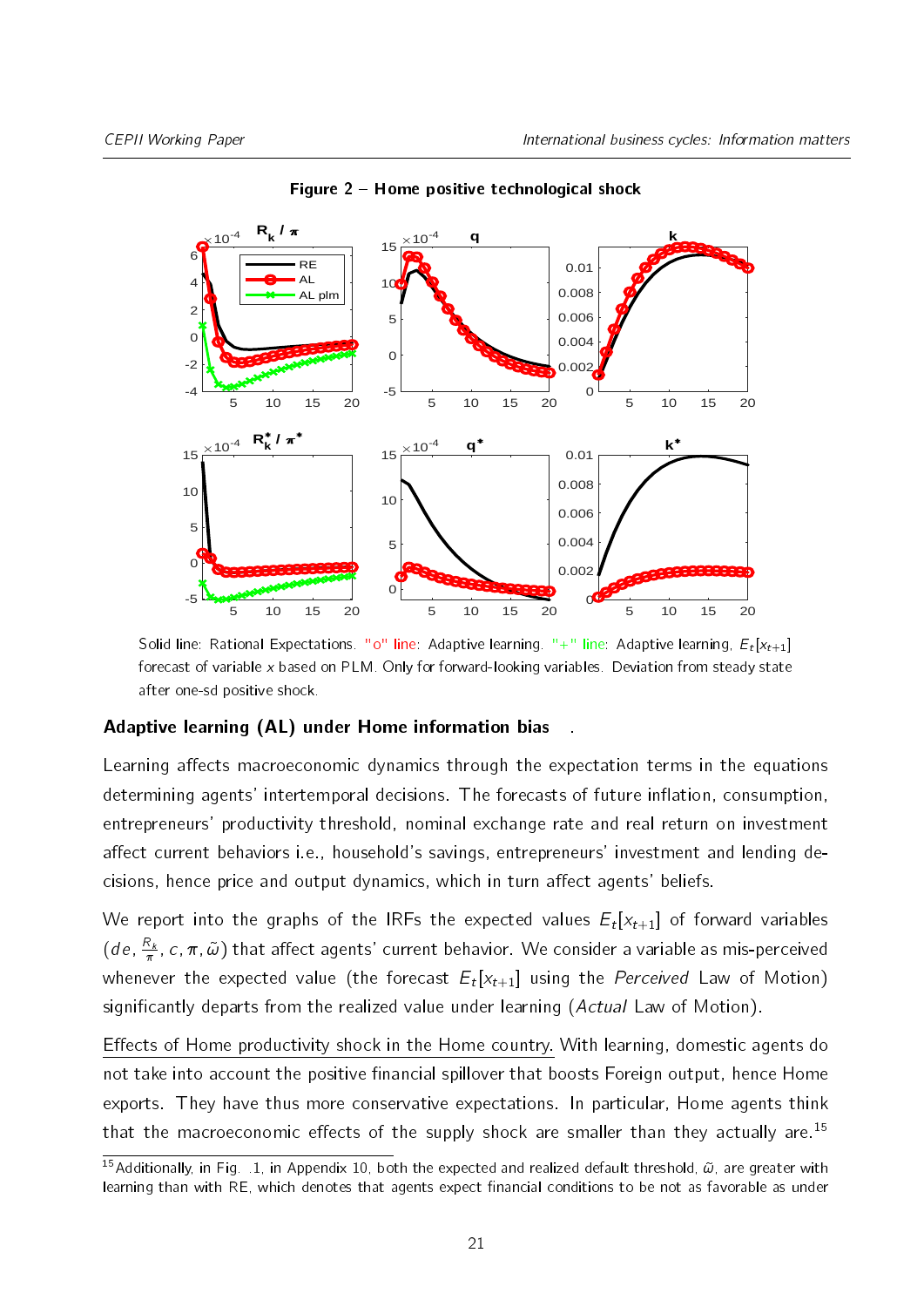<span id="page-20-0"></span>

Figure 2 Home positive technological shock

Solid line: Rational Expectations. "0" line: Adaptive learning. "+" line: Adaptive learning,  $E_t[x_{t+1}]$ forecast of variable x based on PLM. Only for forward-looking variables. Deviation from steady state after one-sd positive shock.

#### Adaptive learning (AL) under Home information bias

Learning affects macroeconomic dynamics through the expectation terms in the equations determining agents' intertemporal decisions. The forecasts of future inflation, consumption, entrepreneurs' productivity threshold, nominal exchange rate and real return on investment affect current behaviors i.e., household's savings, entrepreneurs' investment and lending decisions, hence price and output dynamics, which in turn affect agents' beliefs.

We report into the graphs of the IRFs the expected values  $E_t[\mathsf{x}_{t+1}]$  of forward variables  $(de, \frac{R_k}{\pi}, c, \pi, \tilde{\omega})$  that affect agents' current behavior. We consider a variable as mis-perceived whenever the expected value (the forecast  $E_t[\mathsf{x}_{t+1}]$  using the  $Perceived$  Law of Motion) significantly departs from the realized value under learning (Actual Law of Motion).

Effects of Home productivity shock in the Home country. With learning, domestic agents do not take into account the positive financial spillover that boosts Foreign output, hence Home exports. They have thus more conservative expectations. In particular, Home agents think that the macroeconomic effects of the supply shock are smaller than they actually are.<sup>[15](#page-2-0)</sup>

<sup>&</sup>lt;sup>15</sup>Additionally, in Fig. [.1,](#page-43-0) in Appendix [10,](#page-43-1) both the expected and realized default threshold,  $\tilde{\omega}$ , are greater with learning than with RE, which denotes that agents expect financial conditions to be not as favorable as under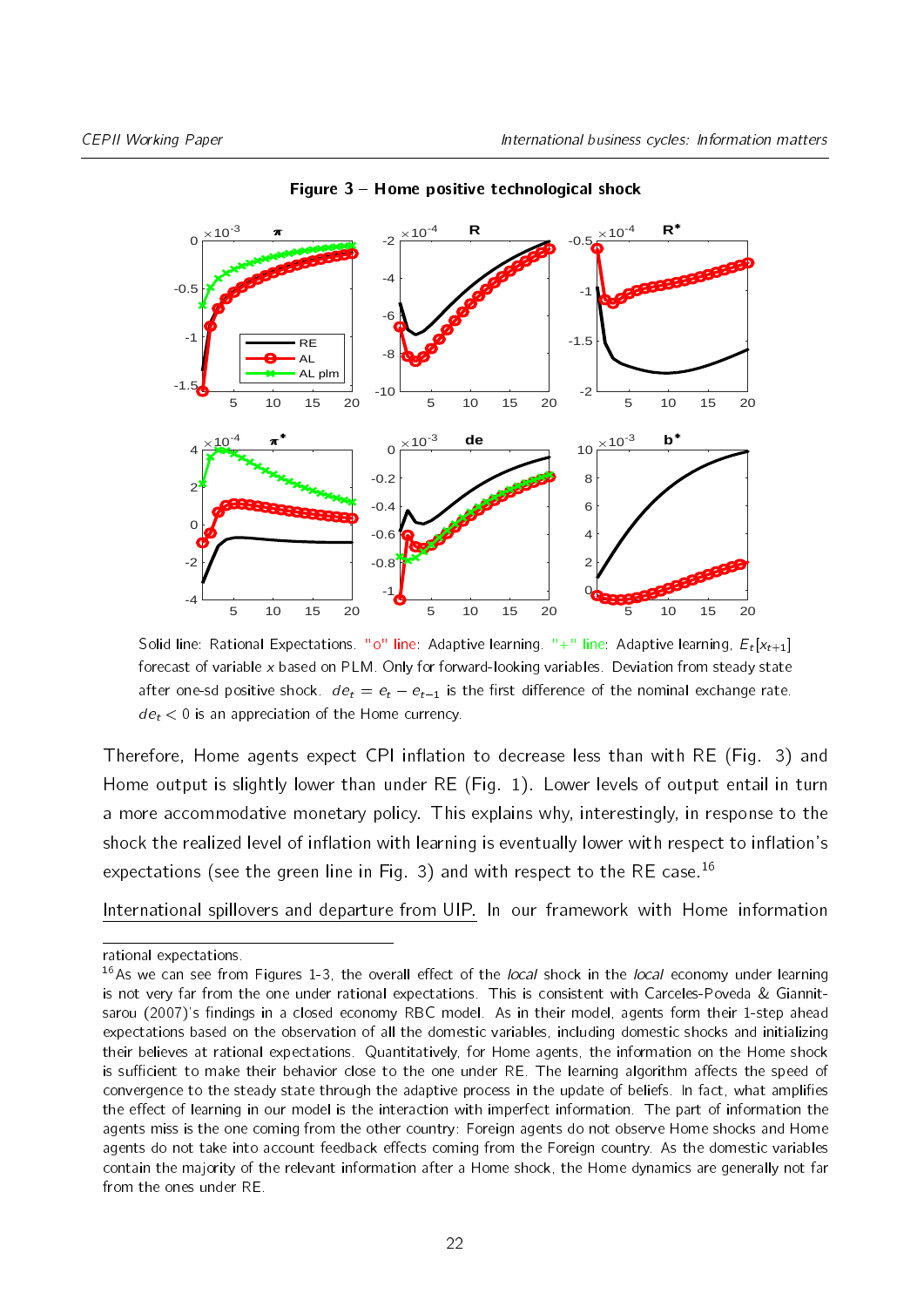<span id="page-21-0"></span>

Figure  $3$  – Home positive technological shock

Solid line: Rational Expectations. "0" line: Adaptive learning. "+" line: Adaptive learning,  $E_t[x_{t+1}]$ forecast of variable x based on PLM. Only for forward-looking variables. Deviation from steady state after one-sd positive shock.  $de_t = e_t - e_{t-1}$  is the first difference of the nominal exchange rate.  $de_t < 0$  is an appreciation of the Home currency.

Therefore, Home agents expect CPI inflation to decrease less than with RE (Fig. 3) and Home output is slightly lower than under RE (Fig. 1). Lower levels of output entail in turn a more accommodative monetary policy. This explains why, interestingly, in response to the shock the realized level of inflation with learning is eventually lower with respect to inflation's expectations (see the green line in Fig. 3) and with respect to the RE case.<sup>[16](#page-2-0)</sup>

International spillovers and departure from UIP. In our framework with Home information

rational expectations.

<sup>&</sup>lt;sup>16</sup>As we can see from Figures 1-3, the overall effect of the *local* shock in the *local* economy under learning is not very far from the one under rational expectations. This is consistent with [Carceles-Poveda & Giannit](#page-35-13)[sarou](#page-35-13) [\(2007\)](#page-35-13)'s findings in a closed economy RBC model. As in their model, agents form their 1-step ahead expectations based on the observation of all the domestic variables, including domestic shocks and initializing their believes at rational expectations. Quantitatively, for Home agents, the information on the Home shock is sufficient to make their behavior close to the one under RE. The learning algorithm affects the speed of convergence to the steady state through the adaptive process in the update of beliefs. In fact, what amplies the effect of learning in our model is the interaction with imperfect information. The part of information the agents miss is the one coming from the other country: Foreign agents do not observe Home shocks and Home agents do not take into account feedback effects coming from the Foreign country. As the domestic variables contain the majority of the relevant information after a Home shock, the Home dynamics are generally not far from the ones under RE.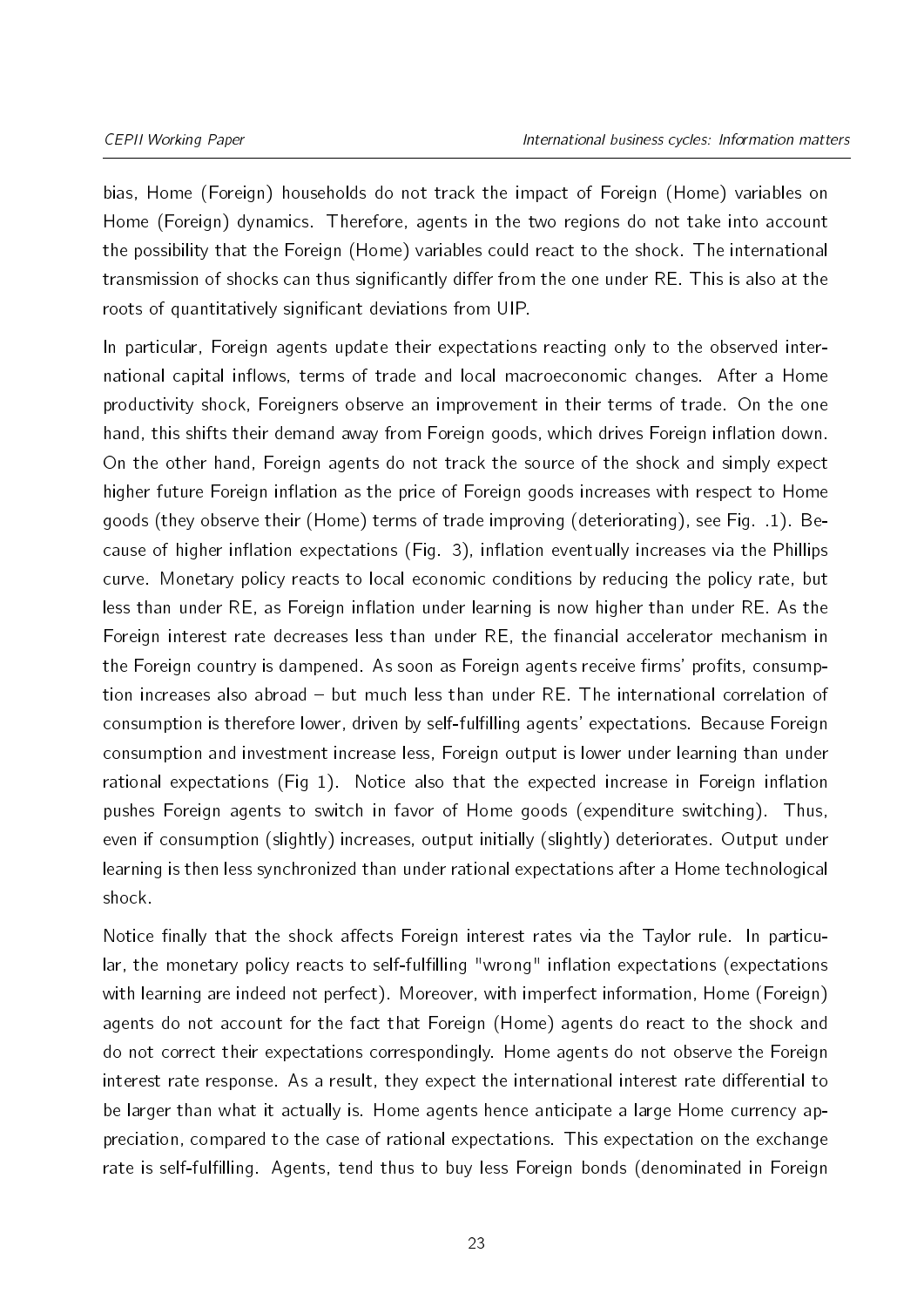bias, Home (Foreign) households do not track the impact of Foreign (Home) variables on Home (Foreign) dynamics. Therefore, agents in the two regions do not take into account the possibility that the Foreign (Home) variables could react to the shock. The international transmission of shocks can thus significantly differ from the one under RE. This is also at the roots of quantitatively significant deviations from UIP.

In particular, Foreign agents update their expectations reacting only to the observed international capital inflows, terms of trade and local macroeconomic changes. After a Home productivity shock, Foreigners observe an improvement in their terms of trade. On the one hand, this shifts their demand away from Foreign goods, which drives Foreign inflation down. On the other hand, Foreign agents do not track the source of the shock and simply expect higher future Foreign inflation as the price of Foreign goods increases with respect to Home goods (they observe their (Home) terms of trade improving (deteriorating), see Fig. [.1\)](#page-43-0). Because of higher inflation expectations (Fig. 3), inflation eventually increases via the Phillips curve. Monetary policy reacts to local economic conditions by reducing the policy rate, but less than under RE, as Foreign inflation under learning is now higher than under RE. As the Foreign interest rate decreases less than under RE, the financial accelerator mechanism in the Foreign country is dampened. As soon as Foreign agents receive firms' profits, consumption increases also abroad  $-$  but much less than under RE. The international correlation of consumption is therefore lower, driven by self-fulfilling agents' expectations. Because Foreign consumption and investment increase less, Foreign output is lower under learning than under rational expectations (Fig 1). Notice also that the expected increase in Foreign inflation pushes Foreign agents to switch in favor of Home goods (expenditure switching). Thus, even if consumption (slightly) increases, output initially (slightly) deteriorates. Output under learning is then less synchronized than under rational expectations after a Home technological shock.

Notice finally that the shock affects Foreign interest rates via the Taylor rule. In particular, the monetary policy reacts to self-fulfilling "wrong" inflation expectations (expectations with learning are indeed not perfect). Moreover, with imperfect information, Home (Foreign) agents do not account for the fact that Foreign (Home) agents do react to the shock and do not correct their expectations correspondingly. Home agents do not observe the Foreign interest rate response. As a result, they expect the international interest rate differential to be larger than what it actually is. Home agents hence anticipate a large Home currency appreciation, compared to the case of rational expectations. This expectation on the exchange rate is self-fulfilling. Agents, tend thus to buy less Foreign bonds (denominated in Foreign

23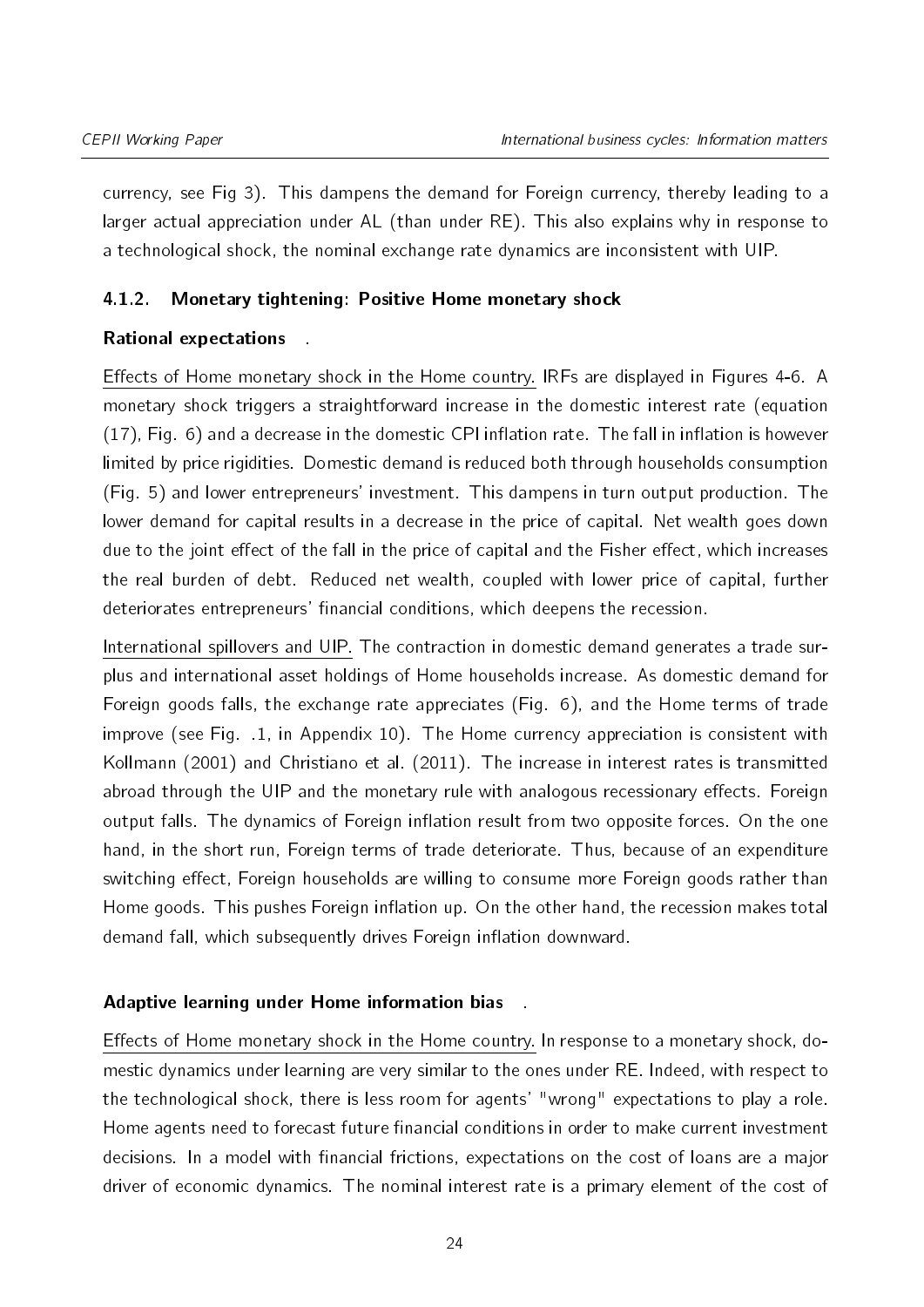currency, see Fig 3). This dampens the demand for Foreign currency, thereby leading to a larger actual appreciation under AL (than under RE). This also explains why in response to a technological shock, the nominal exchange rate dynamics are inconsistent with UIP.

# <span id="page-23-0"></span>4.1.2. Monetary tightening: Positive Home monetary shock

# Rational expectations .

Effects of Home monetary shock in the Home country. IRFs are displayed in Figures [4](#page-24-0)[-6.](#page-26-0) A monetary shock triggers a straightforward increase in the domestic interest rate (equation  $(17)$ , Fig. [6\)](#page-26-0) and a decrease in the domestic CPI inflation rate. The fall in inflation is however limited by price rigidities. Domestic demand is reduced both through households consumption (Fig. [5\)](#page-25-0) and lower entrepreneurs' investment. This dampens in turn output production. The lower demand for capital results in a decrease in the price of capital. Net wealth goes down due to the joint effect of the fall in the price of capital and the Fisher effect, which increases the real burden of debt. Reduced net wealth, coupled with lower price of capital, further deteriorates entrepreneurs' financial conditions, which deepens the recession.

International spillovers and UIP. The contraction in domestic demand generates a trade surplus and international asset holdings of Home households increase. As domestic demand for Foreign goods falls, the exchange rate appreciates (Fig. [6\)](#page-26-0), and the Home terms of trade improve (see Fig. [.1,](#page-43-0) in Appendix [10\)](#page-43-1). The Home currency appreciation is consistent with [Kollmann](#page-36-13) [\(2001\)](#page-36-13) and [Christiano et al.](#page-35-14) [\(2011\)](#page-35-14). The increase in interest rates is transmitted abroad through the UIP and the monetary rule with analogous recessionary effects. Foreign output falls. The dynamics of Foreign inflation result from two opposite forces. On the one hand, in the short run, Foreign terms of trade deteriorate. Thus, because of an expenditure switching effect. Foreign households are willing to consume more Foreign goods rather than Home goods. This pushes Foreign inflation up. On the other hand, the recession makes total demand fall, which subsequently drives Foreign inflation downward.

# Adaptive learning under Home information bias .

Effects of Home monetary shock in the Home country. In response to a monetary shock, domestic dynamics under learning are very similar to the ones under RE. Indeed, with respect to the technological shock, there is less room for agents' "wrong" expectations to play a role. Home agents need to forecast future financial conditions in order to make current investment decisions. In a model with financial frictions, expectations on the cost of loans are a major driver of economic dynamics. The nominal interest rate is a primary element of the cost of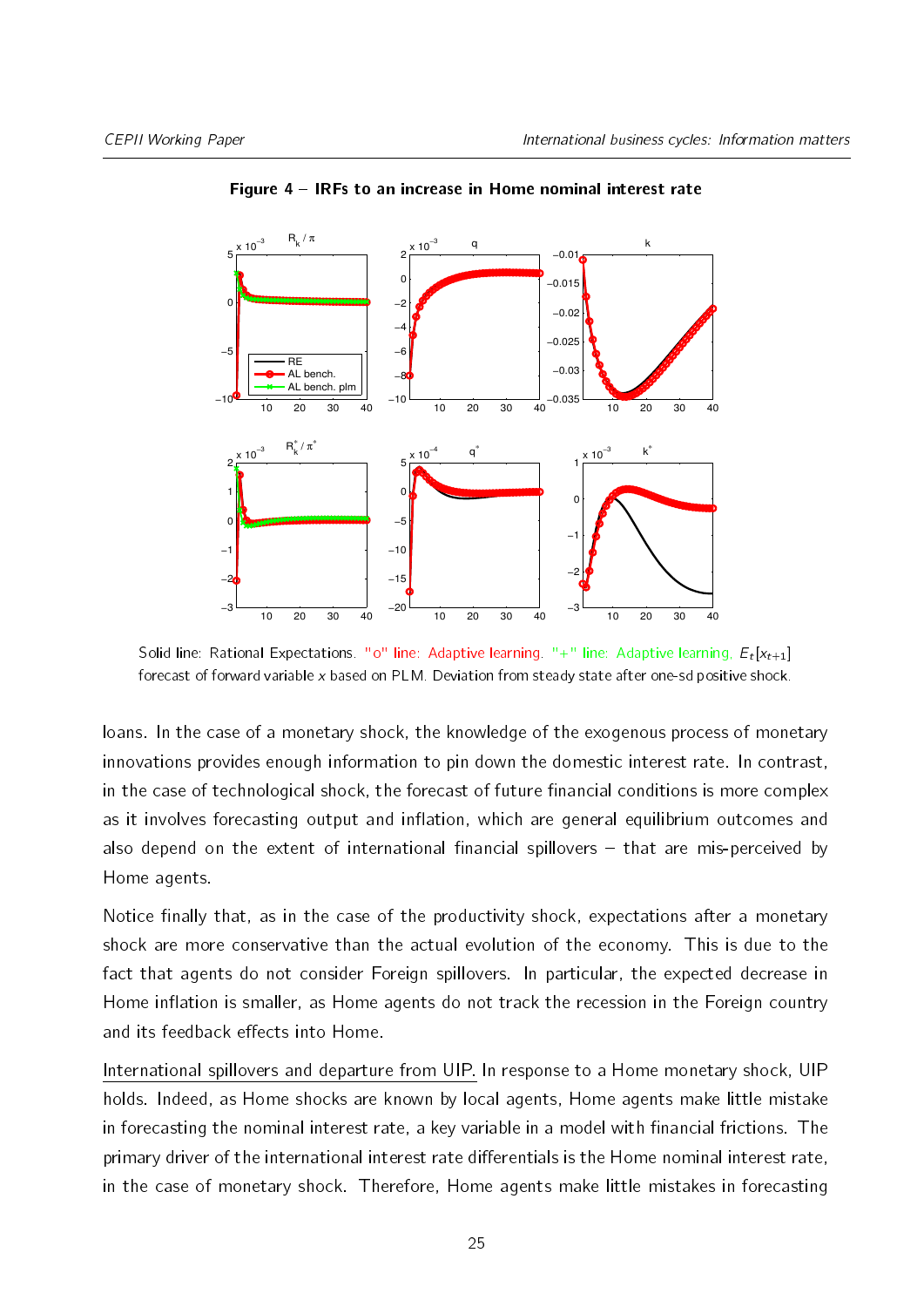<span id="page-24-0"></span>

Figure 4 – IRFs to an increase in Home nominal interest rate

Solid line: Rational Expectations. "0" line: Adaptive learning. "+" line: Adaptive learning,  $E_t[\mathsf{x}_{t+1}]$ forecast of forward variable x based on PLM. Deviation from steady state after one-sd positive shock.

loans. In the case of a monetary shock, the knowledge of the exogenous process of monetary innovations provides enough information to pin down the domestic interest rate. In contrast, in the case of technological shock, the forecast of future financial conditions is more complex as it involves forecasting output and inflation, which are general equilibrium outcomes and also depend on the extent of international financial spillovers  $-$  that are mis-perceived by Home agents.

Notice finally that, as in the case of the productivity shock, expectations after a monetary shock are more conservative than the actual evolution of the economy. This is due to the fact that agents do not consider Foreign spillovers. In particular, the expected decrease in Home inflation is smaller, as Home agents do not track the recession in the Foreign country and its feedback effects into Home.

International spillovers and departure from UIP. In response to a Home monetary shock, UIP holds. Indeed, as Home shocks are known by local agents, Home agents make little mistake in forecasting the nominal interest rate, a key variable in a model with financial frictions. The primary driver of the international interest rate differentials is the Home nominal interest rate, in the case of monetary shock. Therefore, Home agents make little mistakes in forecasting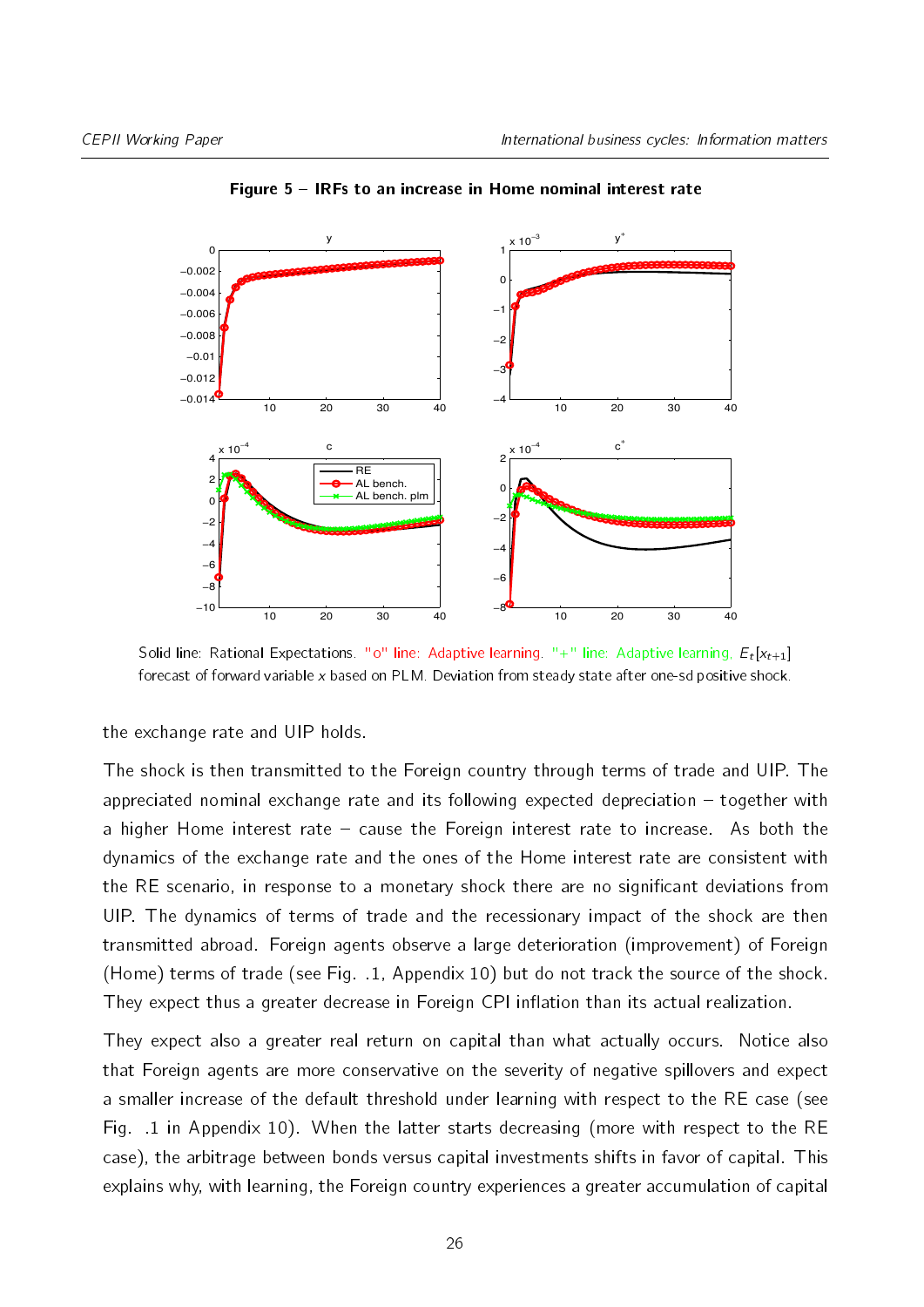<span id="page-25-0"></span>

#### Figure 5 – IRFs to an increase in Home nominal interest rate

Solid line: Rational Expectations. "0" line: Adaptive learning. "+" line: Adaptive learning,  $E_t[\mathsf{x}_{t+1}]$ forecast of forward variable x based on PLM. Deviation from steady state after one-sd positive shock.

the exchange rate and UIP holds.

The shock is then transmitted to the Foreign country through terms of trade and UIP. The appreciated nominal exchange rate and its following expected depreciation  $-$  together with a higher Home interest rate  $-$  cause the Foreign interest rate to increase. As both the dynamics of the exchange rate and the ones of the Home interest rate are consistent with the RE scenario, in response to a monetary shock there are no significant deviations from UIP. The dynamics of terms of trade and the recessionary impact of the shock are then transmitted abroad. Foreign agents observe a large deterioration (improvement) of Foreign (Home) terms of trade (see Fig. [.1,](#page-43-0) Appendix [10\)](#page-43-1) but do not track the source of the shock. They expect thus a greater decrease in Foreign CPI inflation than its actual realization.

They expect also a greater real return on capital than what actually occurs. Notice also that Foreign agents are more conservative on the severity of negative spillovers and expect a smaller increase of the default threshold under learning with respect to the RE case (see Fig. [.1](#page-43-0) in Appendix [10\)](#page-43-1). When the latter starts decreasing (more with respect to the RE case), the arbitrage between bonds versus capital investments shifts in favor of capital. This explains why, with learning, the Foreign country experiences a greater accumulation of capital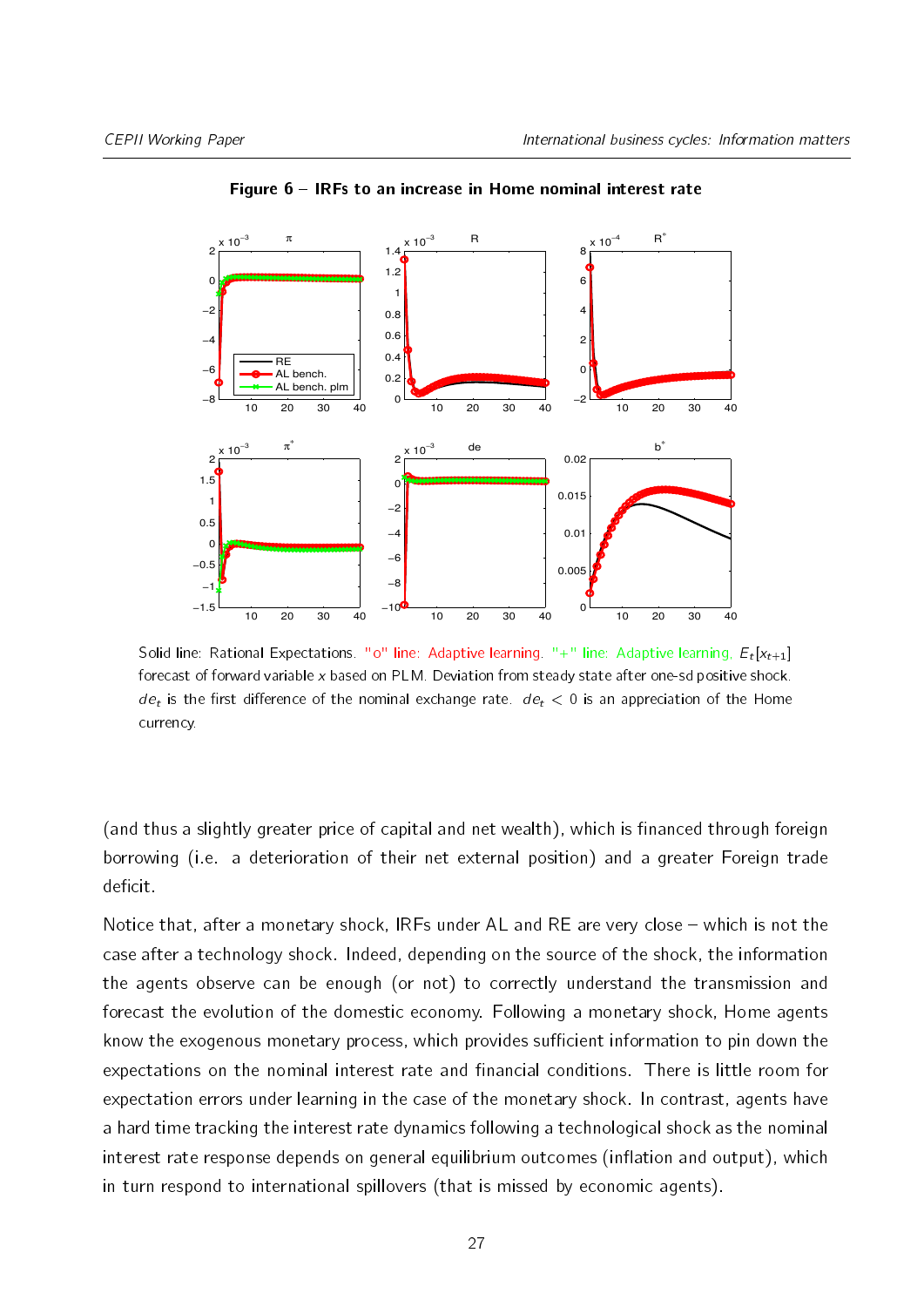<span id="page-26-0"></span>

Figure 6 – IRFs to an increase in Home nominal interest rate

Solid line: Rational Expectations. "0" line: Adaptive learning. "+" line: Adaptive learning,  $E_t[\mathsf{x}_{t+1}]$ forecast of forward variable x based on PLM. Deviation from steady state after one-sd positive shock.  $de_t$  is the first difference of the nominal exchange rate.  $de_t < 0$  is an appreciation of the Home currency.

(and thus a slightly greater price of capital and net wealth), which is financed through foreign borrowing (i.e. a deterioration of their net external position) and a greater Foreign trade deficit.

Notice that, after a monetary shock, IRFs under  $AL$  and RE are very close  $-$  which is not the case after a technology shock. Indeed, depending on the source of the shock, the information the agents observe can be enough (or not) to correctly understand the transmission and forecast the evolution of the domestic economy. Following a monetary shock, Home agents know the exogenous monetary process, which provides sufficient information to pin down the expectations on the nominal interest rate and financial conditions. There is little room for expectation errors under learning in the case of the monetary shock. In contrast, agents have a hard time tracking the interest rate dynamics following a technological shock as the nominal interest rate response depends on general equilibrium outcomes (inflation and output), which in turn respond to international spillovers (that is missed by economic agents).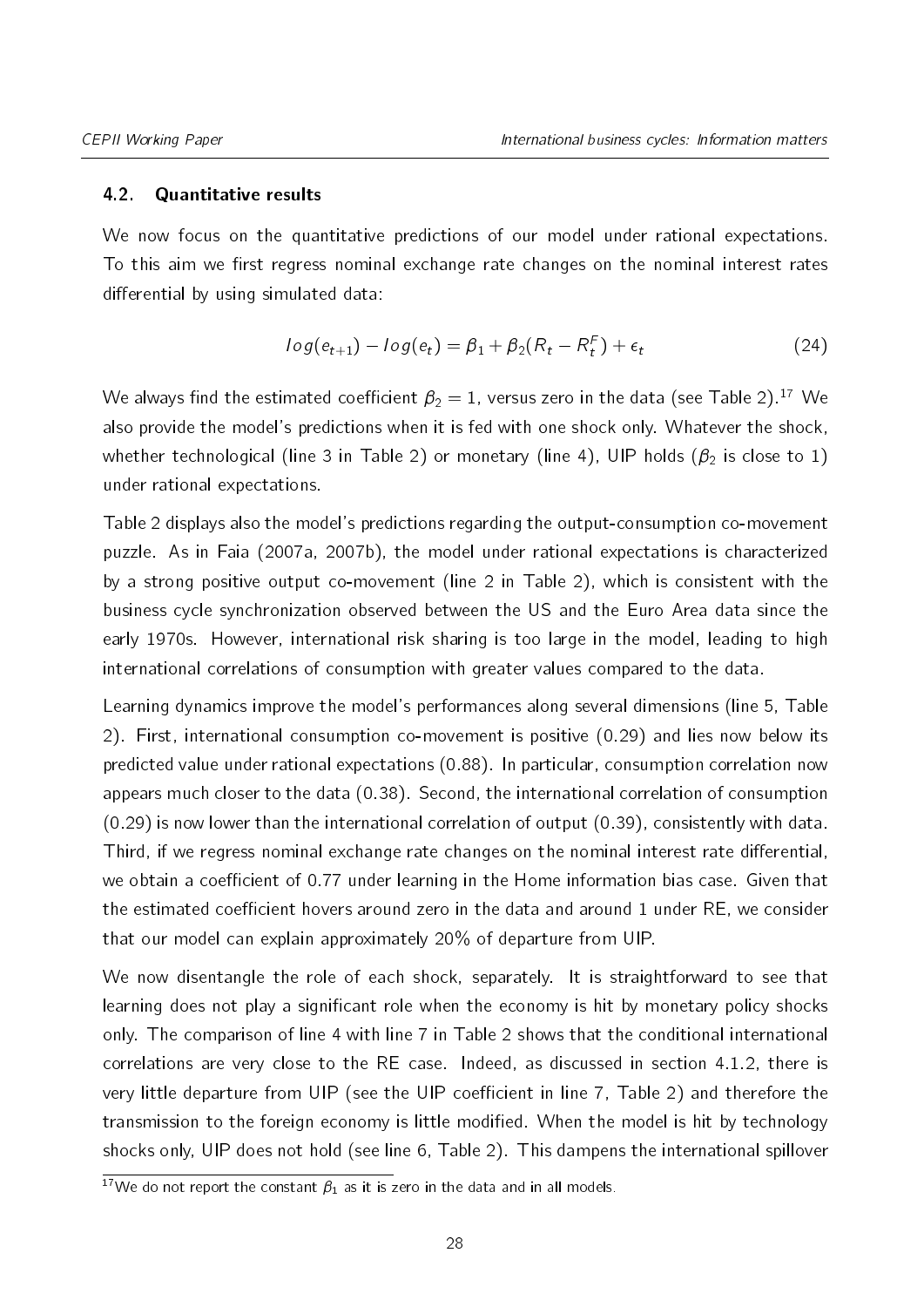#### 4.2. Quantitative results

We now focus on the quantitative predictions of our model under rational expectations. To this aim we first regress nominal exchange rate changes on the nominal interest rates differential by using simulated data:

<span id="page-27-0"></span>
$$
log(e_{t+1}) - log(e_t) = \beta_1 + \beta_2 (R_t - R_t^F) + \epsilon_t
$$
\n(24)

We always find the estimated coefficient  $\beta_2 = 1$ , versus zero in the data (see Table [2\)](#page-28-0).<sup>[17](#page-2-0)</sup> We also provide the model's predictions when it is fed with one shock only. Whatever the shock, whether technological (line 3 in Table [2\)](#page-28-0) or monetary (line 4), UIP holds ( $\beta_2$  is close to 1) under rational expectations.

Table [2](#page-28-0) displays also the model's predictions regarding the output-consumption co-movement puzzle. As in Faia (2007a, 2007b), the model under rational expectations is characterized by a strong positive output co-movement (line 2 in Table [2\)](#page-28-0), which is consistent with the business cycle synchronization observed between the US and the Euro Area data since the early 1970s. However, international risk sharing is too large in the model, leading to high international correlations of consumption with greater values compared to the data.

Learning dynamics improve the model's performances along several dimensions (line 5, Table [2\)](#page-28-0). First, international consumption co-movement is positive (0.29) and lies now below its predicted value under rational expectations (0.88). In particular, consumption correlation now appears much closer to the data (0.38). Second, the international correlation of consumption (0.29) is now lower than the international correlation of output (0.39), consistently with data. Third, if we regress nominal exchange rate changes on the nominal interest rate differential, we obtain a coefficient of 0.77 under learning in the Home information bias case. Given that the estimated coefficient hovers around zero in the data and around 1 under RE, we consider that our model can explain approximately 20% of departure from UIP.

We now disentangle the role of each shock, separately. It is straightforward to see that learning does not play a significant role when the economy is hit by monetary policy shocks only. The comparison of line 4 with line 7 in Table [2](#page-28-0) shows that the conditional international correlations are very close to the RE case. Indeed, as discussed in section [4.1.2,](#page-23-0) there is very little departure from UIP (see the UIP coefficient in line 7, Table [2\)](#page-28-0) and therefore the transmission to the foreign economy is little modified. When the model is hit by technology shocks only, UIP does not hold (see line 6, Table [2\)](#page-28-0). This dampens the international spillover

 $\frac{17}{17}$  do not report the constant  $\beta_1$  as it is zero in the data and in all models.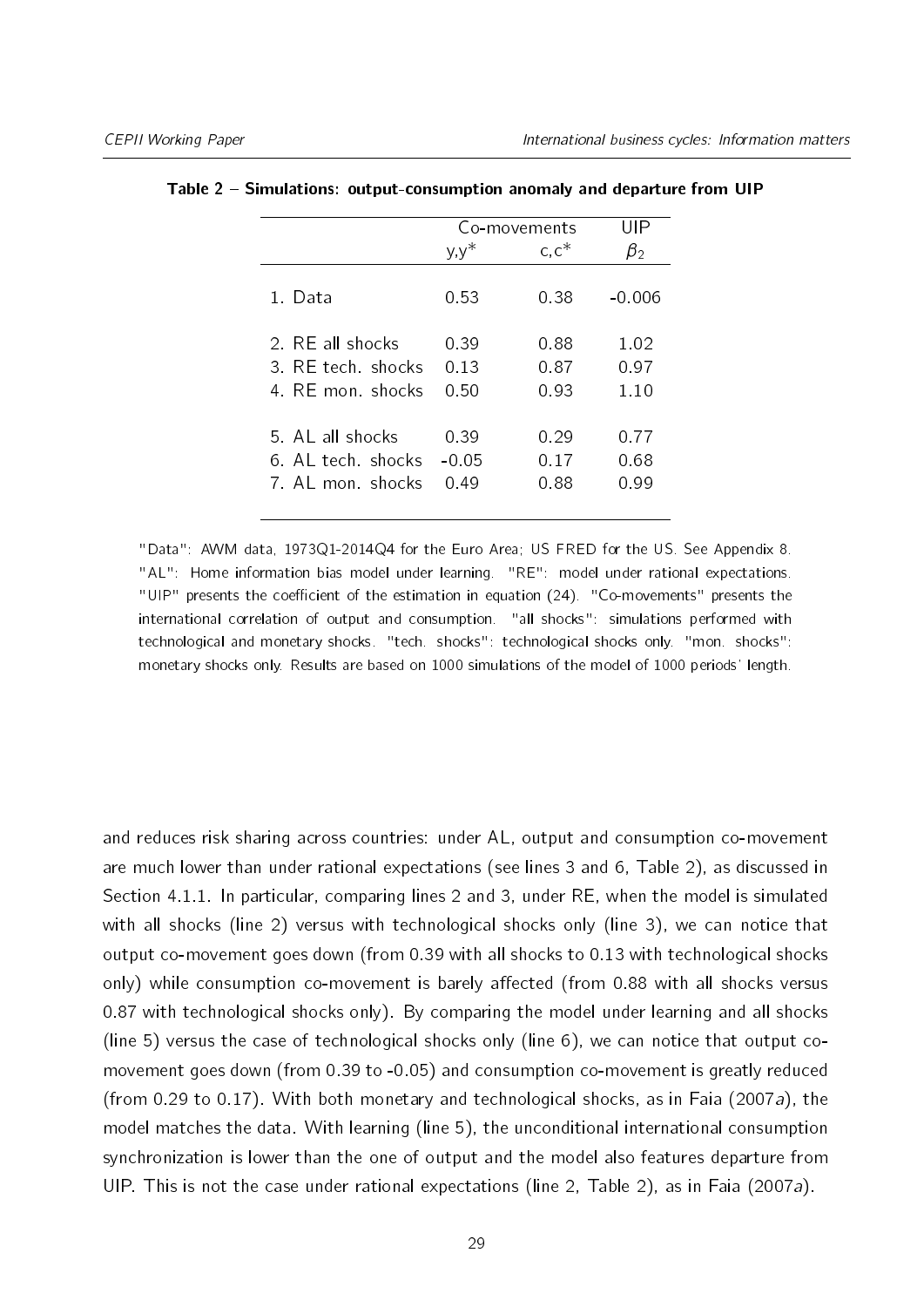|                                                           | Co-movements            |                      | UIP                  |
|-----------------------------------------------------------|-------------------------|----------------------|----------------------|
|                                                           | $y, y^*$                | $c, c^*$             | $\beta_{2}$          |
| 1 Data                                                    | 0.53                    | 0.38                 | -0.006               |
| 2 RF all shocks<br>3. RF tech shocks<br>4. RF mon. shocks | 0.39<br>0.13<br>0.50    | 0.88<br>0.87<br>0.93 | 1.02<br>0.97<br>1.10 |
| 5 AL all shocks<br>6 AL tech shocks<br>7 AL mon shocks    | 0.39<br>$-0.05$<br>0.49 | 0.29<br>0.17<br>0.88 | 0.77<br>0.68<br>0.99 |

<span id="page-28-0"></span>

| Table 2 – Simulations: output-consumption anomaly and departure from UIP |  |  |  |  |  |  |  |
|--------------------------------------------------------------------------|--|--|--|--|--|--|--|
|--------------------------------------------------------------------------|--|--|--|--|--|--|--|

"Data": AWM data, 1973Q1-2014Q4 for the Euro Area; US FRED for the US. See Appendix [8.](#page-38-0) "AL": Home information bias model under learning. "RE": model under rational expectations. "UIP" presents the coefficient of the estimation in equation [\(24\)](#page-27-0). "Co-movements" presents the international correlation of output and consumption. "all shocks": simulations performed with technological and monetary shocks. "tech. shocks": technological shocks only. "mon. shocks": monetary shocks only. Results are based on 1000 simulations of the model of 1000 periods' length.

and reduces risk sharing across countries: under AL, output and consumption co-movement are much lower than under rational expectations (see lines 3 and 6, Table [2\)](#page-28-0), as discussed in Section [4.1.1.](#page-18-1) In particular, comparing lines 2 and 3, under RE, when the model is simulated with all shocks (line 2) versus with technological shocks only (line 3), we can notice that output co-movement goes down (from 0.39 with all shocks to 0.13 with technological shocks only) while consumption co-movement is barely affected (from 0.88 with all shocks versus 0.87 with technological shocks only). By comparing the model under learning and all shocks (line 5) versus the case of technological shocks only (line 6), we can notice that output comovement goes down (from 0.39 to -0.05) and consumption co-movement is greatly reduced (from 0.29 to 0.17). With both monetary and technological shocks, as in [Faia](#page-35-5) [\(2007a\)](#page-35-5), the model matches the data. With learning (line 5), the unconditional international consumption synchronization is lower than the one of output and the model also features departure from UIP. This is not the case under rational expectations (line 2, Table [2\)](#page-28-0), as in [Faia](#page-35-5) [\(2007a\)](#page-35-5).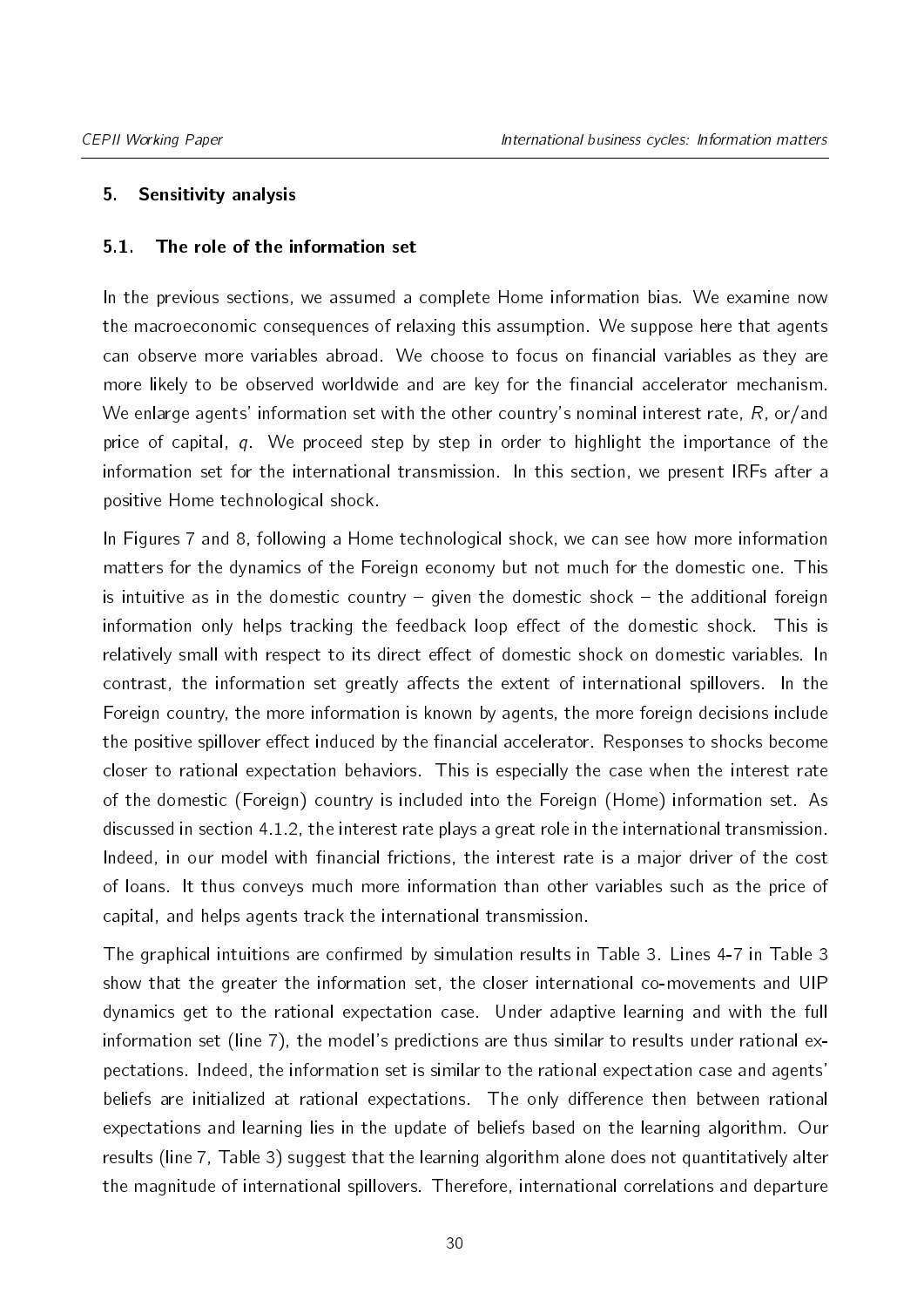# <span id="page-29-0"></span>5. Sensitivity analysis

## <span id="page-29-1"></span>5.1. The role of the information set

In the previous sections, we assumed a complete Home information bias. We examine now the macroeconomic consequences of relaxing this assumption. We suppose here that agents can observe more variables abroad. We choose to focus on financial variables as they are more likely to be observed worldwide and are key for the financial accelerator mechanism. We enlarge agents' information set with the other country's nominal interest rate,  $R$ , or/and price of capital,  $q$ . We proceed step by step in order to highlight the importance of the information set for the international transmission. In this section, we present IRFs after a positive Home technological shock.

In Figures [7](#page-30-1) and [8,](#page-32-0) following a Home technological shock, we can see how more information matters for the dynamics of the Foreign economy but not much for the domestic one. This is intuitive as in the domestic country  $-$  given the domestic shock  $-$  the additional foreign information only helps tracking the feedback loop effect of the domestic shock. This is relatively small with respect to its direct effect of domestic shock on domestic variables. In contrast, the information set greatly affects the extent of international spillovers. In the Foreign country, the more information is known by agents, the more foreign decisions include the positive spillover effect induced by the financial accelerator. Responses to shocks become closer to rational expectation behaviors. This is especially the case when the interest rate of the domestic (Foreign) country is included into the Foreign (Home) information set. As discussed in section [4.1.2,](#page-23-0) the interest rate plays a great role in the international transmission. Indeed, in our model with financial frictions, the interest rate is a major driver of the cost of loans. It thus conveys much more information than other variables such as the price of capital, and helps agents track the international transmission.

The graphical intuitions are confirmed by simulation results in Table [3.](#page-31-0) Lines 4-7 in Table [3](#page-31-0) show that the greater the information set, the closer international co-movements and UIP dynamics get to the rational expectation case. Under adaptive learning and with the full information set (line 7), the model's predictions are thus similar to results under rational expectations. Indeed, the information set is similar to the rational expectation case and agents' beliefs are initialized at rational expectations. The only difference then between rational expectations and learning lies in the update of beliefs based on the learning algorithm. Our results (line 7, Table [3\)](#page-31-0) suggest that the learning algorithm alone does not quantitatively alter the magnitude of international spillovers. Therefore, international correlations and departure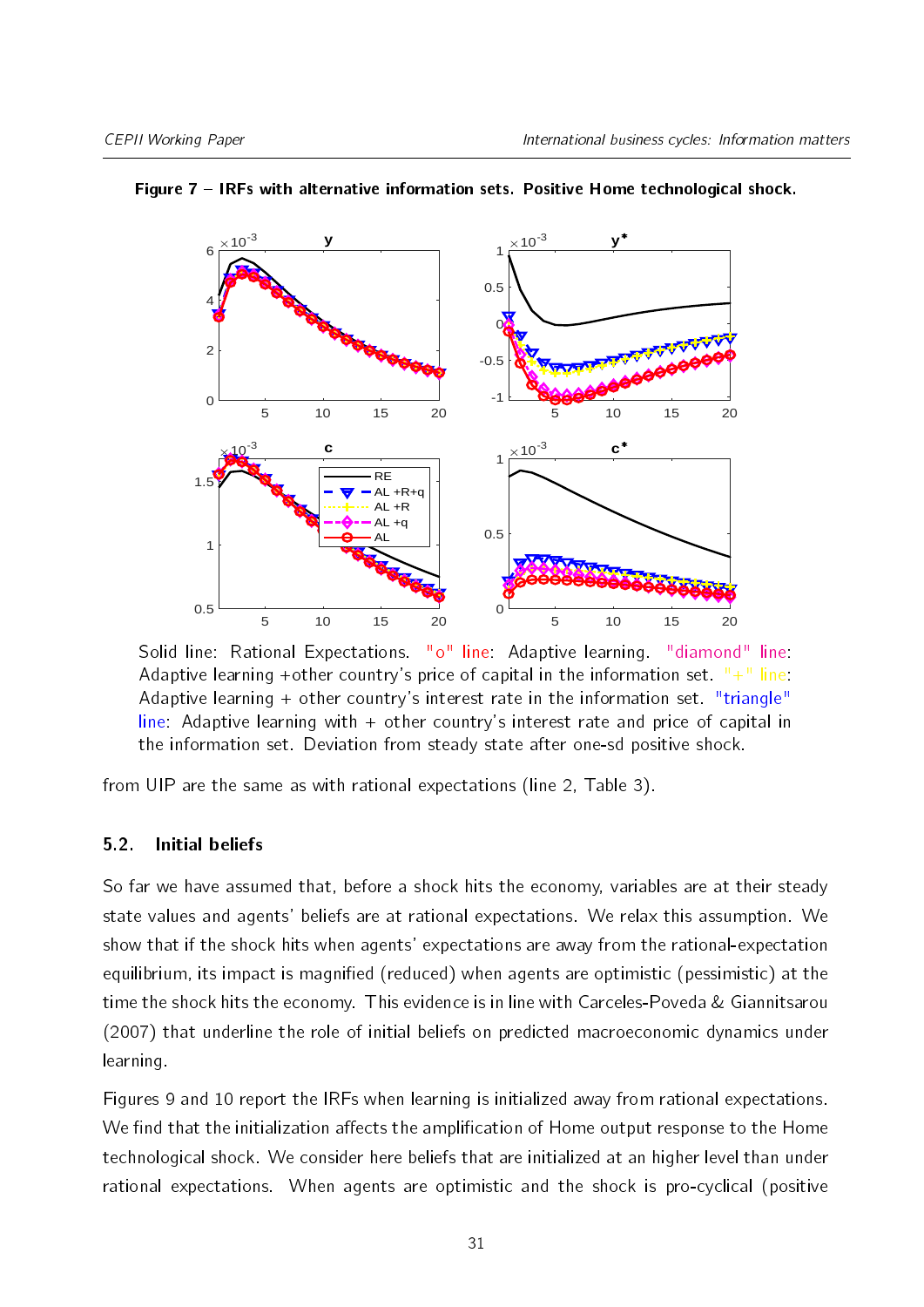

<span id="page-30-1"></span>Figure 7 - IRFs with alternative information sets. Positive Home technological shock.

Solid line: Rational Expectations. "o" line: Adaptive learning. "diamond" line: Adaptive learning +other country's price of capital in the information set.  $H + H$  line: Adaptive learning  $+$  other country's interest rate in the information set. "triangle" line: Adaptive learning with + other country's interest rate and price of capital in the information set. Deviation from steady state after one-sd positive shock.

from UIP are the same as with rational expectations (line 2, Table [3\)](#page-31-0).

# <span id="page-30-0"></span>5.2. Initial beliefs

So far we have assumed that, before a shock hits the economy, variables are at their steady state values and agents' beliefs are at rational expectations. We relax this assumption. We show that if the shock hits when agents' expectations are away from the rational-expectation equilibrium, its impact is magnified (reduced) when agents are optimistic (pessimistic) at the time the shock hits the economy. This evidence is in line with [Carceles-Poveda & Giannitsarou](#page-35-13) [\(2007\)](#page-35-13) that underline the role of initial beliefs on predicted macroeconomic dynamics under learning.

Figures [9](#page-33-2) and [10](#page-34-3) report the IRFs when learning is initialized away from rational expectations. We find that the initialization affects the amplification of Home output response to the Home technological shock. We consider here beliefs that are initialized at an higher level than under rational expectations. When agents are optimistic and the shock is pro-cyclical (positive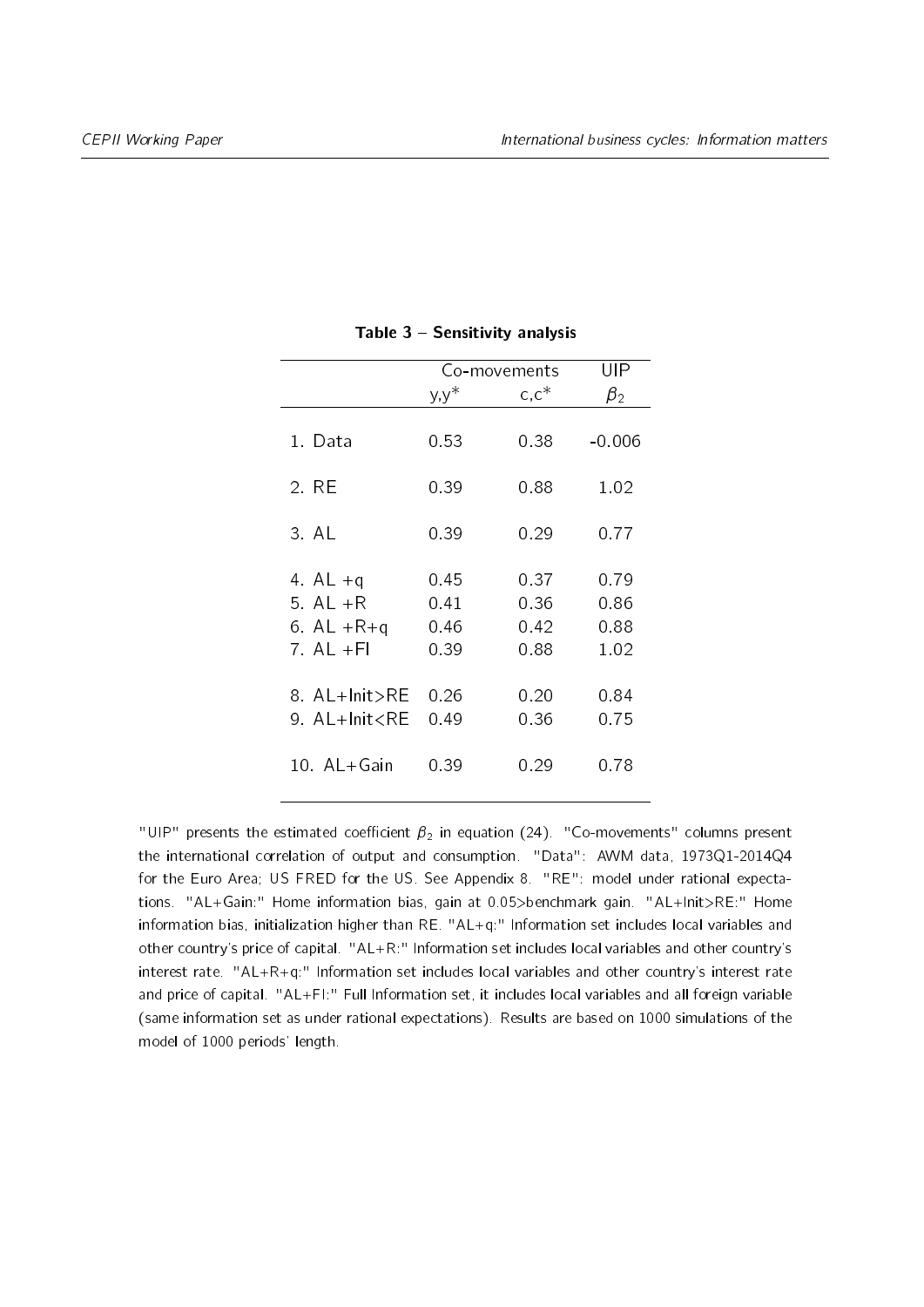<span id="page-31-0"></span>

|                                                                                                               | Co-movements         |                      | UIP                  |  |
|---------------------------------------------------------------------------------------------------------------|----------------------|----------------------|----------------------|--|
|                                                                                                               | $y, y^*$             | $c, c^*$             | $\beta_2$            |  |
| 1. Data                                                                                                       | 0.53                 | 0.38                 | $-0.006$             |  |
| 2. RE                                                                                                         | 0.39                 | 0.88                 | 1.02                 |  |
| 3 AL                                                                                                          | 0.39                 | 0.29                 | 0.77                 |  |
| 4 AL $+q$<br>5 AL $+R$<br>6. AL $+R+q$                                                                        | 0 45<br>0.41<br>0.46 | 0.37<br>0.36<br>0.42 | 0.79<br>0.86<br>0.88 |  |
| 7 AL $+F1$                                                                                                    | 0.39                 | 088                  | 1.02                 |  |
| 8 AL+Init>RE<br>9 AL+Init <re< td=""><td>0.26<br/>0.49</td><td>0.20<br/>0.36</td><td>0.84<br/>0.75</td></re<> | 0.26<br>0.49         | 0.20<br>0.36         | 0.84<br>0.75         |  |
| 10 AL+Gain                                                                                                    | 0.39                 | 0.29                 | 0.78                 |  |

#### Table  $3 -$  Sensitivity analysis

"UIP" presents the estimated coefficient  $\beta_2$  in equation [\(24\)](#page-27-0). "Co-movements" columns present the international correlation of output and consumption. "Data": AWM data, 1973Q1-2014Q4 for the Euro Area; US FRED for the US. See Appendix [8.](#page-38-0) "RE": model under rational expectations. "AL+Gain:" Home information bias, gain at 0.05>benchmark gain. "AL+Init>RE:" Home information bias, initialization higher than RE. "AL+q:" Information set includes local variables and other country's price of capital. "AL+R:" Information set includes local variables and other country's interest rate. "AL+R+q:" Information set includes local variables and other country's interest rate and price of capital. "AL+FI:" Full Information set, it includes local variables and all foreign variable (same information set as under rational expectations). Results are based on 1000 simulations of the model of 1000 periods' length.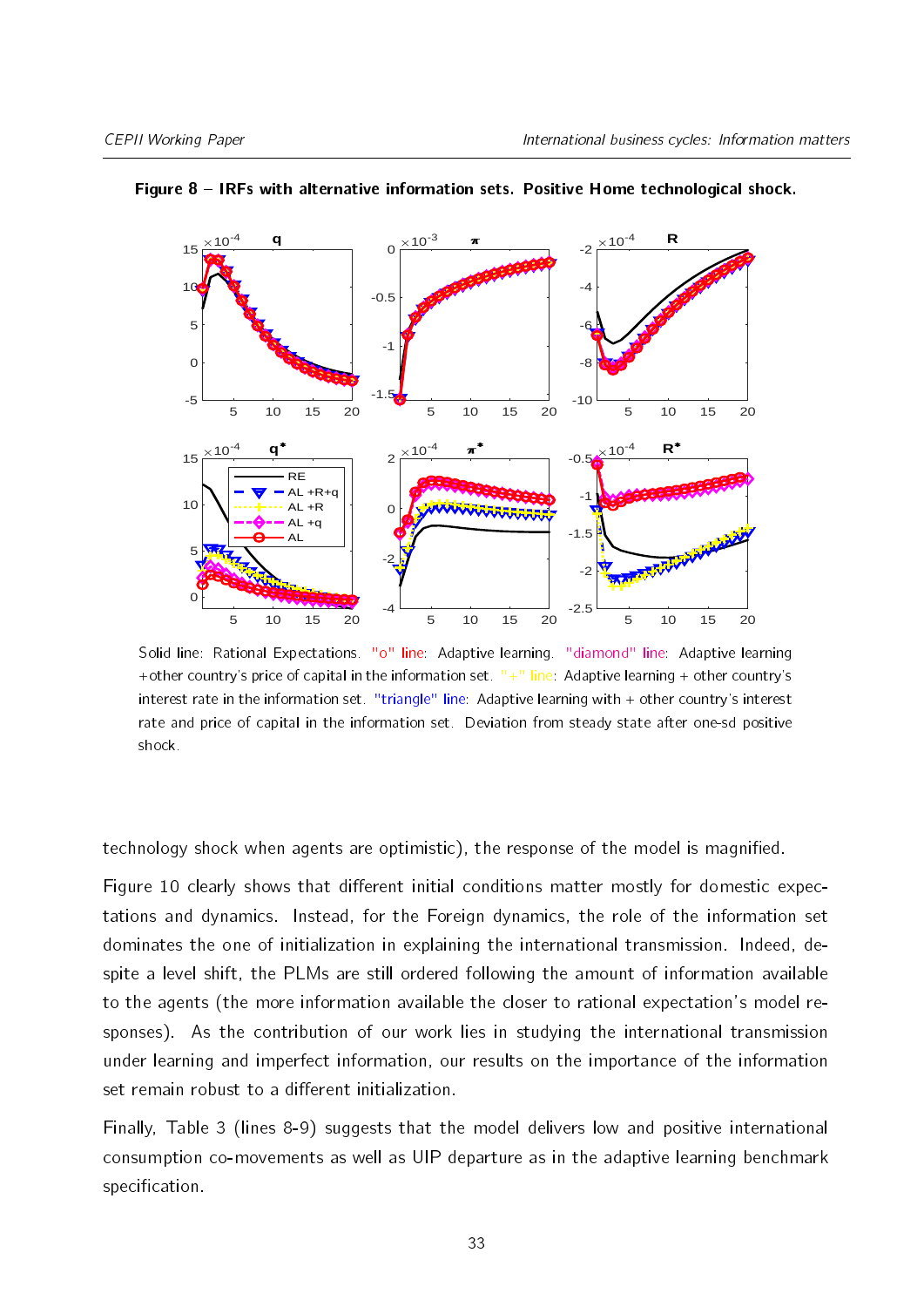

<span id="page-32-0"></span>Figure 8 - IRFs with alternative information sets. Positive Home technological shock.

Solid line: Rational Expectations. "o" line: Adaptive learning. "diamond" line: Adaptive learning +other country's price of capital in the information set.  $"$ +" line: Adaptive learning + other country's interest rate in the information set. "triangle" line: Adaptive learning with + other country's interest rate and price of capital in the information set. Deviation from steady state after one-sd positive shock.

technology shock when agents are optimistic), the response of the model is magnified.

Figure [10](#page-34-3) clearly shows that different initial conditions matter mostly for domestic expectations and dynamics. Instead, for the Foreign dynamics, the role of the information set dominates the one of initialization in explaining the international transmission. Indeed, despite a level shift, the PLMs are still ordered following the amount of information available to the agents (the more information available the closer to rational expectation's model responses). As the contribution of our work lies in studying the international transmission under learning and imperfect information, our results on the importance of the information set remain robust to a different initialization.

Finally, Table [3](#page-31-0) (lines 8-9) suggests that the model delivers low and positive international consumption co-movements as well as UIP departure as in the adaptive learning benchmark specification.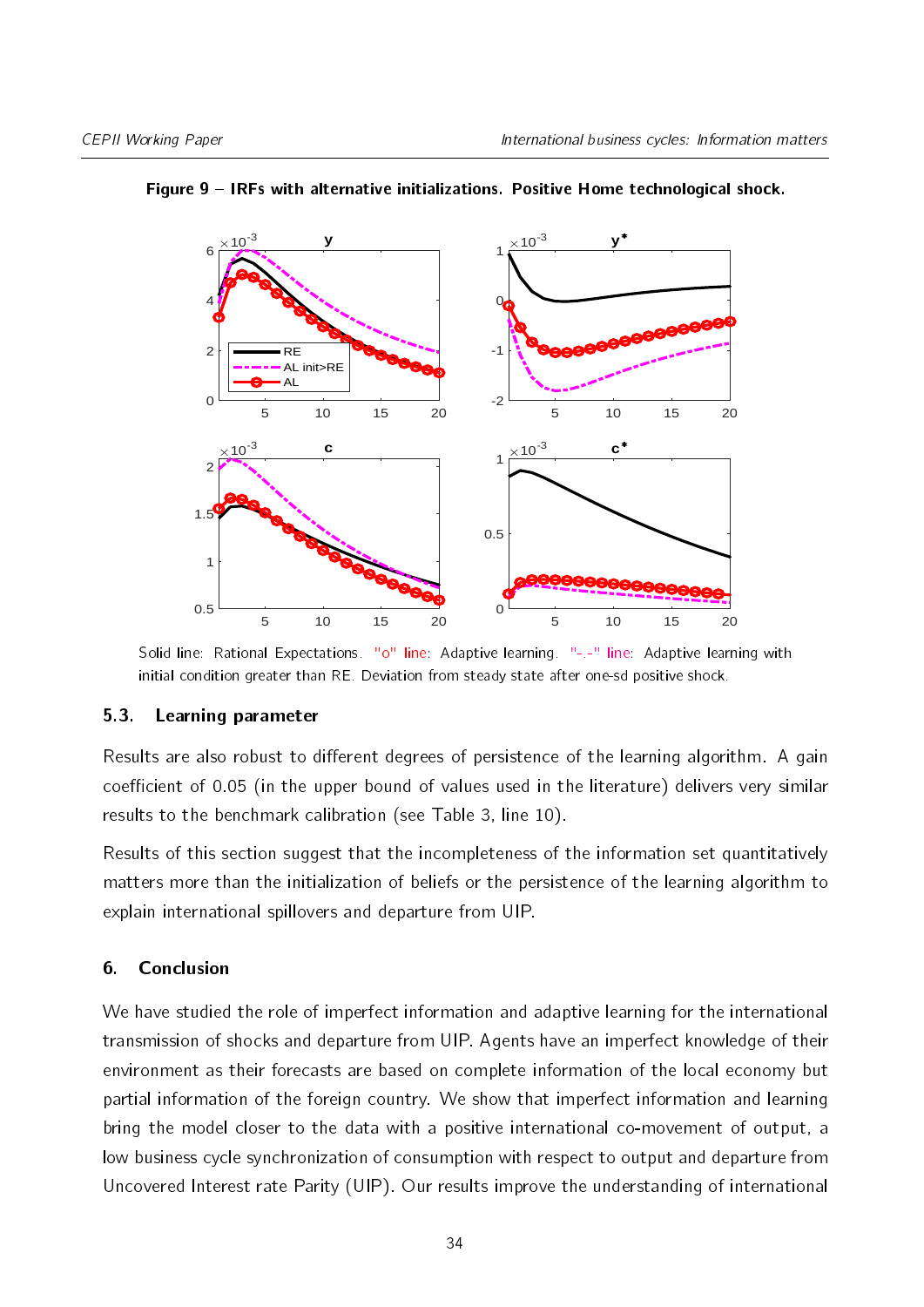

#### <span id="page-33-2"></span>Figure 9 - IRFs with alternative initializations. Positive Home technological shock.

Solid line: Rational Expectations. "o" line: Adaptive learning. "-.-" line: Adaptive learning with initial condition greater than RE. Deviation from steady state after one-sd positive shock.

#### <span id="page-33-1"></span>5.3. Learning parameter

Results are also robust to different degrees of persistence of the learning algorithm. A gain coefficient of 0.05 (in the upper bound of values used in the literature) delivers very similar results to the benchmark calibration (see Table [3,](#page-31-0) line 10).

Results of this section suggest that the incompleteness of the information set quantitatively matters more than the initialization of beliefs or the persistence of the learning algorithm to explain international spillovers and departure from UIP.

#### <span id="page-33-0"></span>6. Conclusion

We have studied the role of imperfect information and adaptive learning for the international transmission of shocks and departure from UIP. Agents have an imperfect knowledge of their environment as their forecasts are based on complete information of the local economy but partial information of the foreign country. We show that imperfect information and learning bring the model closer to the data with a positive international co-movement of output, a low business cycle synchronization of consumption with respect to output and departure from Uncovered Interest rate Parity (UIP). Our results improve the understanding of international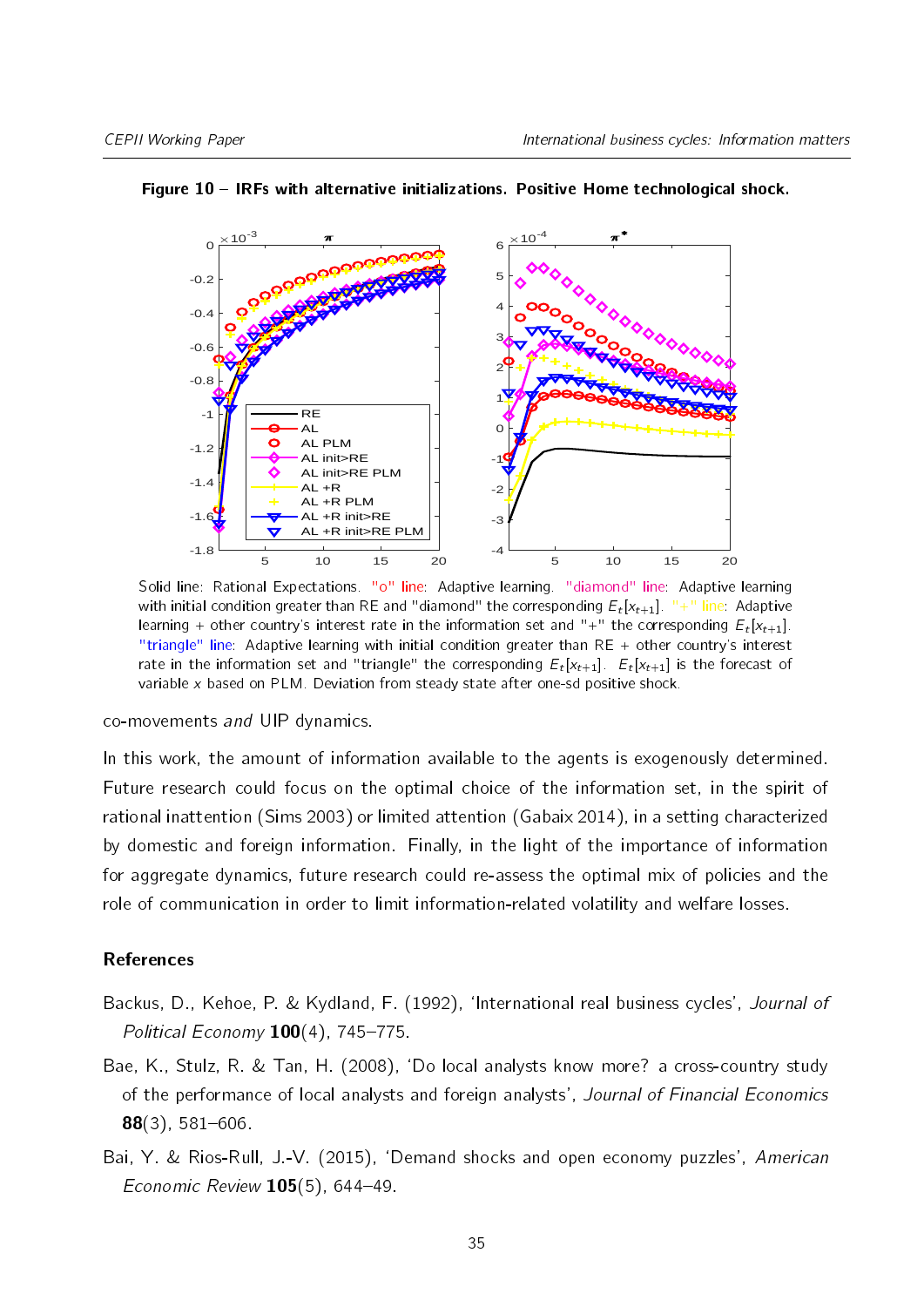

#### <span id="page-34-3"></span>Figure 10 IRFs with alternative initializations. Positive Home technological shock.

Solid line: Rational Expectations. "o" line: Adaptive learning. "diamond" line: Adaptive learning with initial condition greater than RE and "diamond" the corresponding  ${E}_t[\mathsf{x}_{t+1}]$ . "+" line: Adaptive learning + other country's interest rate in the information set and "+" the corresponding  ${E}_{t}[{x}_{t+1}]$ . "triangle" line: Adaptive learning with initial condition greater than RE + other country's interest rate in the information set and "triangle" the corresponding  $E_t[x_{t+1}]$ .  $E_t[x_{t+1}]$  is the forecast of variable x based on PLM. Deviation from steady state after one-sd positive shock.

co-movements and UIP dynamics.

In this work, the amount of information available to the agents is exogenously determined. Future research could focus on the optimal choice of the information set, in the spirit of rational inattention [\(Sims](#page-37-14) [2003\)](#page-37-14) or limited attention [\(Gabaix](#page-36-14) [2014\)](#page-36-14), in a setting characterized by domestic and foreign information. Finally, in the light of the importance of information for aggregate dynamics, future research could re-assess the optimal mix of policies and the role of communication in order to limit information-related volatility and welfare losses.

#### References

- <span id="page-34-0"></span>Backus, D., Kehoe, P. & Kydland, F. (1992), 'International real business cycles', Journal of Political Economy  $100(4)$ , 745-775.
- <span id="page-34-2"></span>Bae, K., Stulz, R. & Tan, H. (2008), `Do local analysts know more? a cross-country study of the performance of local analysts and foreign analysts', Journal of Financial Economics  $88(3)$ , 581-606.
- <span id="page-34-1"></span>Bai, Y. & Rios-Rull, J.-V. (2015), 'Demand shocks and open economy puzzles', American Economic Review  $105(5)$ , 644-49.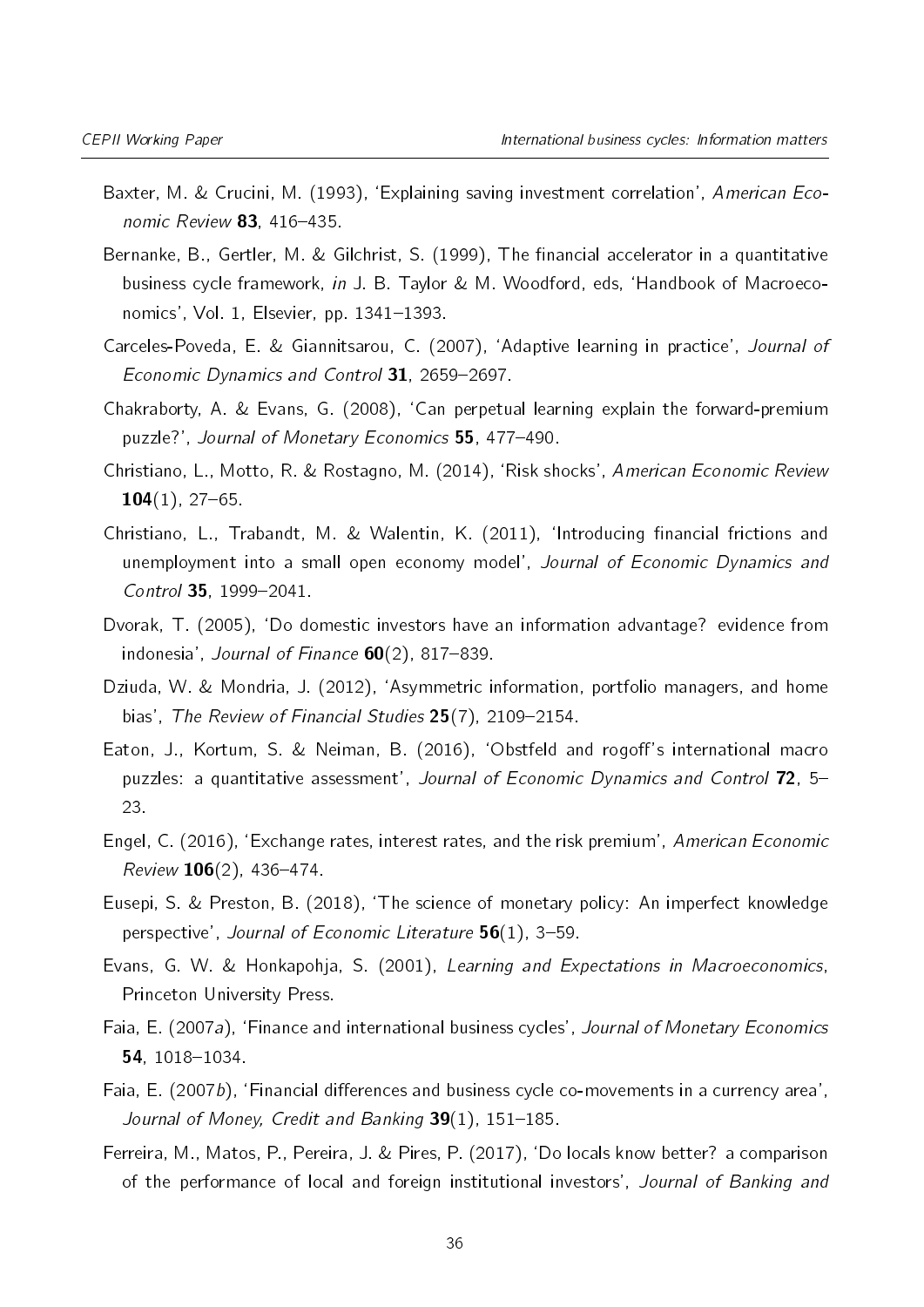- <span id="page-35-0"></span>Baxter, M. & Crucini, M. (1993), 'Explaining saving investment correlation', American Economic Review  $83$ , 416-435.
- <span id="page-35-3"></span>Bernanke, B., Gertler, M. & Gilchrist, S. (1999), The financial accelerator in a quantitative business cycle framework, in J. B. Taylor & M. Woodford, eds, `Handbook of Macroeconomics', Vol. 1, Elsevier, pp.  $1341-1393$ .
- <span id="page-35-13"></span>Carceles-Poveda, E. & Giannitsarou, C. (2007), `Adaptive learning in practice', Journal of Economic Dynamics and Control  $31$ , 2659-2697.
- <span id="page-35-7"></span>Chakraborty, A. & Evans, G. (2008), `Can perpetual learning explain the forward-premium puzzle?', Journal of Monetary Economics 55, 477-490.
- <span id="page-35-9"></span>Christiano, L., Motto, R. & Rostagno, M. (2014), `Risk shocks', American Economic Review  $104(1)$ , 27-65.
- <span id="page-35-14"></span>Christiano, L., Trabandt, M. & Walentin, K. (2011), 'Introducing financial frictions and unemployment into a small open economy model', Journal of Economic Dynamics and  $Control$  35, 1999-2041.
- <span id="page-35-10"></span>Dvorak, T. (2005), `Do domestic investors have an information advantage? evidence from indonesia', Journal of Finance  $60(2)$ , 817-839.
- <span id="page-35-12"></span>Dziuda, W. & Mondria, J. (2012), `Asymmetric information, portfolio managers, and home bias', The Review of Financial Studies  $25(7)$ , 2109–2154.
- <span id="page-35-2"></span>Eaton, J., Kortum, S. & Neiman, B. (2016), 'Obstfeld and rogoff's international macro puzzles: a quantitative assessment', Journal of Economic Dynamics and Control 72, 5-23.
- <span id="page-35-1"></span>Engel, C. (2016), `Exchange rates, interest rates, and the risk premium', American Economic Review  $106(2)$ , 436-474.
- <span id="page-35-6"></span>Eusepi, S. & Preston, B. (2018), `The science of monetary policy: An imperfect knowledge perspective', Journal of Economic Literature  $56(1)$ , 3-59.
- <span id="page-35-4"></span>Evans, G. W. & Honkapohja, S. (2001), Learning and Expectations in Macroeconomics, Princeton University Press.
- <span id="page-35-5"></span>Faia, E. (2007a), 'Finance and international business cycles', Journal of Monetary Economics  $54, 1018 - 1034.$
- <span id="page-35-8"></span>Faia, E. (2007b), 'Financial differences and business cycle co-movements in a currency area', Journal of Money, Credit and Banking  $39(1)$ , 151-185.
- <span id="page-35-11"></span>Ferreira, M., Matos, P., Pereira, J. & Pires, P. (2017), `Do locals know better? a comparison of the performance of local and foreign institutional investors', Journal of Banking and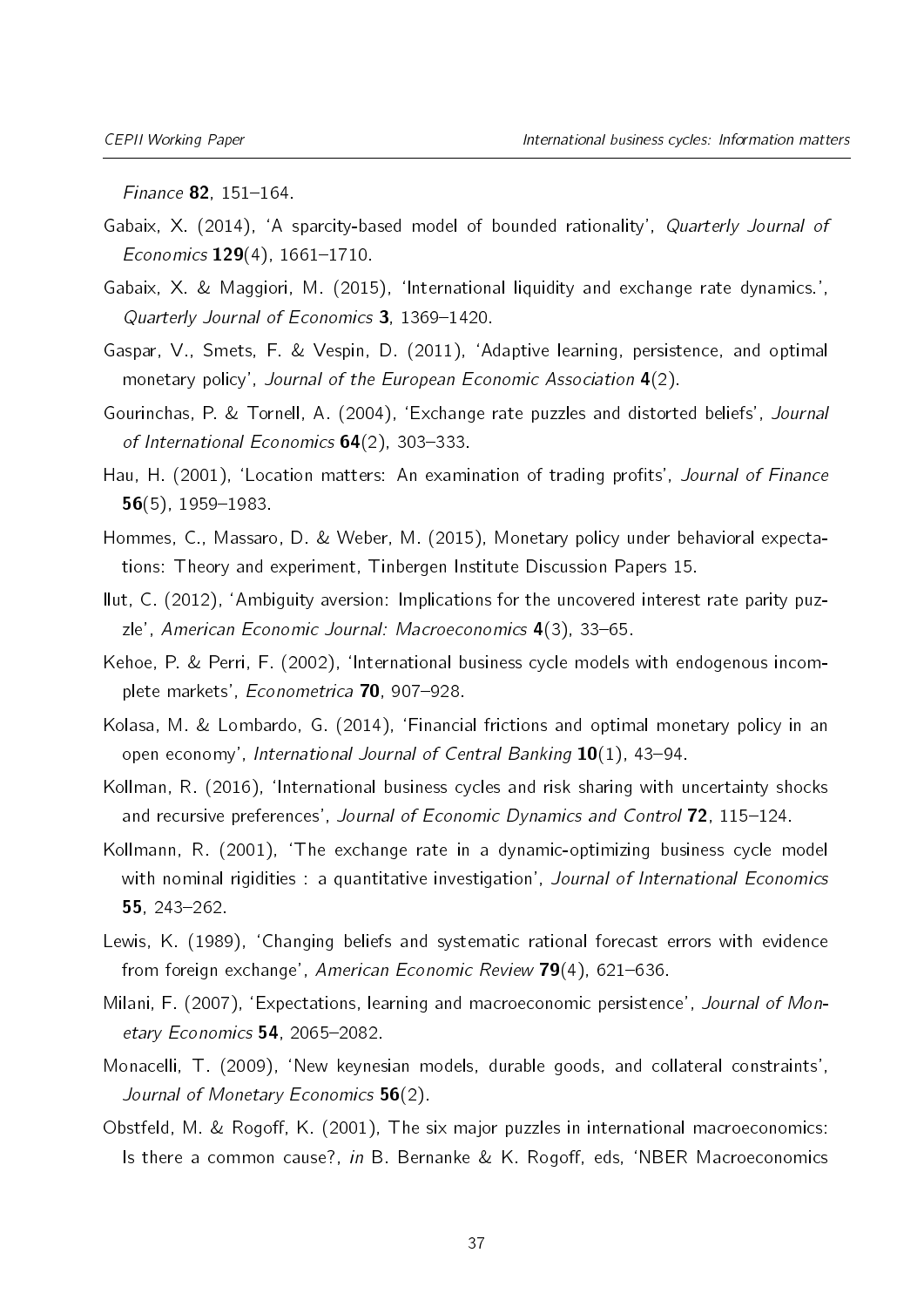$Finance 82, 151-164.$ 

- <span id="page-36-14"></span>Gabaix, X. (2014), 'A sparcity-based model of bounded rationality', Quarterly Journal of Economics  $129(4)$ ,  $1661-1710$ .
- <span id="page-36-6"></span>Gabaix, X. & Maggiori, M. (2015), `International liquidity and exchange rate dynamics.', Quarterly Journal of Economics 3, 1369-1420.
- <span id="page-36-12"></span>Gaspar, V., Smets, F. & Vespin, D. (2011), `Adaptive learning, persistence, and optimal monetary policy', Journal of the European Economic Association 4(2).
- <span id="page-36-4"></span>Gourinchas, P. & Tornell, A. (2004), `Exchange rate puzzles and distorted beliefs', Journal of International Economics  $64(2)$ , 303-333.
- <span id="page-36-9"></span>Hau, H. (2001), 'Location matters: An examination of trading profits', Journal of Finance  $56(5)$ , 1959-1983.
- <span id="page-36-10"></span>Hommes, C., Massaro, D. & Weber, M. (2015), Monetary policy under behavioral expectations: Theory and experiment, Tinbergen Institute Discussion Papers 15.
- <span id="page-36-5"></span>Ilut, C. (2012), `Ambiguity aversion: Implications for the uncovered interest rate parity puzzle', American Economic Journal: Macroeconomics  $4(3)$ , 33-65.
- <span id="page-36-2"></span>Kehoe, P. & Perri, F. (2002), `International business cycle models with endogenous incomplete markets', Econometrica 70, 907-928.
- <span id="page-36-7"></span>Kolasa, M. & Lombardo, G. (2014), `Financial frictions and optimal monetary policy in an open economy', International Journal of Central Banking  $10(1)$ , 43–94.
- <span id="page-36-0"></span>Kollman, R. (2016), `International business cycles and risk sharing with uncertainty shocks and recursive preferences', Journal of Economic Dynamics and Control 72, 115-124.
- <span id="page-36-13"></span>Kollmann, R. (2001), `The exchange rate in a dynamic-optimizing business cycle model with nominal rigidities : a quantitative investigation', Journal of International Economics 55,  $243 - 262$ .
- <span id="page-36-3"></span>Lewis, K. (1989), 'Changing beliefs and systematic rational forecast errors with evidence from foreign exchange', American Economic Review  $79(4)$ , 621-636.
- <span id="page-36-11"></span>Milani, F. (2007), 'Expectations, learning and macroeconomic persistence', Journal of Monetary Economics  $54$ , 2065-2082.
- <span id="page-36-8"></span>Monacelli, T. (2009), 'New keynesian models, durable goods, and collateral constraints', Journal of Monetary Economics 56(2).
- <span id="page-36-1"></span>Obstfeld, M. & Rogoff, K. (2001), The six major puzzles in international macroeconomics: Is there a common cause?, in B. Bernanke & K. Rogoff, eds, 'NBER Macroeconomics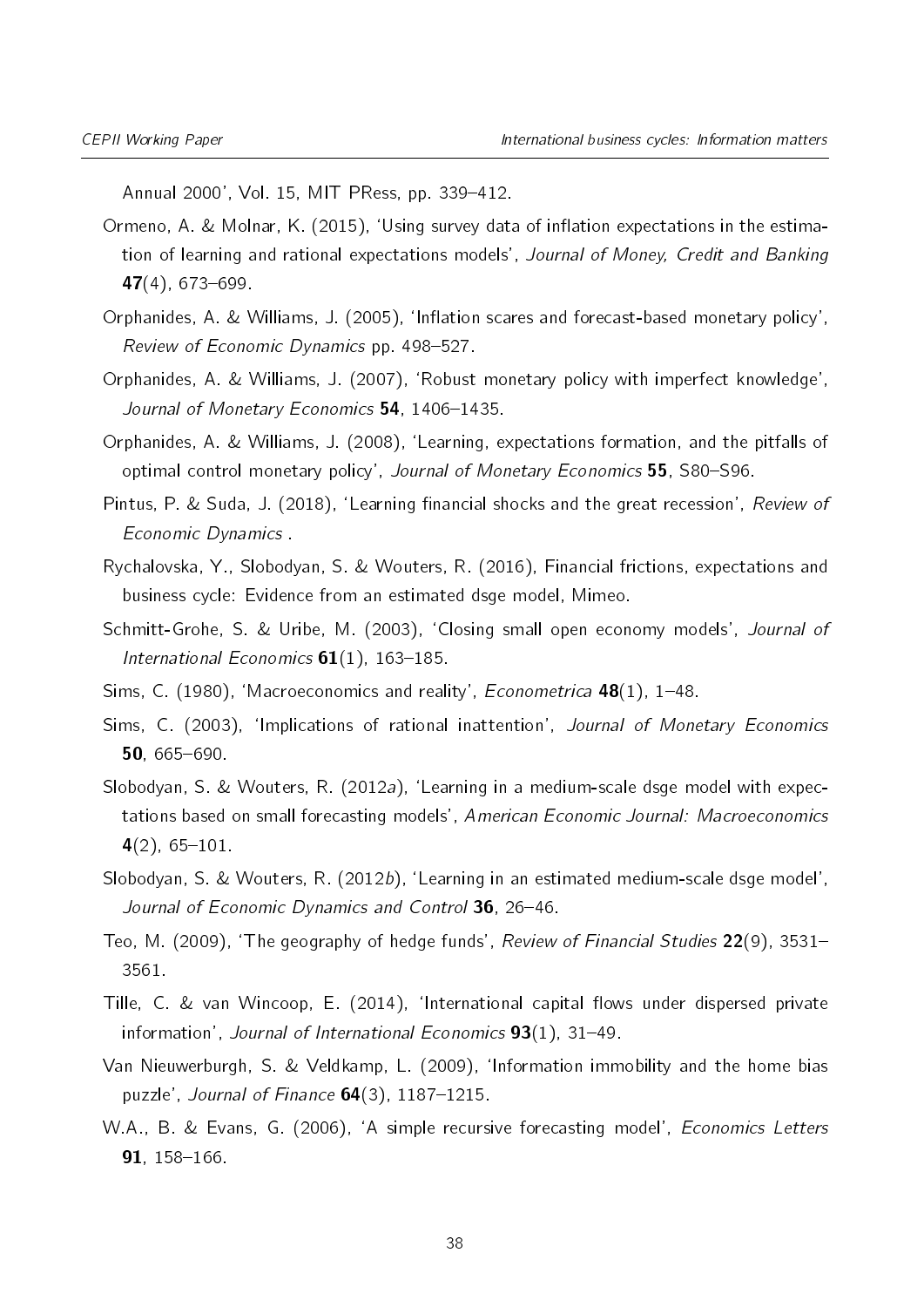Annual 2000', Vol. 15, MIT PRess, pp. 339-412.

- <span id="page-37-7"></span>Ormeno, A. & Molnar, K. (2015), 'Using survey data of inflation expectations in the estimation of learning and rational expectations models', Journal of Money, Credit and Banking  $47(4)$ , 673-699.
- <span id="page-37-10"></span>Orphanides, A. & Williams, J. (2005), 'Inflation scares and forecast-based monetary policy', Review of Economic Dynamics pp. 498-527.
- <span id="page-37-8"></span>Orphanides, A. & Williams, J. (2007), `Robust monetary policy with imperfect knowledge', Journal of Monetary Economics 54, 1406-1435.
- <span id="page-37-13"></span>Orphanides, A. & Williams, J. (2008), `Learning, expectations formation, and the pitfalls of optimal control monetary policy', Journal of Monetary Economics 55, S80-S96.
- <span id="page-37-2"></span>Pintus, P. & Suda, J. (2018), 'Learning financial shocks and the great recession', Review of Economic Dynamics .
- <span id="page-37-0"></span>Rychalovska, Y., Slobodyan, S. & Wouters, R. (2016), Financial frictions, expectations and business cycle: Evidence from an estimated dsge model, Mimeo.
- <span id="page-37-3"></span>Schmitt-Grohe, S. & Uribe, M. (2003), 'Closing small open economy models', Journal of International Economics  $61(1)$ , 163-185.
- <span id="page-37-4"></span>Sims, C. (1980), 'Macroeconomics and reality', *Econometrica* **48**(1), 1-48.
- <span id="page-37-14"></span>Sims, C. (2003), 'Implications of rational inattention', Journal of Monetary Economics  $50.665 - 690.$
- <span id="page-37-6"></span>Slobodyan, S. & Wouters, R. (2012a), 'Learning in a medium-scale dsge model with expectations based on small forecasting models', American Economic Journal: Macroeconomics  $4(2)$ , 65-101.
- <span id="page-37-12"></span>Slobodyan, S. & Wouters, R. (2012b). 'Learning in an estimated medium-scale dsge model'. Journal of Economic Dynamics and Control 36, 26-46.
- <span id="page-37-5"></span>Teo, M. (2009), 'The geography of hedge funds', Review of Financial Studies  $22(9)$ , 3531-3561.
- <span id="page-37-1"></span>Tille, C. & van Wincoop, E. (2014), 'International capital flows under dispersed private information', Journal of International Economics  $93(1)$ , 31-49.
- <span id="page-37-9"></span>Van Nieuwerburgh, S. & Veldkamp, L. (2009), `Information immobility and the home bias puzzle', Journal of Finance  $64(3)$ , 1187-1215.
- <span id="page-37-11"></span>W.A., B. & Evans, G. (2006), `A simple recursive forecasting model', Economics Letters  $91, 158 - 166.$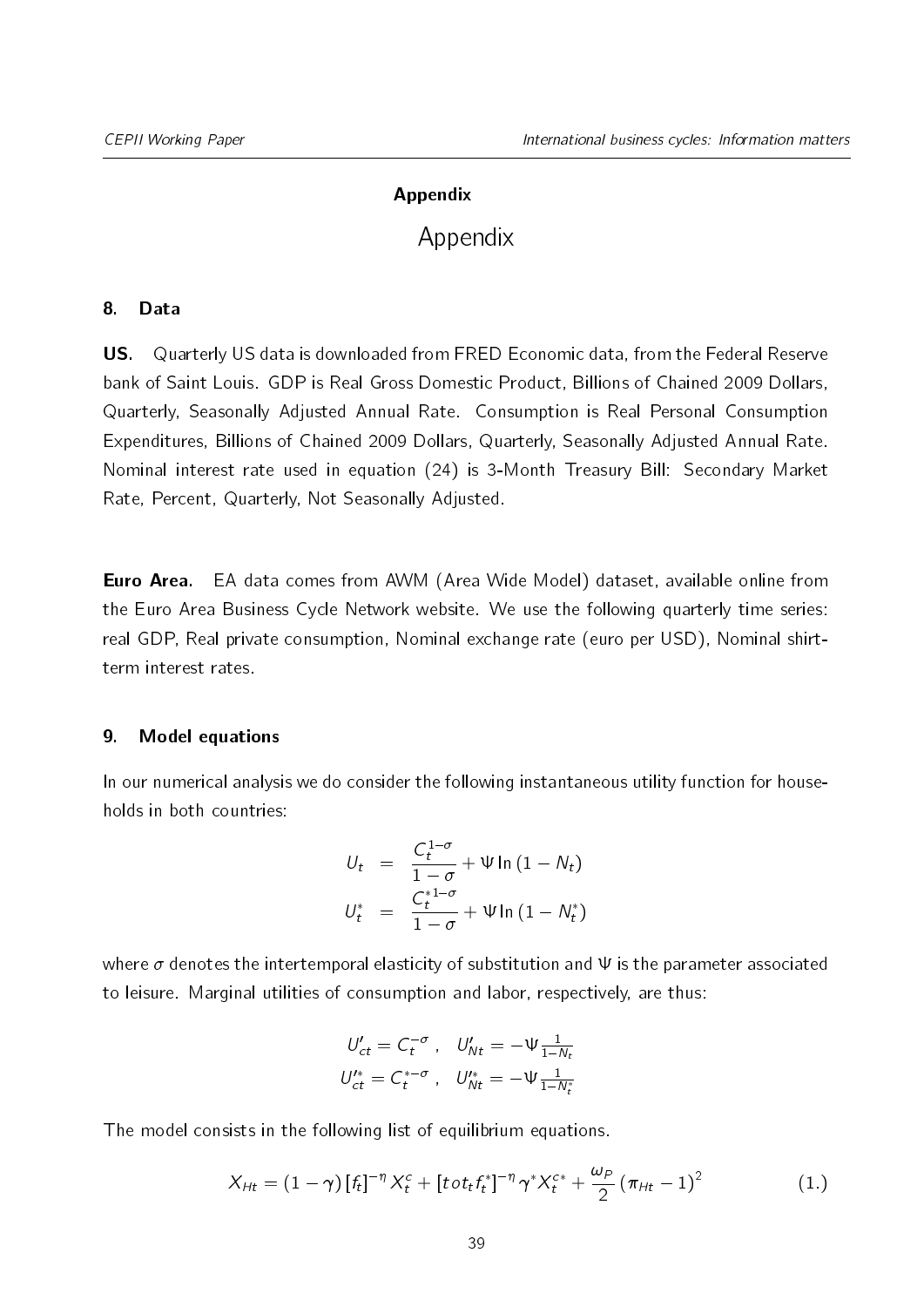# Appendix

# Appendix

## <span id="page-38-0"></span>8. Data

US. Quarterly US data is downloaded from FRED Economic data, from the Federal Reserve bank of Saint Louis. GDP is Real Gross Domestic Product, Billions of Chained 2009 Dollars, Quarterly, Seasonally Adjusted Annual Rate. Consumption is Real Personal Consumption Expenditures, Billions of Chained 2009 Dollars, Quarterly, Seasonally Adjusted Annual Rate. Nominal interest rate used in equation [\(24\)](#page-27-0) is 3-Month Treasury Bill: Secondary Market Rate, Percent, Quarterly, Not Seasonally Adjusted.

Euro Area. EA data comes from AWM (Area Wide Model) dataset, available online from the Euro Area Business Cycle Network website. We use the following quarterly time series: real GDP, Real private consumption, Nominal exchange rate (euro per USD), Nominal shirtterm interest rates.

## 9. Model equations

In our numerical analysis we do consider the following instantaneous utility function for households in both countries:

$$
U_t = \frac{C_t^{1-\sigma}}{1-\sigma} + \Psi \ln (1 - N_t)
$$
  

$$
U_t^* = \frac{C_t^{*1-\sigma}}{1-\sigma} + \Psi \ln (1 - N_t^*)
$$

where  $\sigma$  denotes the intertemporal elasticity of substitution and  $\Psi$  is the parameter associated to leisure. Marginal utilities of consumption and labor, respectively, are thus:

$$
U'_{ct} = C_t^{-\sigma} , \quad U'_{Nt} = -\Psi \frac{1}{1 - N_t}
$$
  

$$
U'^*_{ct} = C_t^{* - \sigma} , \quad U''_{Nt} = -\Psi \frac{1}{1 - N_t^*}
$$

The model consists in the following list of equilibrium equations.

$$
X_{Ht} = (1 - \gamma) [f_t]^{-\eta} X_t^c + [t \sigma t_t f_t^*]^{-\eta} \gamma^* X_t^{c*} + \frac{\omega_P}{2} (\pi_{Ht} - 1)^2
$$
 (1.)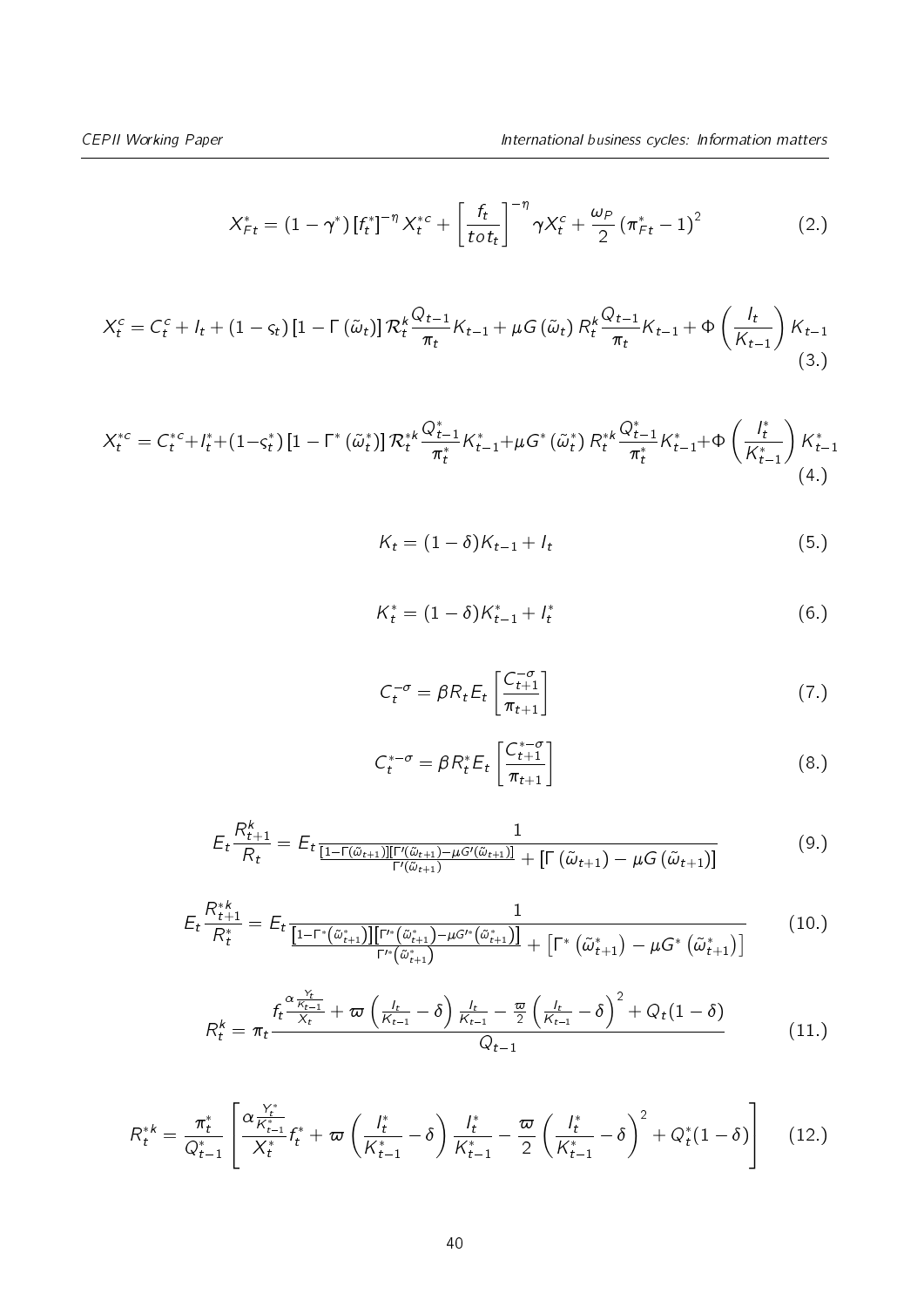$$
X_{Ft}^{*} = (1 - \gamma^{*}) \left[ f_{t}^{*} \right]^{-\eta} X_{t}^{*c} + \left[ \frac{f_{t}}{t \, \sigma t_{t}} \right]^{-\eta} \gamma X_{t}^{c} + \frac{\omega_{P}}{2} \left( \pi_{Ft}^{*} - 1 \right)^{2} \tag{2.}
$$

$$
X_t^c = C_t^c + I_t + (1 - \varsigma_t) \left[ 1 - \Gamma\left(\tilde{\omega}_t\right) \right] \mathcal{R}_t^k \frac{Q_{t-1}}{\pi_t} K_{t-1} + \mu G\left(\tilde{\omega}_t\right) \mathcal{R}_t^k \frac{Q_{t-1}}{\pi_t} K_{t-1} + \Phi\left(\frac{I_t}{K_{t-1}}\right) K_{t-1}
$$
\n(3.)

$$
X_t^{*c} = C_t^{*c} + I_t^* + (1 - S_t^*) \left[ 1 - \Gamma^* \left( \tilde{\omega}_t^* \right) \right] \mathcal{R}_t^{*k} \frac{Q_{t-1}^*}{\pi_t^*} K_{t-1}^* + \mu G^* \left( \tilde{\omega}_t^* \right) \mathcal{R}_t^{*k} \frac{Q_{t-1}^*}{\pi_t^*} K_{t-1}^* + \Phi \left( \frac{I_t^*}{K_{t-1}^*} \right) K_{t-1}^* \tag{4.}
$$

$$
K_t = (1 - \delta)K_{t-1} + I_t \tag{5.}
$$

$$
K_t^* = (1 - \delta)K_{t-1}^* + I_t^* \tag{6.}
$$

$$
C_t^{-\sigma} = \beta R_t E_t \left[ \frac{C_{t+1}^{-\sigma}}{\pi_{t+1}} \right] \tag{7.}
$$

$$
C_t^{*-\sigma} = \beta R_t^* E_t \left[ \frac{C_{t+1}^{*-\sigma}}{\pi_{t+1}} \right]
$$
 (8.)

$$
E_t \frac{R_{t+1}^k}{R_t} = E_t \frac{1}{\frac{[1-\Gamma(\tilde{\omega}_{t+1})][\Gamma'(\tilde{\omega}_{t+1}) - \mu G'(\tilde{\omega}_{t+1})]}{\Gamma'(\tilde{\omega}_{t+1})} + \left[\Gamma(\tilde{\omega}_{t+1}) - \mu G(\tilde{\omega}_{t+1})\right]}
$$
(9.)

$$
E_{t} \frac{R_{t+1}^{*k}}{R_{t}^{*}} = E_{t} \frac{1}{\frac{[1-\Gamma^{*}(\tilde{\omega}_{t+1}^{*})][\Gamma^{*}(\tilde{\omega}_{t+1}^{*}) - \mu G^{*}(\tilde{\omega}_{t+1}^{*})]}{\Gamma^{*}(\tilde{\omega}_{t+1}^{*})} + \left[\Gamma^{*}(\tilde{\omega}_{t+1}^{*}) - \mu G^{*}(\tilde{\omega}_{t+1}^{*})\right]}
$$
(10.)

$$
R_t^k = \pi_t \frac{f_t \frac{\alpha \frac{Y_t}{K_{t-1}}}{X_t} + \varpi \left(\frac{l_t}{K_{t-1}} - \delta\right) \frac{l_t}{K_{t-1}} - \frac{\varpi}{2} \left(\frac{l_t}{K_{t-1}} - \delta\right)^2 + Q_t (1 - \delta)}{Q_{t-1}}
$$
(11.)

$$
R_t^{*k} = \frac{\pi_t^*}{Q_{t-1}^*} \left[ \frac{\alpha \frac{Y_t^*}{K_{t-1}^*}}{X_t^*} f_t^* + \varpi \left( \frac{I_t^*}{K_{t-1}^*} - \delta \right) \frac{I_t^*}{K_{t-1}^*} - \frac{\varpi}{2} \left( \frac{I_t^*}{K_{t-1}^*} - \delta \right)^2 + Q_t^*(1 - \delta) \right] \tag{12.}
$$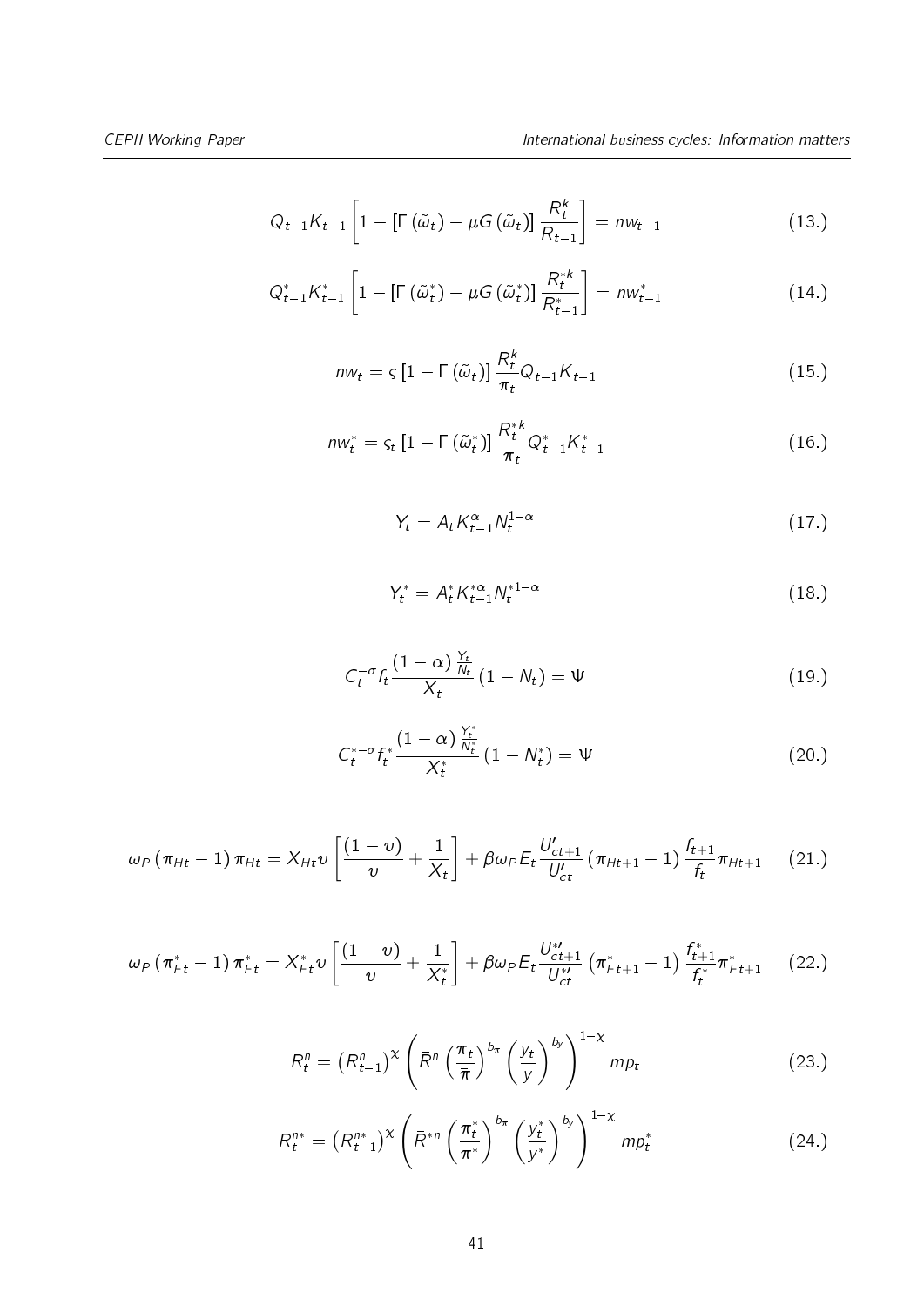$$
Q_{t-1}K_{t-1}\left[1-\left[\Gamma\left(\tilde{\omega}_t\right)-\mu G\left(\tilde{\omega}_t\right)\right]\frac{R_t^k}{R_{t-1}}\right]=n w_{t-1} \tag{13.}
$$

$$
Q_{t-1}^* K_{t-1}^* \left[ 1 - \left[ \Gamma\left(\tilde{\omega}_t^* \right) - \mu G\left(\tilde{\omega}_t^* \right) \right] \frac{R_t^{*k}}{R_{t-1}^*} \right] = n w_{t-1}^* \tag{14.}
$$

$$
n w_t = \varsigma \left[ 1 - \Gamma \left( \tilde{\omega}_t \right) \right] \frac{R_t^k}{\pi_t} Q_{t-1} K_{t-1}
$$
\n(15.)

$$
n w_t^* = \varsigma_t \left[ 1 - \Gamma\left(\tilde{\omega}_t^*\right) \right] \frac{R_t^{*k}}{\pi_t} Q_{t-1}^* K_{t-1}^* \tag{16.}
$$

$$
Y_t = A_t K_{t-1}^{\alpha} N_t^{1-\alpha} \tag{17.}
$$

$$
Y_t^* = A_t^* K_{t-1}^{*\alpha} N_t^{*1-\alpha} \tag{18.}
$$

$$
C_t^{-\sigma} f_t \frac{\left(1-\alpha\right)\frac{\gamma_t}{N_t}}{\chi_t} \left(1-N_t\right) = \Psi \tag{19.}
$$

$$
C_t^{*-\sigma} f_t^* \frac{(1-\alpha) \frac{Y_t^*}{N_t^*}}{X_t^*} (1 - N_t^*) = \Psi
$$
\n(20.)

$$
\omega_P (\pi_{Ht} - 1) \pi_{Ht} = X_{Ht} v \left[ \frac{(1 - v)}{v} + \frac{1}{X_t} \right] + \beta \omega_P E_t \frac{U'_{ct+1}}{U'_{ct}} (\pi_{Ht+1} - 1) \frac{f_{t+1}}{f_t} \pi_{Ht+1}
$$
 (21.)

$$
\omega_P \left( \pi_{Ft}^* - 1 \right) \pi_{Ft}^* = X_{Ft}^* \nu \left[ \frac{(1 - \nu)}{\nu} + \frac{1}{X_t^*} \right] + \beta \omega_P E_t \frac{U_{ct+1}^{*}}{U_{ct}^{*}} \left( \pi_{Ft+1}^* - 1 \right) \frac{f_{t+1}^*}{f_t^*} \pi_{Ft+1}^* \tag{22.}
$$

$$
R_t^n = \left(R_{t-1}^n\right)^\chi \left(\bar{R}^n \left(\frac{\pi_t}{\bar{\pi}}\right)^{b_\pi} \left(\frac{y_t}{y}\right)^{b_y}\right)^{1-\chi} m p_t \tag{23.}
$$

$$
R_t^{n*} = \left(R_{t-1}^{n*}\right)^{\chi} \left(\bar{R}^{*n} \left(\frac{\pi_t^*}{\bar{\pi}^*}\right)^{b_{\pi}} \left(\frac{y_t^*}{y^*}\right)^{b_{\gamma}}\right)^{1-\chi} m p_t^* \tag{24.}
$$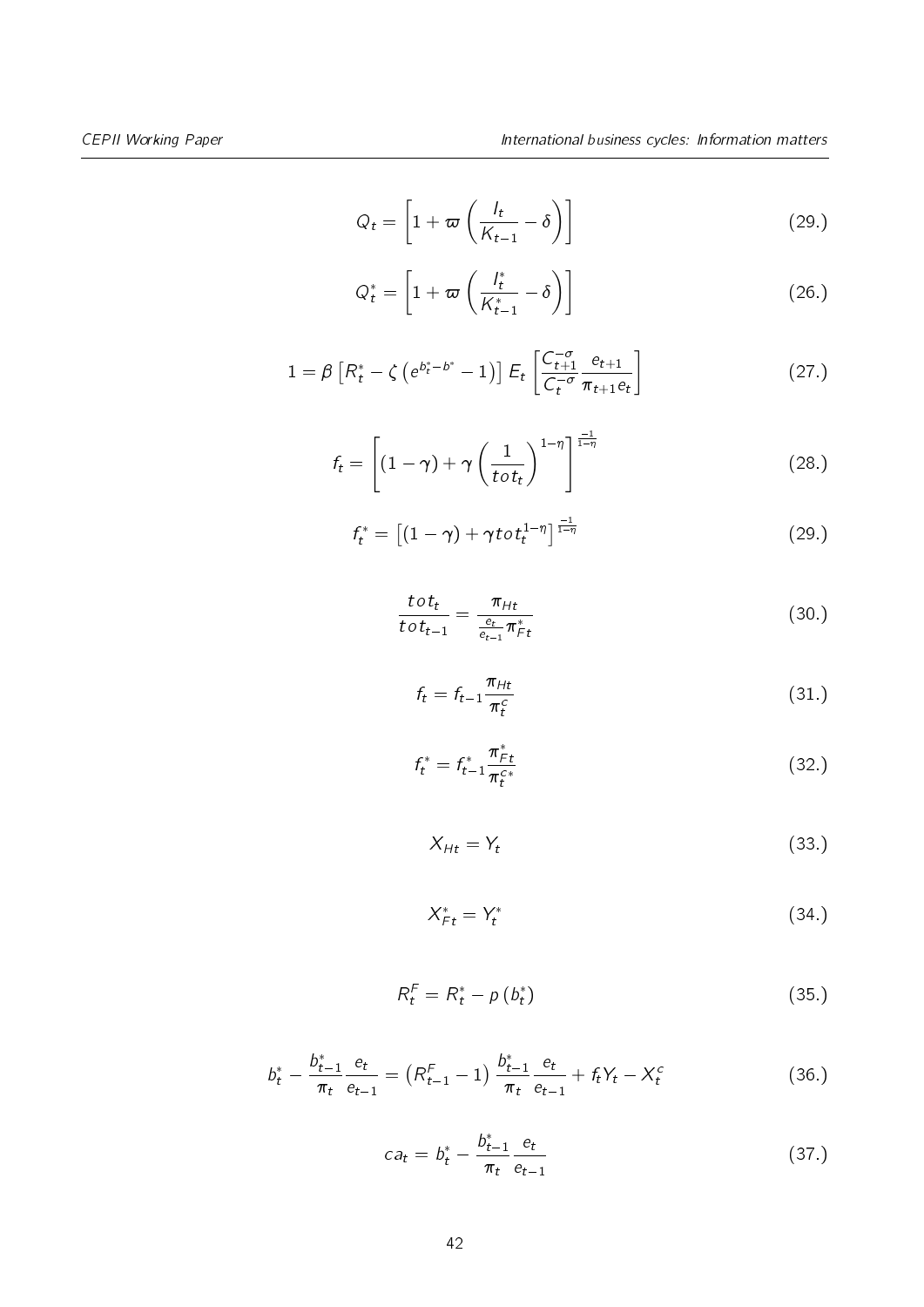$$
Q_t = \left[1 + \varpi \left(\frac{l_t}{K_{t-1}} - \delta\right)\right]
$$
 (29.)

$$
Q_t^* = \left[1 + \varpi \left(\frac{l_t^*}{K_{t-1}^*} - \delta\right)\right]
$$
 (26.)

$$
1 = \beta \left[ R_t^* - \zeta \left( e^{b_t^* - b^*} - 1 \right) \right] E_t \left[ \frac{C_{t+1}^{-\sigma}}{C_t^{-\sigma}} \frac{e_{t+1}}{\pi_{t+1} e_t} \right] \tag{27.}
$$

$$
f_t = \left[ (1 - \gamma) + \gamma \left( \frac{1}{t \circ t_t} \right)^{1 - \eta} \right]^{\frac{-1}{1 - \eta}}
$$
(28.)

$$
f_t^* = \left[ (1 - \gamma) + \gamma \operatorname{tot}_t^{1 - \eta} \right]_{\frac{1}{1 - \eta}}^{\frac{-1}{1 - \eta}}
$$
\n
$$
\tag{29.}
$$

$$
\frac{tot_t}{tot_{t-1}} = \frac{\pi_{Ht}}{\frac{e_t}{e_{t-1}}\pi_{Ft}^*}
$$
(30.)

$$
f_t = f_{t-1} \frac{\pi_{Ht}}{\pi_t^c} \tag{31.}
$$

$$
f_t^* = f_{t-1}^* \frac{\pi_{F_t}^*}{\pi_f^{c*}} \tag{32.}
$$

$$
X_{Ht} = Y_t \tag{33.}
$$

$$
X_{Ft}^* = Y_t^* \tag{34}
$$

$$
R_t^F = R_t^* - p(b_t^*)
$$
\n
$$
(35.)
$$

$$
b_t^* - \frac{b_{t-1}^*}{\pi_t} \frac{e_t}{e_{t-1}} = (R_{t-1}^F - 1) \frac{b_{t-1}^*}{\pi_t} \frac{e_t}{e_{t-1}} + f_t Y_t - X_t^c
$$
 (36.)

$$
ca_t = b_t^* - \frac{b_{t-1}^*}{\pi_t} \frac{e_t}{e_{t-1}}
$$
\n(37.)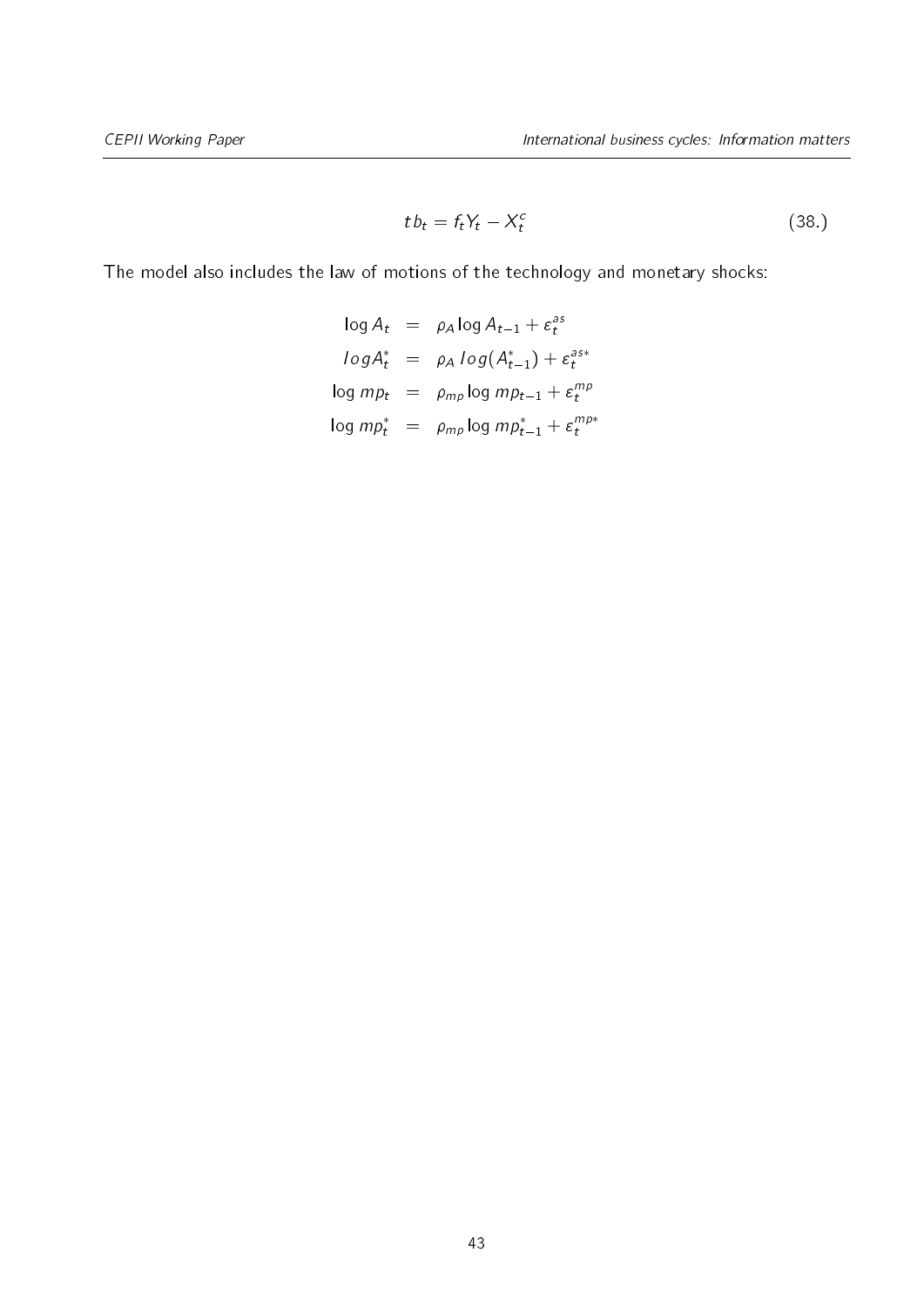$$
tb_t = f_t Y_t - X_t^c \tag{38.}
$$

The model also includes the law of motions of the technology and monetary shocks:

$$
\log A_t = \rho_A \log A_{t-1} + \varepsilon_t^{as}
$$
  
\n
$$
\log A_t^* = \rho_A \log(A_{t-1}^*) + \varepsilon_t^{as*}
$$
  
\n
$$
\log mp_t = \rho_{mp} \log mp_{t-1} + \varepsilon_t^{mp}
$$
  
\n
$$
\log mp_t^* = \rho_{mp} \log mp_{t-1}^* + \varepsilon_t^{mp*}
$$